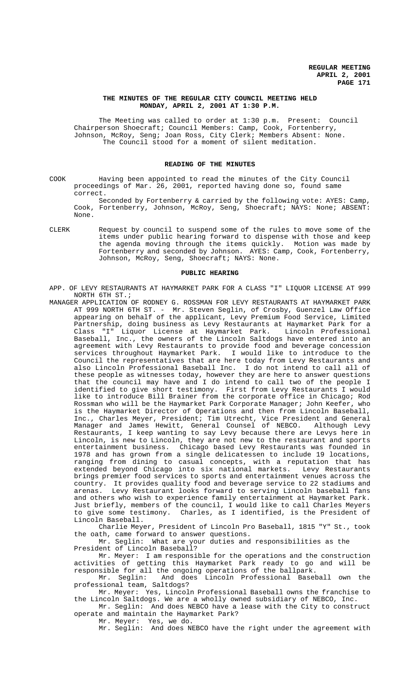# **THE MINUTES OF THE REGULAR CITY COUNCIL MEETING HELD MONDAY, APRIL 2, 2001 AT 1:30 P.M.**

The Meeting was called to order at 1:30 p.m. Present: Council Chairperson Shoecraft; Council Members: Camp, Cook, Fortenberry, Johnson, McRoy, Seng; Joan Ross, City Clerk; Members Absent: None. The Council stood for a moment of silent meditation.

# **READING OF THE MINUTES**

COOK Having been appointed to read the minutes of the City Council proceedings of Mar. 26, 2001, reported having done so, found same correct.

Seconded by Fortenberry & carried by the following vote: AYES: Camp, Cook, Fortenberry, Johnson, McRoy, Seng, Shoecraft; NAYS: None; ABSENT: None.

CLERK Request by council to suspend some of the rules to move some of the items under public hearing forward to dispense with those and keep the agenda moving through the items quickly. Motion was made by Fortenberry and seconded by Johnson. AYES: Camp, Cook, Fortenberry, Johnson, McRoy, Seng, Shoecraft; NAYS: None.

#### **PUBLIC HEARING**

- APP. OF LEVY RESTAURANTS AT HAYMARKET PARK FOR A CLASS "I" LIQUOR LICENSE AT 999 NORTH 6TH ST.;
- MANAGER APPLICATION OF RODNEY G. ROSSMAN FOR LEVY RESTAURANTS AT HAYMARKET PARK AT 999 NORTH 6TH ST. - Mr. Steven Seglin, of Crosby, Guenzel Law Office appearing on behalf of the applicant, Levy Premium Food Service, Limited Partnership, doing business as Levy Restaurants at Haymarket Park for a Class "I" Liquor License at Haymarket Park. Lincoln Professional Baseball, Inc., the owners of the Lincoln Saltdogs have entered into an agreement with Levy Restaurants to provide food and beverage concession services throughout Haymarket Park. I would like to introduce to the Council the representatives that are here today from Levy Restaurants and also Lincoln Professional Baseball Inc. I do not intend to call all of these people as witnesses today, however they are here to answer questions that the council may have and I do intend to call two of the people I identified to give short testimony. First from Levy Restaurants I would like to introduce Bill Brainer from the corporate office in Chicago; Rod Rossman who will be the Haymarket Park Corporate Manager; John Keefer, who is the Haymarket Director of Operations and then from Lincoln Baseball, Inc., Charles Meyer, President; Tim Utrecht, Vice President and General Manager and James Hewitt, General Counsel of NEBCO. Although Levy Restaurants, I keep wanting to say Levy because there are Levys here in Lincoln, is new to Lincoln, they are not new to the restaurant and sports<br>entertainment business. Chicago based Levy Restaurants was founded in Chicago based Levy Restaurants was founded in 1978 and has grown from a single delicatessen to include 19 locations, ranging from dining to casual concepts, with a reputation that has extended beyond Chicago into six national markets. Levy Restaurants brings premier food services to sports and entertainment venues across the country. It provides quality food and beverage service to 22 stadiums and arenas. Levy Restaurant looks forward to serving Lincoln baseball fans and others who wish to experience family entertainment at Haymarket Park. Just briefly, members of the council, I would like to call Charles Meyers to give some testimony. Charles, as I identified, is the President of Lincoln Baseball.

Charlie Meyer, President of Lincoln Pro Baseball, 1815 "Y" St., took the oath, came forward to answer questions.

Mr. Seglin: What are your duties and responsibilities as the President of Lincoln Baseball?

Mr. Meyer: I am responsible for the operations and the construction activities of getting this Haymarket Park ready to go and will be responsible for all the ongoing operations of the ballpark.

Mr. Seglin: And does Lincoln Professional Baseball own the professional team, Saltdogs?

Mr. Meyer: Yes, Lincoln Professional Baseball owns the franchise to the Lincoln Saltdogs. We are a wholly owned subsidiary of NEBCO, Inc.

Mr. Seglin: And does NEBCO have a lease with the City to construct operate and maintain the Haymarket Park?

Mr. Meyer: Yes, we do.

Mr. Seglin: And does NEBCO have the right under the agreement with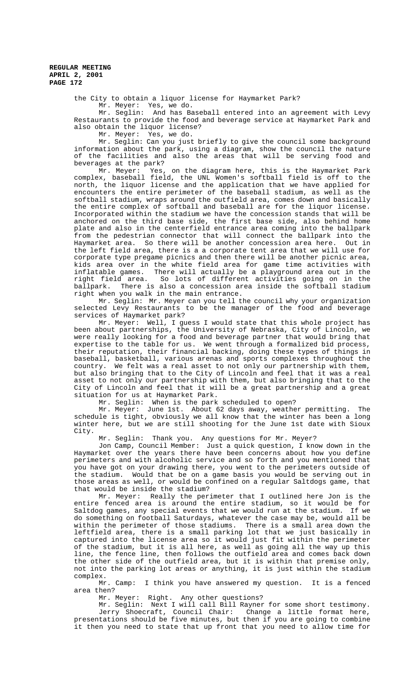the City to obtain a liquor license for Haymarket Park? Mr. Meyer: Yes, we do.

Mr. Seglin: And has Baseball entered into an agreement with Levy Restaurants to provide the food and beverage service at Haymarket Park and also obtain the liquor license?

Mr. Meyer: Yes, we do.

Mr. Seglin: Can you just briefly to give the council some background information about the park, using a diagram, show the council the nature of the facilities and also the areas that will be serving food and beverages at the park?

Mr. Meyer: Yes, on the diagram here, this is the Haymarket Park complex, baseball field, the UNL Women's softball field is off to the north, the liquor license and the application that we have applied for encounters the entire perimeter of the baseball stadium, as well as the softball stadium, wraps around the outfield area, comes down and basically the entire complex of softball and baseball are for the liquor license. Incorporated within the stadium we have the concession stands that will be anchored on the third base side, the first base side, also behind home plate and also in the centerfield entrance area coming into the ballpark from the pedestrian connector that will connect the ballpark into the Haymarket area. So there will be another concession area here. Out in the left field area, there is a a corporate tent area that we will use for corporate type pregame picnics and then there will be another picnic area, kids area over in the white field area for game time activities with inflatable games. There will actually be a playground area out in the right field area. So lots of different activities going on in the ballpark. There is also a concession area inside the softball stadium right when you walk in the main entrance.

Mr. Seglin: Mr. Meyer can you tell the council why your organization selected Levy Restaurants to be the manager of the food and beverage services of Haymarket park?

Mr. Meyer: Well, I guess I would state that this whole project has been about partnerships, the University of Nebraska, City of Lincoln, we were really looking for a food and beverage partner that would bring that expertise to the table for us. We went through a formalized bid process, their reputation, their financial backing, doing these types of things in baseball, basketball, various arenas and sports complexes throughout the country. We felt was a real asset to not only our partnership with them, but also bringing that to the City of Lincoln and feel that it was a real asset to not only our partnership with them, but also bringing that to the City of Lincoln and feel that it will be a great partnership and a great situation for us at Haymarket Park.

Mr. Seglin: When is the park scheduled to open?

Mr. Meyer: June 1st. About 62 days away, weather permitting. The schedule is tight, obviously we all know that the winter has been a long winter here, but we are still shooting for the June 1st date with Sioux City.

Mr. Seglin: Thank you. Any questions for Mr. Meyer?

Jon Camp, Council Member: Just a quick question, I know down in the Haymarket over the years there have been concerns about how you define perimeters and with alcoholic service and so forth and you mentioned that you have got on your drawing there, you went to the perimeters outside of the stadium. Would that be on a game basis you would be serving out in those areas as well, or would be confined on a regular Saltdogs game, that that would be inside the stadium?

Mr. Meyer: Really the perimeter that I outlined here Jon is the entire fenced area is around the entire stadium, so it would be for Saltdog games, any special events that we would run at the stadium. If we do something on football Saturdays, whatever the case may be, would all be within the perimeter of those stadiums. There is a small area down the leftfield area, there is a small parking lot that we just basically in captured into the license area so it would just fit within the perimeter of the stadium, but it is all here, as well as going all the way up this line, the fence line, then follows the outfield area and comes back down the other side of the outfield area, but it is within that premise only, not into the parking lot areas or anything, it is just within the stadium complex.

Mr. Camp: I think you have answered my question. It is a fenced area then?

Mr. Meyer: Right. Any other questions?

Mr. Seglin: Next I will call Bill Rayner for some short testimony. Jerry Shoecraft, Council Chair: Change a little format here, presentations should be five minutes, but then if you are going to combine it then you need to state that up front that you need to allow time for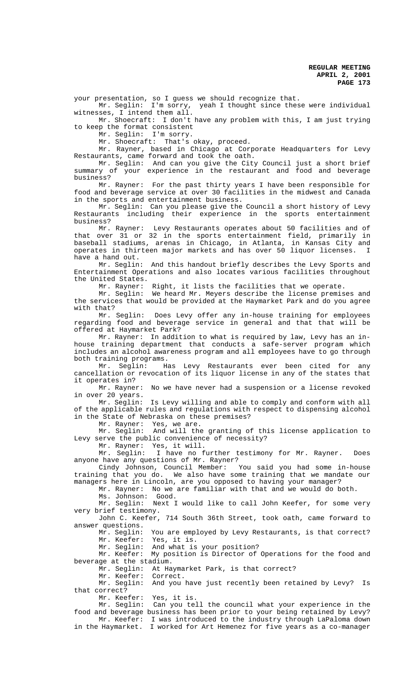your presentation, so I guess we should recognize that.

Mr. Seglin: I'm sorry, yeah I thought since these were individual witnesses, I intend them all.

Mr. Shoecraft: I don't have any problem with this, I am just trying to keep the format consistent

Mr. Seglin: I'm sorry.

Mr. Shoecraft: That's okay, proceed.

Mr. Rayner, based in Chicago at Corporate Headquarters for Levy Restaurants, came forward and took the oath.

Mr. Seglin: And can you give the City Council just a short brief summary of your experience in the restaurant and food and beverage business?

Mr. Rayner: For the past thirty years I have been responsible for food and beverage service at over 30 facilities in the midwest and Canada in the sports and entertainment business.

Mr. Seglin: Can you please give the Council a short history of Levy Restaurants including their experience in the sports entertainment business?

Mr. Rayner: Levy Restaurants operates about 50 facilities and of that over 31 or 32 in the sports entertainment field, primarily in baseball stadiums, arenas in Chicago, in Atlanta, in Kansas City and operates in thirteen major markets and has over 50 liquor licenses. I have a hand out.<br>Mr. Seglin:

And this handout briefly describes the Levy Sports and Entertainment Operations and also locates various facilities throughout the United States.

Mr. Rayner: Right, it lists the facilities that we operate.

Mr. Seglin: We heard Mr. Meyers describe the license premises and the services that would be provided at the Haymarket Park and do you agree with that?

Mr. Seglin: Does Levy offer any in-house training for employees regarding food and beverage service in general and that that will be offered at Haymarket Park?

Mr. Rayner: In addition to what is required by law, Levy has an inhouse training department that conducts a safe-server program which includes an alcohol awareness program and all employees have to go through both training programs.<br>Mr. Seglin: H

Has Levy Restaurants ever been cited for any cancellation or revocation of its liquor license in any of the states that it operates in?

Mr. Rayner: No we have never had a suspension or a license revoked in over 20 years.

Mr. Seglin: Is Levy willing and able to comply and conform with all of the applicable rules and regulations with respect to dispensing alcohol in the State of Nebraska on these premises?

Mr. Rayner: Yes, we are.<br>Mr. Seglin: And will the

And will the granting of this license application to Levy serve the public convenience of necessity?

Mr. Rayner: Yes, it will.

Mr. Seglin: I have no further testimony for Mr. Rayner. Does anyone have any questions of Mr. Rayner?

Cindy Johnson, Council Member: You said you had some in-house training that you do. We also have some training that we mandate our managers here in Lincoln, are you opposed to having your manager?

Mr. Rayner: No we are familiar with that and we would do both.

Ms. Johnson: Good.

Mr. Seglin: Next I would like to call John Keefer, for some very very brief testimony.

John C. Keefer, 714 South 36th Street, took oath, came forward to answer questions.<br>Mr. Seqlin:

You are employed by Levy Restaurants, is that correct? Mr. Keefer: Yes, it is.

Mr. Seglin: And what is your position?

Mr. Keefer: My position is Director of Operations for the food and beverage at the stadium.

Mr. Seglin: At Haymarket Park, is that correct?<br>Mr. Keefer: Correct.

Mr. Keefer: Correct.

Mr. Seglin: And you have just recently been retained by Levy? Is that correct?

Mr. Keefer: Yes, it is.

Mr. Seglin: Can you tell the council what your experience in the food and beverage business has been prior to your being retained by Levy? Mr. Keefer: I was introduced to the industry through LaPaloma down in the Haymarket. I worked for Art Hemenez for five years as a co-manager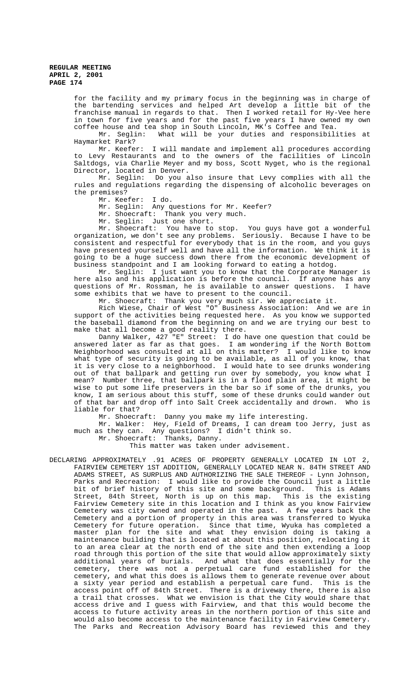for the facility and my primary focus in the beginning was in charge of the bartending services and helped Art develop a little bit of the franchise manual in regards to that. Then I worked retail for Hy-Vee here in town for five years and for the past five years I have owned my own coffee house and tea shop in South Lincoln, MK's Coffee and Tea.

Mr. Seglin: What will be your duties and responsibilities at Haymarket Park?

Mr. Keefer: I will mandate and implement all procedures according to Levy Restaurants and to the owners of the facilities of Lincoln Saltdogs, via Charlie Meyer and my boss, Scott Nyget, who is the regional Director, located in Denver.

Mr. Seglin: Do you also insure that Levy complies with all the rules and regulations regarding the dispensing of alcoholic beverages on the premises?

Mr. Keefer: I do.

Mr. Seglin: Any questions for Mr. Keefer?

Mr. Shoecraft: Thank you very much.

Mr. Seglin: Just one short.

Mr. Shoecraft: You have to stop. You guys have got a wonderful organization, we don't see any problems. Seriously. Because I have to be consistent and respectful for everybody that is in the room, and you guys have presented yourself well and have all the information. We think it is going to be a huge success down there from the economic development of business standpoint and I am looking forward to eating a hotdog.

Mr. Seglin: I just want you to know that the Corporate Manager is here also and his application is before the council. If anyone has any questions of Mr. Rossman, he is available to answer questions. I have some exhibits that we have to present to the council.

Mr. Shoecraft: Thank you very much sir. We appreciate it.

Rich Wiese, Chair of West "O" Business Association: And we are in support of the activities being requested here. As you know we supported the baseball diamond from the beginning on and we are trying our best to make that all become a good reality there.

Danny Walker, 427 "E" Street: I do have one question that could be answered later as far as that goes. I am wondering if the North Bottom Neighborhood was consulted at all on this matter? I would like to know what type of security is going to be available, as all of you know, that it is very close to a neighborhood. I would hate to see drunks wondering out of that ballpark and getting run over by somebody, you know what I mean? Number three, that ballpark is in a flood plain area, it might be wise to put some life preservers in the bar so if some of the drunks, you know, I am serious about this stuff, some of these drunks could wander out of that bar and drop off into Salt Creek accidentally and drown. Who is liable for that?

Mr. Shoecraft: Danny you make my life interesting.

Mr. Walker: Hey, Field of Dreams, I can dream too Jerry, just as much as they can. Any questions? I didn't think so.

Mr. Shoecraft: Thanks, Danny.

This matter was taken under advisement.

DECLARING APPROXIMATELY .91 ACRES OF PROPERTY GENERALLY LOCATED IN LOT 2, FAIRVIEW CEMETERY 1ST ADDITION, GENERALLY LOCATED NEAR N. 84TH STREET AND ADAMS STREET, AS SURPLUS AND AUTHORIZING THE SALE THEREOF - Lynn Johnson, Parks and Recreation: I would like to provide the Council just a little bit of brief history of this site and some background. This is Adams Street, 84th Street, North is up on this map. This is the existing Fairview Cemetery site in this location and I think as you know Fairview Cemetery was city owned and operated in the past. A few years back the Cemetery and a portion of property in this area was transferred to Wyuka Cemetery for future operation. Since that time, Wyuka has completed a master plan for the site and what they envision doing is taking a maintenance building that is located at about this position, relocating it to an area clear at the north end of the site and then extending a loop road through this portion of the site that would allow approximately sixty additional years of burials. And what that does essentially for the cemetery, there was not a perpetual care fund established for the cemetery, and what this does is allows them to generate revenue over about a sixty year period and establish a perpetual care fund. This is the access point off of 84th Street. There is a driveway there, there is also a trail that crosses. What we envision is that the City would share that access drive and I guess with Fairview, and that this would become the access to future activity areas in the northern portion of this site and would also become access to the maintenance facility in Fairview Cemetery. The Parks and Recreation Advisory Board has reviewed this and they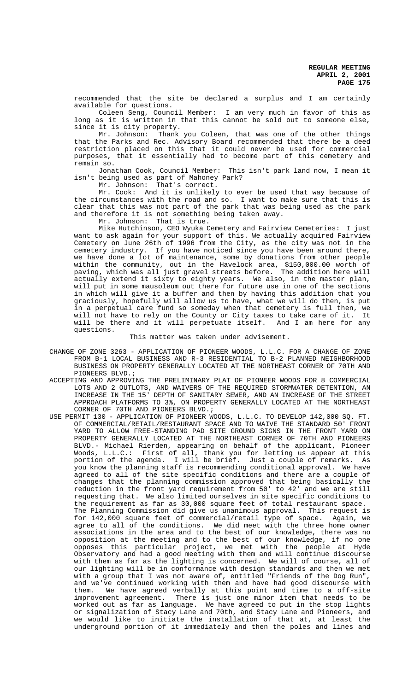recommended that the site be declared a surplus and I am certainly available for questions.

Coleen Seng, Council Member: I am very much in favor of this as long as it is written in that this cannot be sold out to someone else, since it is city property.

Mr. Johnson: Thank you Coleen, that was one of the other things that the Parks and Rec. Advisory Board recommended that there be a deed restriction placed on this that it could never be used for commercial purposes, that it essentially had to become part of this cemetery and remain so.

Jonathan Cook, Council Member: This isn't park land now, I mean it isn't being used as part of Mahoney Park?

Mr. Johnson: That's correct.

Mr. Cook: And it is unlikely to ever be used that way because of the circumstances with the road and so. I want to make sure that this is clear that this was not part of the park that was being used as the park and therefore it is not something being taken away.

Mr. Johnson: That is true.

Mike Hutchinson, CEO Wyuka Cemetery and Fairview Cemeteries: I just want to ask again for your support of this. We actually acquired Fairview Cemetery on June 26th of 1996 from the City, as the city was not in the cemetery industry. If you have noticed since you have been around there, we have done a lot of maintenance, some by donations from other people within the community, out in the Havelock area, \$150,000.00 worth of paving, which was all just gravel streets before. The addition here will actually extend it sixty to eighty years. We also, in the master plan, will put in some mausoleum out there for future use in one of the sections in which will give it a buffer and then by having this addition that you graciously, hopefully will allow us to have, what we will do then, is put in a perpetual care fund so someday when that cemetery is full then, we will not have to rely on the County or City taxes to take care of it. It will be there and it will perpetuate itself. And I am here for any questions.

# This matter was taken under advisement.

- CHANGE OF ZONE 3263 APPLICATION OF PIONEER WOODS, L.L.C. FOR A CHANGE OF ZONE FROM B-1 LOCAL BUSINESS AND R-3 RESIDENTIAL TO B-2 PLANNED NEIGHBORHOOD BUSINESS ON PROPERTY GENERALLY LOCATED AT THE NORTHEAST CORNER OF 70TH AND PIONEERS BLVD.;
- ACCEPTING AND APPROVING THE PRELIMINARY PLAT OF PIONEER WOODS FOR 8 COMMERCIAL LOTS AND 2 OUTLOTS, AND WAIVERS OF THE REQUIRED STORMWATER DETENTION, AN INCREASE IN THE 15' DEPTH OF SANITARY SEWER, AND AN INCREASE OF THE STREET APPROACH PLATFORMS TO 3%, ON PROPERTY GENERALLY LOCATED AT THE NORTHEAST CORNER OF 70TH AND PIONEERS BLVD.;
- USE PERMIT 130 APPLICATION OF PIONEER WOODS, L.L.C. TO DEVELOP 142,000 SQ. FT. OF COMMERCIAL/RETAIL/RESTAURANT SPACE AND TO WAIVE THE STANDARD 50' FRONT YARD TO ALLOW FREE-STANDING PAD SITE GROUND SIGNS IN THE FRONT YARD ON PROPERTY GENERALLY LOCATED AT THE NORTHEAST CORNER OF 70TH AND PIONEERS BLVD.- Michael Rierden, appearing on behalf of the applicant, Pioneer Woods, L.L.C.: First of all, thank you for letting us appear at this portion of the agenda. I will be brief. Just a couple of remarks. As you know the planning staff is recommending conditional approval. We have agreed to all of the site specific conditions and there are a couple of changes that the planning commission approved that being basically the reduction in the front yard requirement from 50' to 42' and we are still requesting that. We also limited ourselves in site specific conditions to the requirement as far as 30,000 square feet of total restaurant space. The Planning Commission did give us unanimous approval. This request is for 142,000 square feet of commercial/retail type of space. Again, we agree to all of the conditions. We did meet with the three home owner associations in the area and to the best of our knowledge, there was no opposition at the meeting and to the best of our knowledge, if no one opposes this particular project, we met with the people at Hyde Observatory and had a good meeting with them and will continue discourse with them as far as the lighting is concerned. We will of course, all of our lighting will be in conformance with design standards and then we met with a group that I was not aware of, entitled "Friends of the Dog Run", and we've continued working with them and have had good discourse with them. We have agreed verbally at this point and time to a off-site improvement agreement. There is just one minor item that needs to be worked out as far as language. We have agreed to put in the stop lights or signalization of Stacy Lane and 70th, and Stacy Lane and Pioneers, and we would like to initiate the installation of that at, at least the underground portion of it immediately and then the poles and lines and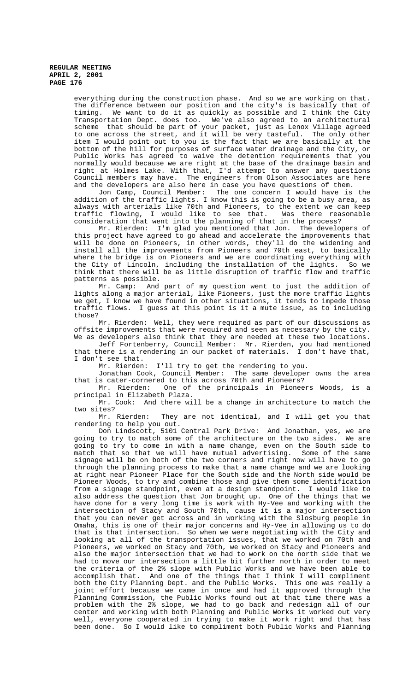> everything during the construction phase. And so we are working on that. The difference between our position and the city's is basically that of timing. We want to do it as quickly as possible and I think the City Transportation Dept. does too. We've also agreed to an architectural scheme that should be part of your packet, just as Lenox Village agreed to one across the street, and it will be very tasteful. The only other item I would point out to you is the fact that we are basically at the bottom of the hill for purposes of surface water drainage and the City, or Public Works has agreed to waive the detention requirements that you normally would because we are right at the base of the drainage basin and right at Holmes Lake. With that, I'd attempt to answer any questions Council members may have. The engineers from Olson Associates are here and the developers are also here in case you have questions of them.<br>Jon Camp, Council Member: The one concern I would have is

> The one concern I would have is the addition of the traffic lights. I know this is going to be a busy area, as always with arterials like 70th and Pioneers, to the extent we can keep traffic flowing, I would like to see that. Was there reasonable consideration that went into the planning of that in the process?

> Mr. Rierden: I'm glad you mentioned that Jon. The developers of this project have agreed to go ahead and accelerate the improvements that will be done on Pioneers, in other words, they'll do the widening and install all the improvements from Pioneers and 70th east, to basically where the bridge is on Pioneers and we are coordinating everything with the City of Lincoln, including the installation of the lights. So we think that there will be as little disruption of traffic flow and traffic patterns as possible.

> Mr. Camp: And part of my question went to just the addition of lights along a major arterial, like Pioneers, just the more traffic lights we get, I know we have found in other situations, it tends to impede those traffic flows. I guess at this point is it a mute issue, as to including those?

> Mr. Rierden: Well, they were required as part of our discussions as offsite improvements that were required and seen as necessary by the city. We as developers also think that they are needed at these two locations.

> Jeff Fortenberry, Council Member: Mr. Rierden, you had mentioned that there is a rendering in our packet of materials. I don't have that, I don't see that.<br>Mr. Rierden:

I'll try to get the rendering to you.

Jonathan Cook, Council Member: The same developer owns the area that is cater-cornered to this across 70th and Pioneers?

Mr. Rierden: One of the principals in Pioneers Woods, is a principal in Elizabeth Plaza.

Mr. Cook: And there will be a change in architecture to match the two sites?

Mr. Rierden: They are not identical, and I will get you that rendering to help you out.

Don Lindscott, 5101 Central Park Drive: And Jonathan, yes, we are going to try to match some of the architecture on the two sides. We are going to try to come in with a name change, even on the South side to match that so that we will have mutual advertising. Some of the same match that so that we will have mutual advertising. signage will be on both of the two corners and right now will have to go through the planning process to make that a name change and we are looking at right near Pioneer Place for the South side and the North side would be Pioneer Woods, to try and combine those and give them some identification from a signage standpoint, even at a design standpoint. I would like to also address the question that Jon brought up. One of the things that we have done for a very long time is work with Hy-Vee and working with the intersection of Stacy and South 70th, cause it is a major intersection that you can never get across and in working with the Slosburg people in Omaha, this is one of their major concerns and Hy-Vee in allowing us to do that is that intersection. So when we were negotiating with the City and looking at all of the transportation issues, that we worked on 70th and Pioneers, we worked on Stacy and 70th, we worked on Stacy and Pioneers and also the major intersection that we had to work on the north side that we had to move our intersection a little bit further north in order to meet the criteria of the 2% slope with Public Works and we have been able to accomplish that. And one of the things that I think I will compliment both the City Planning Dept. and the Public Works. This one was really a joint effort because we came in once and had it approved through the Planning Commission, the Public Works found out at that time there was a problem with the 2% slope, we had to go back and redesign all of our center and working with both Planning and Public Works it worked out very well, everyone cooperated in trying to make it work right and that has been done. So I would like to compliment both Public Works and Planning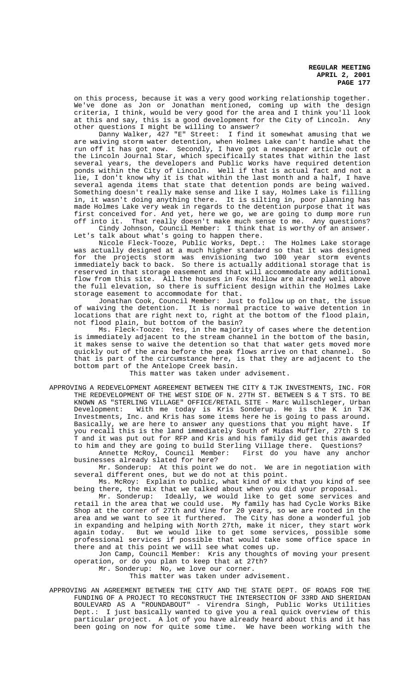on this process, because it was a very good working relationship together. We've done as Jon or Jonathan mentioned, coming up with the design criteria, I think, would be very good for the area and I think you'll look at this and say, this is a good development for the City of Lincoln. Any other questions I might be willing to answer?

Danny Walker, 427 "E" Street: I find it somewhat amusing that we are waiving storm water detention, when Holmes Lake can't handle what the run off it has got now. Secondly, I have got a newspaper article out of the Lincoln Journal Star, which specifically states that within the last several years, the developers and Public Works have required detention ponds within the City of Lincoln. Well if that is actual fact and not a lie, I don't know why it is that within the last month and a half, I have several agenda items that state that detention ponds are being waived. Something doesn't really make sense and like I say, Holmes Lake is filling in, it wasn't doing anything there. It is silting in, poor planning has made Holmes Lake very weak in regards to the detention purpose that it was first conceived for. And yet, here we go, we are going to dump more run off into it. That really doesn't make much sense to me. Any questions?

Cindy Johnson, Council Member: I think that is worthy of an answer. Let's talk about what's going to happen there.

Nicole Fleck-Tooze, Public Works, Dept.: The Holmes Lake storage was actually designed at a much higher standard so that it was designed for the projects storm was envisioning two 100 year storm events immediately back to back. So there is actually additional storage that is reserved in that storage easement and that will accommodate any additional flow from this site. All the houses in Fox Hollow are already well above the full elevation, so there is sufficient design within the Holmes Lake storage easement to accommodate for that.

Jonathan Cook, Council Member: Just to follow up on that, the issue of waiving the detention. It is normal practice to waive detention in locations that are right next to, right at the bottom of the flood plain, not flood plain, but bottom of the basin?

Ms. Fleck-Tooze: Yes, in the majority of cases where the detention is immediately adjacent to the stream channel in the bottom of the basin, it makes sense to waive the detention so that that water gets moved more quickly out of the area before the peak flows arrive on that channel. So that is part of the circumstance here, is that they are adjacent to the bottom part of the Antelope Creek basin.

This matter was taken under advisement.

APPROVING A REDEVELOPMENT AGREEMENT BETWEEN THE CITY & TJK INVESTMENTS, INC. FOR THE REDEVELOPMENT OF THE WEST SIDE OF N. 27TH ST. BETWEEN S & T STS. TO BE KNOWN AS "STERLING VILLAGE" OFFICE/RETAIL SITE - Marc Wullschleger, Urban Development: With me today is Kris Sonderup. He is the K in TJK Investments, Inc. and Kris has some items here he is going to pass around. Basically, we are here to answer any questions that you might have. If you recall this is the land immediately South of Midas Muffler, 27th S to T and it was put out for RFP and Kris and his family did get this awarded to him and they are going to build Sterling Village there. Questions?<br>Annette McRoy, Council Member: First do you have any anchor

Annette McRoy, Council Member: businesses already slated for here?

Mr. Sonderup: At this point we do not. We are in negotiation with several different ones, but we do not at this point.

Ms. McRoy: Explain to public, what kind of mix that you kind of see being there, the mix that we talked about when you did your proposal.

Mr. Sonderup: Ideally, we would like to get some services and retail in the area that we could use. My family has had Cycle Works Bike Shop at the corner of 27th and Vine for 20 years, so we are rooted in the area and we want to see it furthered. The City has done a wonderful job in expanding and helping with North 27th, make it nicer, they start work again today. But we would like to get some services, possible some professional services if possible that would take some office space in there and at this point we will see what comes up.

Jon Camp, Council Member: Kris any thoughts of moving your present operation, or do you plan to keep that at 27th?

Mr. Sonderup: No, we love our corner.

This matter was taken under advisement.

APPROVING AN AGREEMENT BETWEEN THE CITY AND THE STATE DEPT. OF ROADS FOR THE FUNDING OF A PROJECT TO RECONSTRUCT THE INTERSECTION OF 33RD AND SHERIDAN BOULEVARD AS A "ROUNDABOUT" - Virendra Singh, Public Works Utilities Dept.: I just basically wanted to give you a real quick overview of this particular project. A lot of you have already heard about this and it has been going on now for quite some time. We have been working with the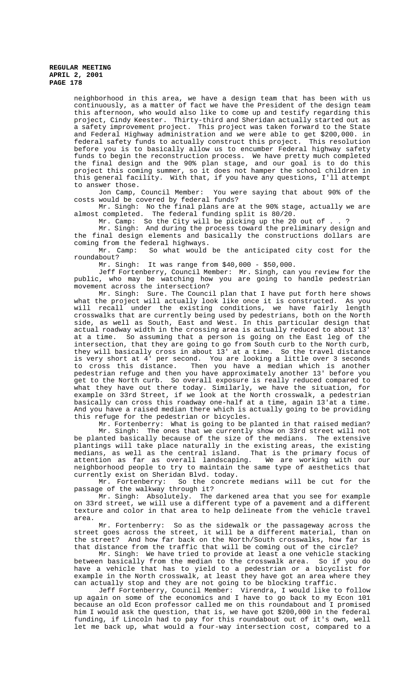neighborhood in this area, we have a design team that has been with us continuously, as a matter of fact we have the President of the design team this afternoon, who would also like to come up and testify regarding this project, Cindy Keester. Thirty-third and Sheridan actually started out as a safety improvement project. This project was taken forward to the State and Federal Highway administration and we were able to get \$200,000. in federal safety funds to actually construct this project. This resolution before you is to basically allow us to encumber Federal highway safety funds to begin the reconstruction process. We have pretty much completed the final design and the 90% plan stage, and our goal is to do this project this coming summer, so it does not hamper the school children in this general facility. With that, if you have any questions, I'll attempt

to answer those.<br>Jon Camp, Council Member: You were saying that about 90% of the costs would be covered by federal funds?

Mr. Singh: No the final plans are at the 90% stage, actually we are almost completed. The federal funding split is 80/20.

Mr. Camp: So the City will be picking up the 20 out of . . ?

Mr. Singh: And during the process toward the preliminary design and the final design elements and basically the constructions dollars are coming from the federal highways.<br>Mr. Camp: So what would

So what would be the anticipated city cost for the roundabout?

Mr. Singh: It was range from \$40,000 - \$50,000.

Jeff Fortenberry, Council Member: Mr. Singh, can you review for the public, who may be watching how you are going to handle pedestrian movement across the intersection?

 Mr. Singh: Sure. The Council plan that I have put forth here shows what the project will actually look like once it is constructed. As you will recall under the existing conditions, we have fairly length crosswalks that are currently being used by pedestrians, both on the North side, as well as South, East and West. In this particular design that actual roadway width in the crossing area is actually reduced to about 13' at a time. So assuming that a person is going on the East leg of the intersection, that they are going to go from South curb to the North curb, they will basically cross in about 13' at a time. So the travel distance is very short at 4' per second. You are looking a little over 3 seconds to cross this distance. Then you have a median which is another pedestrian refuge and then you have approximately another 13' before you get to the North curb. So overall exposure is really reduced compared to what they have out there today. Similarly, we have the situation, for example on 33rd Street, if we look at the North crosswalk, a pedestrian basically can cross this roadway one-half at a time, again 13'at a time. And you have a raised median there which is actually going to be providing this refuge for the pedestrian or bicycles.

Mr. Fortenberry: What is going to be planted in that raised median? Mr. Singh: The ones that we currently show on 33rd street will not be planted basically because of the size of the medians. The extensive plantings will take place naturally in the existing areas, the existing medians, as well as the central island. That is the primary focus of attention as far as overall landscaping. We are working with our neighborhood people to try to maintain the same type of aesthetics that currently exist on Sheridan Blvd. today.

Mr. Fortenberry: So the concrete medians will be cut for the passage of the walkway through it?

Mr. Singh: Absolutely. The darkened area that you see for example on 33rd street, we will use a different type of a pavement and a different texture and color in that area to help delineate from the vehicle travel area.

Mr. Fortenberry: So as the sidewalk or the passageway across the street goes across the street, it will be a different material, than on the street? And how far back on the North/South crosswalks, how far is that distance from the traffic that will be coming out of the circle?

Mr. Singh: We have tried to provide at least a one vehicle stacking between basically from the median to the crosswalk area. So if you do have a vehicle that has to yield to a pedestrian or a bicyclist for example in the North crosswalk, at least they have got an area where they can actually stop and they are not going to be blocking traffic.

Jeff Fortenberry, Council Member: Virendra, I would like to follow up again on some of the economics and I have to go back to my Econ 101 because an old Econ professor called me on this roundabout and I promised him I would ask the question, that is, we have got \$200,000 in the federal funding, if Lincoln had to pay for this roundabout out of it's own, well let me back up, what would a four-way intersection cost, compared to a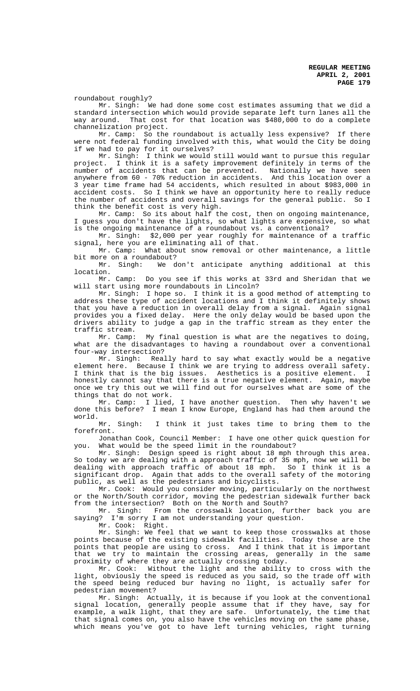roundabout roughly?

Mr. Singh: We had done some cost estimates assuming that we did a standard intersection which would provide separate left turn lanes all the way around. That cost for that location was \$480,000 to do a complete channelization project.

Mr. Camp: So the roundabout is actually less expensive? If there were not federal funding involved with this, what would the City be doing if we had to pay for it ourselves?

Mr. Singh: I think we would still would want to pursue this regular project. I think it is a safety improvement definitely in terms of the number of accidents that can be prevented. Nationally we have seen anywhere from 60 - 70% reduction in accidents. And this location over a 3 year time frame had 54 accidents, which resulted in about \$983,000 in accident costs. So I think we have an opportunity here to really reduce the number of accidents and overall savings for the general public. So I think the benefit cost is very high.

Mr. Camp: So its about half the cost, then on ongoing maintenance, I guess you don't have the lights, so what lights are expensive, so what is the ongoing maintenance of a roundabout vs. a conventional?

Mr. Singh: \$2,000 per year roughly for maintenance of a traffic signal, here you are eliminating all of that.

Mr. Camp: What about snow removal or other maintenance, a little

bit more on a roundabout?<br>Mr. Singh: We d We don't anticipate anything additional at this location.

Mr. Camp: Do you see if this works at 33rd and Sheridan that we will start using more roundabouts in Lincoln?

Mr. Singh: I hope so. I think it is a good method of attempting to address these type of accident locations and I think it definitely shows that you have a reduction in overall delay from a signal. Again signal provides you a fixed delay. Here the only delay would be based upon the drivers ability to judge a gap in the traffic stream as they enter the

traffic stream.<br>Mr. Camp: My final question is what are the negatives to doing, what are the disadvantages to having a roundabout over a conventional four-way intersection?

Mr. Singh: Really hard to say what exactly would be a negative element here. Because I think we are trying to address overall safety. I think that is the big issues. Aesthetics is a positive element. I honestly cannot say that there is a true negative element. Again, maybe once we try this out we will find out for ourselves what are some of the things that do not work.

Mr. Camp: I lied, I have another question. Then why haven't we done this before? I mean I know Europe, England has had them around the world.

Mr. Singh: I think it just takes time to bring them to the forefront.

Jonathan Cook, Council Member: I have one other quick question for you. What would be the speed limit in the roundabout?

Mr. Singh: Design speed is right about 18 mph through this area. So today we are dealing with a approach traffic of 35 mph, now we will be dealing with approach traffic of about 18 mph. So I think it is a significant drop. Again that adds to the overall safety of the motoring public, as well as the pedestrians and bicyclists.

Mr. Cook: Would you consider moving, particularly on the northwest or the North/South corridor, moving the pedestrian sidewalk further back from the intersection? Both on the North and South?

Mr. Singh: From the crosswalk location, further back you are saying? I'm sorry I am not understanding your question.

Mr. Cook: Right.

Mr. Singh: We feel that we want to keep those crosswalks at those points because of the existing sidewalk facilities. Today those are the points that people are using to cross. And I think that it is important that we try to maintain the crossing areas, generally in the same proximity of where they are actually crossing today.

Mr. Cook: Without the light and the ability to cross with the light, obviously the speed is reduced as you said, so the trade off with the speed being reduced bur having no light, is actually safer for pedestrian movement?

Mr. Singh: Actually, it is because if you look at the conventional signal location, generally people assume that if they have, say for example, a walk light, that they are safe. Unfortunately, the time that that signal comes on, you also have the vehicles moving on the same phase, which means you've got to have left turning vehicles, right turning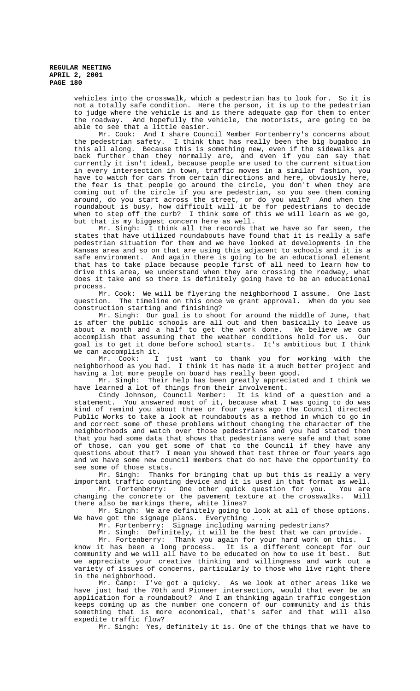vehicles into the crosswalk, which a pedestrian has to look for. So it is not a totally safe condition. Here the person, it is up to the pedestrian to judge where the vehicle is and is there adequate gap for them to enter the roadway. And hopefully the vehicle, the motorists, are going to be able to see that a little easier.

Mr. Cook: And I share Council Member Fortenberry's concerns about the pedestrian safety. I think that has really been the big bugaboo in this all along. Because this is something new, even if the sidewalks are back further than they normally are, and even if you can say that currently it isn't ideal, because people are used to the current situation in every intersection in town, traffic moves in a similar fashion, you have to watch for cars from certain directions and here, obviously here, the fear is that people go around the circle, you don't when they are coming out of the circle if you are pedestrian, so you see them coming around, do you start across the street, or do you wait? And when the roundabout is busy, how difficult will it be for pedestrians to decide when to step off the curb? I think some of this we will learn as we go, but that is my biggest concern here as well.

Mr. Singh: I think all the records that we have so far seen, the states that have utilized roundabouts have found that it is really a safe pedestrian situation for them and we have looked at developments in the Kansas area and so on that are using this adjacent to schools and it is a safe environment. And again there is going to be an educational element that has to take place because people first of all need to learn how to drive this area, we understand when they are crossing the roadway, what does it take and so there is definitely going have to be an educational process.

Mr. Cook: We will be flyering the neighborhood I assume. One last question. The timeline on this once we grant approval. When do you see construction starting and finishing?

Mr. Singh: Our goal is to shoot for around the middle of June, that is after the public schools are all out and then basically to leave us about a month and a half to get the work done. We believe we can accomplish that assuming that the weather conditions hold for us. Our goal is to get it done before school starts. It's ambitious but I think

we can accomplish it.<br>Mr. Cook: I I just want to thank you for working with the neighborhood as you had. I think it has made it a much better project and having a lot more people on board has really been good.

Mr. Singh: Their help has been greatly appreciated and I think we have learned a lot of things from their involvement.

Cindy Johnson, Council Member: It is kind of a question and a statement. You answered most of it, because what I was going to do was kind of remind you about three or four years ago the Council directed Public Works to take a look at roundabouts as a method in which to go in and correct some of these problems without changing the character of the neighborhoods and watch over those pedestrians and you had stated then that you had some data that shows that pedestrians were safe and that some of those, can you get some of that to the Council if they have any questions about that? I mean you showed that test three or four years ago and we have some new council members that do not have the opportunity to see some of those stats.

Mr. Singh: Thanks for bringing that up but this is really a very important traffic counting device and it is used in that format as well. Mr. Fortenberry: One other quick question for you. You are

changing the concrete or the pavement texture at the crosswalks. Will there also be markings there, white lines?

Mr. Singh: We are definitely going to look at all of those options. We have got the signage plans. Everything . .<br>Mr. Fortenberry: Signage including warn.

Signage including warning pedestrians?

Mr. Singh: Definitely, it will be the best that we can provide.

Mr. Fortenberry: Thank you again for your hard work on this. I know it has been a long process. It is a different concept for our community and we will all have to be educated on how to use it best. But we appreciate your creative thinking and willingness and work out a variety of issues of concerns, particularly to those who live right there in the neighborhood.

Mr. Camp: I've got a quicky. As we look at other areas like we have just had the 70th and Pioneer intersection, would that ever be an application for a roundabout? And I am thinking again traffic congestion keeps coming up as the number one concern of our community and is this something that is more economical, that's safer and that will also expedite traffic flow?

Mr. Singh: Yes, definitely it is. One of the things that we have to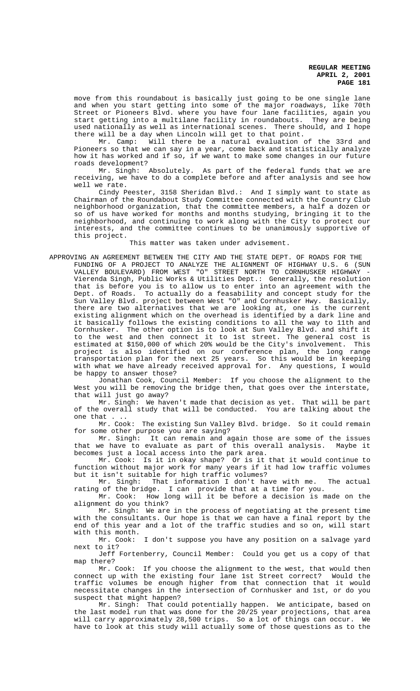move from this roundabout is basically just going to be one single lane and when you start getting into some of the major roadways, like 70th Street or Pioneers Blvd. where you have four lane facilities, again you start getting into a multilane facility in roundabouts. They are being used nationally as well as international scenes. There should, and I hope there will be a day when Lincoln will get to that point.

Mr. Camp: Will there be a natural evaluation of the 33rd and Pioneers so that we can say in a year, come back and statistically analyze how it has worked and if so, if we want to make some changes in our future roads development?

Mr. Singh: Absolutely. As part of the federal funds that we are receiving, we have to do a complete before and after analysis and see how well we rate.

Cindy Peester, 3158 Sheridan Blvd.: And I simply want to state as Chairman of the Roundabout Study Committee connected with the Country Club neighborhood organization, that the committee members, a half a dozen or so of us have worked for months and months studying, bringing it to the neighborhood, and continuing to work along with the City to protect our interests, and the committee continues to be unanimously supportive of this project.

# This matter was taken under advisement.

APPROVING AN AGREEMENT BETWEEN THE CITY AND THE STATE DEPT. OF ROADS FOR THE FUNDING OF A PROJECT TO ANALYZE THE ALIGNMENT OF HIGHWAY U.S. 6 (SUN VALLEY BOULEVARD) FROM WEST "O" STREET NORTH TO CORNHUSKER HIGHWAY - Vierenda Singh, Public Works & Utilities Dept.: Generally, the resolution that is before you is to allow us to enter into an agreement with the Dept. of Roads. To actually do a feasability and concept study for the Sun Valley Blvd. project between West "O" and Cornhusker Hwy. Basically, there are two alternatives that we are looking at, one is the current existing alignment which on the overhead is identified by a dark line and it basically follows the existing conditions to all the way to 11th and Cornhusker. The other option is to look at Sun Valley Blvd. and shift it to the west and then connect it to 1st street. The general cost is estimated at \$150,000 of which 20% would be the City's involvement. This project is also identified on our conference plan, the long range transportation plan for the next 25 years. So this would be in keeping with what we have already received approval for. Any questions, I would be happy to answer those?

Jonathan Cook, Council Member: If you choose the alignment to the West you will be removing the bridge then, that goes over the interstate, that will just go away?

Mr. Singh: We haven't made that decision as yet. That will be part of the overall study that will be conducted. You are talking about the one that . ..

Mr. Cook: The existing Sun Valley Blvd. bridge. So it could remain for some other purpose you are saying?

Mr. Singh: It can remain and again those are some of the issues<br>we have to evaluate as part of this overall analysis. Maybe it that we have to evaluate as part of this overall analysis. becomes just a local access into the park area.

Mr. Cook: Is it in okay shape? Or is it that it would continue to function without major work for many years if it had low traffic volumes but it isn't suitable for high traffic volumes?

Mr. Singh: That information I don't have with me. The actual rating of the bridge. I can provide that at a time for you.

Mr. Cook: How long will it be before a decision is made on the alignment do you think?

Mr. Singh: We are in the process of negotiating at the present time with the consultants. Our hope is that we can have a final report by the end of this year and a lot of the traffic studies and so on, will start with this month.<br> $Mr. Cook:$ 

I don't suppose you have any position on a salvage yard next to it?

Jeff Fortenberry, Council Member: Could you get us a copy of that map there?

Mr. Cook: If you choose the alignment to the west, that would then connect up with the existing four lane 1st Street correct? Would the traffic volumes be enough higher from that connection that it would necessitate changes in the intersection of Cornhusker and 1st, or do you suspect that might happen?

Mr. Singh: That could potentially happen. We anticipate, based on the last model run that was done for the 20/25 year projections, that area will carry approximately 28,500 trips. So a lot of things can occur. We have to look at this study will actually some of those questions as to the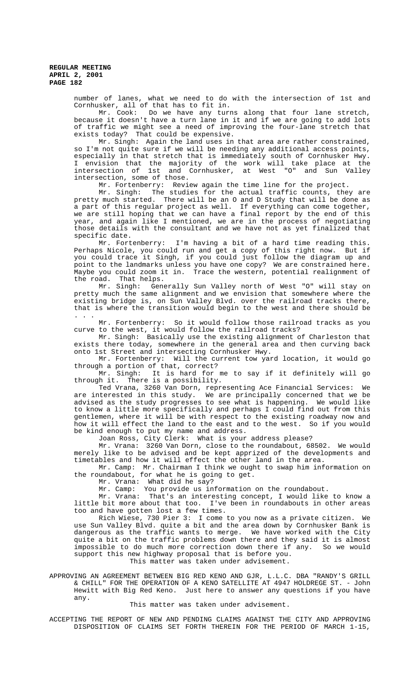number of lanes, what we need to do with the intersection of 1st and Cornhusker, all of that has to fit in.

Mr. Cook: Do we have any turns along that four lane stretch, because it doesn't have a turn lane in it and if we are going to add lots of traffic we might see a need of improving the four-lane stretch that exists today? That could be expensive.

Mr. Singh: Again the land uses in that area are rather constrained, so I'm not quite sure if we will be needing any additional access points, especially in that stretch that is immediately south of Cornhusker Hwy. I envision that the majority of the work will take place at the intersection of 1st and Cornhusker, at West "O" and Sun Valley intersection, some of those.

Mr. Fortenberry: Review again the time line for the project.

Mr. Singh: The studies for the actual traffic counts, they are pretty much started. There will be an O and D Study that will be done as a part of this regular project as well. If everything can come together, we are still hoping that we can have a final report by the end of this year, and again like I mentioned, we are in the process of negotiating those details with the consultant and we have not as yet finalized that specific date.

Mr. Fortenberry: I'm having a bit of a hard time reading this. Perhaps Nicole, you could run and get a copy of this right now. But if you could trace it Singh, if you could just follow the diagram up and point to the landmarks unless you have one copy? We are constrained here. Maybe you could zoom it in. Trace the western, potential realignment of the road. That helps.

Mr. Singh: Generally Sun Valley north of West "O" will stay on pretty much the same alignment and we envision that somewhere where the existing bridge is, on Sun Valley Blvd. over the railroad tracks there, that is where the transition would begin to the west and there should be . . .

Mr. Fortenberry: So it would follow those railroad tracks as you curve to the west, it would follow the railroad tracks?

Mr. Singh: Basically use the existing alignment of Charleston that exists there today, somewhere in the general area and then curving back onto 1st Street and intersecting Cornhusker Hwy.

Mr. Fortenberry: Will the current tow yard location, it would go through a portion of that, correct?

Mr. Singh: It is hard for me to say if it definitely will go through it. There is a possibility.

Ted Vrana, 3260 Van Dorn, representing Ace Financial Services: We are interested in this study. We are principally concerned that we be advised as the study progresses to see what is happening. We would like to know a little more specifically and perhaps I could find out from this gentlemen, where it will be with respect to the existing roadway now and how it will effect the land to the east and to the west. So if you would be kind enough to put my name and address.

Joan Ross, City Clerk: What is your address please?

Mr. Vrana: 3260 Van Dorn, close to the roundabout, 68502. We would merely like to be advised and be kept apprized of the developments and timetables and how it will effect the other land in the area.

Mr. Camp: Mr. Chairman I think we ought to swap him information on the roundabout, for what he is going to get.

Mr. Vrana: What did he say?

Mr. Camp: You provide us information on the roundabout.

Mr. Vrana: That's an interesting concept, I would like to know a little bit more about that too. I've been in roundabouts in other areas too and have gotten lost a few times.

Rich Wiese, 730 Pier 3: I come to you now as a private citizen. use Sun Valley Blvd. quite a bit and the area down by Cornhusker Bank is dangerous as the traffic wants to merge. We have worked with the City quite a bit on the traffic problems down there and they said it is almost impossible to do much more correction down there if any. So we would support this new highway proposal that is before you.

This matter was taken under advisement.

APPROVING AN AGREEMENT BETWEEN BIG RED KENO AND GJR, L.L.C. DBA "RANDY'S GRILL & CHILL" FOR THE OPERATION OF A KENO SATELLITE AT 4947 HOLDREGE ST. - John Hewitt with Big Red Keno. Just here to answer any questions if you have any.

#### This matter was taken under advisement.

ACCEPTING THE REPORT OF NEW AND PENDING CLAIMS AGAINST THE CITY AND APPROVING DISPOSITION OF CLAIMS SET FORTH THEREIN FOR THE PERIOD OF MARCH 1-15,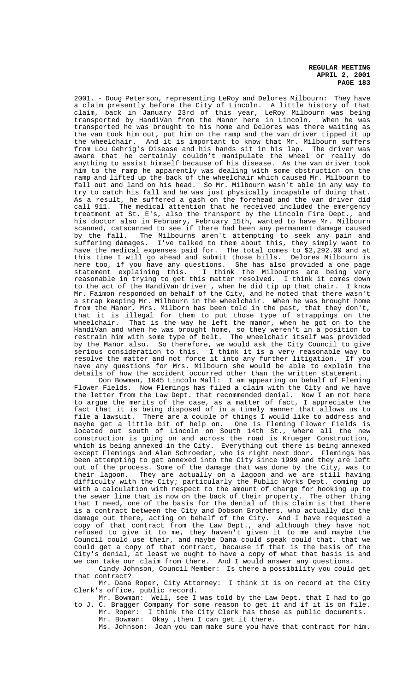2001. - Doug Peterson, representing LeRoy and Delores Milbourn: They have a claim presently before the City of Lincoln. A little history of that claim, back in January 23rd of this year, LeRoy Milbourn was being transported by HandiVan from the Manor here in Lincoln. When he was transported he was brought to his home and Delores was there waiting as the van took him out, put him on the ramp and the van driver tipped it up the wheelchair. And it is important to know that Mr. Milbourn suffers from Lou Gehrig's Disease and his hands sit in his lap. The driver was aware that he certainly couldn't manipulate the wheel or really do anything to assist himself because of his disease. As the van driver took him to the ramp he apparently was dealing with some obstruction on the ramp and lifted up the back of the wheelchair which caused Mr. Milbourn to fall out and land on his head. So Mr. Milbourn wasn't able in any way to try to catch his fall and he was just physically incapable of doing that. As a result, he suffered a gash on the forehead and the van driver did call 911. The medical attention that he received included the emergency treatment at St. E's, also the transport by the Lincoln Fire Dept., and<br>treatment at St. E's, also the transport by the Lincoln Fire Dept., and his doctor also in February, February 15th, wanted to have Mr. Milbourn scanned, catscanned to see if there had been any permanent damage caused by the fall. The Milbourns aren't attempting to seek any pain and suffering damages. I've talked to them about this, they simply want to have the medical expenses paid for. The total comes to \$2,292.00 and at this time I will go ahead and submit those bills. Delores Milbourn is<br>here too, if you have any questions. She has also provided a one page here too, if you have any questions.<br>statement explaining this. I thir I think the Milbourns are being very reasonable in trying to get this matter resolved. I think it comes down to the act of the HandiVan driver , when he did tip up that chair. I know Mr. Faimon responded on behalf of the City, and he noted that there wasn't a strap keeping Mr. Milbourn in the wheelchair. When he was brought home from the Manor, Mrs. Milborn has been told in the past, that they don't, that it is illegal for them to put those type of strappings on the wheelchair. That is the way he left the manor, when he got on to the HandiVan and when he was brought home, so they weren't in a position to restrain him with some type of belt. The wheelchair itself was provided by the Manor also. So therefore, we would ask the City Council to give serious consideration to this. I think it is a very reasonable way to resolve the matter and not force it into any further litigation. If you have any questions for Mrs. Milbourn she would be able to explain the details of how the accident occurred other than the written statement.

Don Bowman, 1045 Lincoln Mall: I am appearing on behalf of Fleming Flower Fields. Now Flemings has filed a claim with the City and we have the letter from the Law Dept. that recommended denial. Now I am not here to argue the merits of the case, as a matter of fact, I appreciate the fact that it is being disposed of in a timely manner that allows us to file a lawsuit. There are a couple of things I would like to address and maybe get a little bit of help on. One is Fleming Flower Fields is located out south of Lincoln on South 14th St., where all the new construction is going on and across the road is Krueger Construction, which is being annexed in the City. Everything out there is being annexed except Flemings and Alan Schroeder, who is right next door. Flemings has been attempting to get annexed into the City since 1999 and they are left out of the process. Some of the damage that was done by the City, was to their lagoon. They are actually on a lagoon and we are still having They are actually on a lagoon and we are still having difficulty with the City; particularly the Public Works Dept. coming up with a calculation with respect to the amount of charge for hooking up to the sewer line that is now on the back of their property. The other thing that I need, one of the basis for the denial of this claim is that there is a contract between the City and Dobson Brothers, who actually did the damage out there, acting on behalf of the City. And I have requested a copy of that contract from the Law Dept., and although they have not refused to give it to me, they haven't given it to me and maybe the Council could use their, and maybe Dana could speak could that, that we could get a copy of that contract, because if that is the basis of the City's denial, at least we ought to have a copy of what that basis is and we can take our claim from there. And I would answer any questions.

Cindy Johnson, Council Member: Is there a possibility you could get that contract?

Mr. Dana Roper, City Attorney: I think it is on record at the City Clerk's office, public record.

Mr. Bowman: Well, see I was told by the Law Dept. that I had to go to J. C. Bragger Company for some reason to get it and if it is on file. Mr. Roper: I think the City Clerk has those as public documents.

Mr. Bowman: Okay ,then I can get it there.

Ms. Johnson: Joan you can make sure you have that contract for him.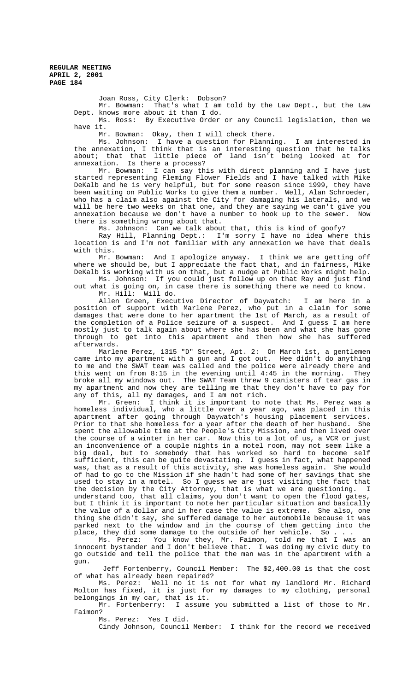Joan Ross, City Clerk: Dobson?

Mr. Bowman: That's what I am told by the Law Dept., but the Law Dept. knows more about it than I do.

Ms. Ross: By Executive Order or any Council legislation, then we have it.

Mr. Bowman: Okay, then I will check there.

Ms. Johnson: I have a question for Planning. I am interested in the annexation, I think that is an interesting question that he talks about; that that little piece of land isn't being looked at for annexation. Is there a process?

Mr. Bowman: I can say this with direct planning and I have just started representing Fleming Flower Fields and I have talked with Mike DeKalb and he is very helpful, but for some reason since 1999, they have been waiting on Public Works to give them a number. Well, Alan Schroeder, who has a claim also against the City for damaging his laterals, and we will be here two weeks on that one, and they are saying we can't give you annexation because we don't have a number to hook up to the sewer. Now there is something wrong about that.

Ms. Johnson: Can we talk about that, this is kind of goofy?

Ray Hill, Planning Dept.: I'm sorry I have no idea where this location is and I'm not familiar with any annexation we have that deals with this.

Mr. Bowman: And I apologize anyway. I think we are getting off where we should be, but I appreciate the fact that, and in fairness, Mike DeKalb is working with us on that, but a nudge at Public Works might help. Ms. Johnson: If you could just follow up on that Ray and just find

out what is going on, in case there is something there we need to know. Mr. Hill: Will do.

Allen Green, Executive Director of Daywatch: I am here in a position of support with Marlene Perez, who put in a claim for some damages that were done to her apartment the 1st of March, as a result of the completion of a Police seizure of a suspect. And I guess I am here mostly just to talk again about where she has been and what she has gone through to get into this apartment and then how she has suffered afterwards.

Marlene Perez, 1315 "D" Street, Apt. 2: On March 1st, a gentlemen came into my apartment with a gun and I got out. Hee didn't do anything to me and the SWAT team was called and the police were already there and this went on from 8:15 in the evening until 4:45 in the morning. They broke all my windows out. The SWAT Team threw 9 canisters of tear gas in my apartment and now they are telling me that they don't have to pay for any of this, all my damages, and I am not rich.

Mr. Green: I think it is important to note that Ms. Perez was a homeless individual, who a little over a year ago, was placed in this apartment after going through Daywatch's housing placement services. Prior to that she homeless for a year after the death of her husband. She spent the allowable time at the People's City Mission, and then lived over the course of a winter in her car. Now this to a lot of us, a VCR or just an inconvenience of a couple nights in a motel room, may not seem like a big deal, but to somebody that has worked so hard to become self sufficient, this can be quite devastating. I guess in fact, what happened was, that as a result of this activity, she was homeless again. She would of had to go to the Mission if she hadn't had some of her savings that she used to stay in a motel. So I guess we are just visiting the fact that the decision by the City Attorney, that is what we are questioning. I understand too, that all claims, you don't want to open the flood gates, but I think it is important to note her particular situation and basically the value of a dollar and in her case the value is extreme. She also, one thing she didn't say, she suffered damage to her automobile because it was parked next to the window and in the course of them getting into the place, they did some damage to the outside of her vehicle. So . . .

Ms. Perez: You know they, Mr. Faimon, told me that I was an innocent bystander and I don't believe that. I was doing my civic duty to go outside and tell the police that the man was in the apartment with a gun.

 Jeff Fortenberry, Council Member: The \$2,400.00 is that the cost of what has already been repaired?

Ms. Perez: Well no it is not for what my landlord Mr. Richard Molton has fixed, it is just for my damages to my clothing, personal belongings in my car, that is it.

Mr. Fortenberry: I assume you submitted a list of those to Mr. Faimon?

Ms. Perez: Yes I did.

Cindy Johnson, Council Member: I think for the record we received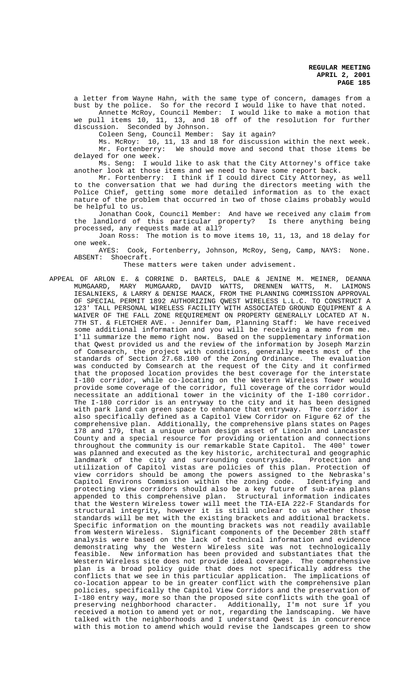a letter from Wayne Hahn, with the same type of concern, damages from a bust by the police. So for the record I would like to have that noted.

Annette McRoy, Council Member: I would like to make a motion that we pull items 10, 11, 13, and 18 off of the resolution for further discussion. Seconded by Johnson.

Coleen Seng, Council Member: Say it again?

Ms. McRoy: 10, 11, 13 and 18 for discussion within the next week. Mr. Fortenberry: We should move and second that those items be delayed for one week.

Ms. Seng: I would like to ask that the City Attorney's office take another look at those items and we need to have some report back.

Mr. Fortenberry: I think if I could direct City Attorney, as well to the conversation that we had during the directors meeting with the Police Chief, getting some more detailed information as to the exact nature of the problem that occurred in two of those claims probably would be helpful to us.

Jonathan Cook, Council Member: And have we received any claim from the landlord of this particular property? Is there anything being processed, any requests made at all?

Joan Ross: The motion is to move items 10, 11, 13, and 18 delay for one week.<br>AYES:

Cook, Fortenberry, Johnson, McRoy, Seng, Camp, NAYS: None. ABSENT: Shoecraft.

These matters were taken under advisement.

APPEAL OF ARLON E. & CORRINE D. BARTELS, DALE & JENINE M. MEINER, DEANNA MUMGAARD, MARY MUMGAARD, DAVID WATTS, DRENNEN WATTS, M. LAIMONS IESALNIEKS, & LARRY & DENISE MAACK, FROM THE PLANNING COMMISSION APPROVAL OF SPECIAL PERMIT 1892 AUTHORIZING QWEST WIRELESS L.L.C. TO CONSTRUCT A 123' TALL PERSONAL WIRELESS FACILITY WITH ASSOCIATED GROUND EQUIPMENT & A WAIVER OF THE FALL ZONE REQUIREMENT ON PROPERTY GENERALLY LOCATED AT N. 7TH ST. & FLETCHER AVE. - Jennifer Dam, Planning Staff: We have received some additional information and you will be receiving a memo from me. I'll summarize the memo right now. Based on the supplementary information that Qwest provided us and the review of the information by Joseph Marzin of Comsearch, the project with conditions, generally meets most of the standards of Section 27.68.100 of the Zoning Ordinance. The evaluation was conducted by Comsearch at the request of the City and it confirmed that the proposed location provides the best coverage for the interstate I-180 corridor, while co-locating on the Western Wireless Tower would provide some coverage of the corridor, full coverage of the corridor would necessitate an additional tower in the vicinity of the I-180 corridor. The I-180 corridor is an entryway to the city and it has been designed with park land can green space to enhance that entryway. The corridor is also specifically defined as a Capitol View Corridor on Figure 62 of the comprehensive plan. Additionally, the comprehensive plans states on Pages 178 and 179, that a unique urban design asset of Lincoln and Lancaster County and a special resource for providing orientation and connections throughout the community is our remarkable State Capitol. The 400' tower was planned and executed as the key historic, architectural and geographic landmark of the city and surrounding countryside. Protection and utilization of Capitol vistas are policies of this plan. Protection of view corridors should be among the powers assigned to the Nebraska's Capitol Environs Commission within the zoning code. Identifying and protecting view corridors should also be a key future of sub-area plans appended to this comprehensive plan. Structural information indicates that the Western Wireless tower will meet the TIA-EIA 222-F Standards for structural integrity, however it is still unclear to us whether those standards will be met with the existing brackets and additional brackets. Specific information on the mounting brackets was not readily available from Western Wireless. Significant components of the December 28th staff analysis were based on the lack of technical information and evidence demonstrating why the Western Wireless site was not technologically feasible. New information has been provided and substantiates that the Western Wireless site does not provide ideal coverage. The comprehensive plan is a broad policy guide that does not specifically address the conflicts that we see in this particular application. The implications of co-location appear to be in greater conflict with the comprehensive plan policies, specifically the Capitol View Corridors and the preservation of I-180 entry way, more so than the proposed site conflicts with the goal of preserving neighborhood character. Additionally, I'm not sure if you received a motion to amend yet or not, regarding the landscaping. We have talked with the neighborhoods and I understand Qwest is in concurrence with this motion to amend which would revise the landscapes green to show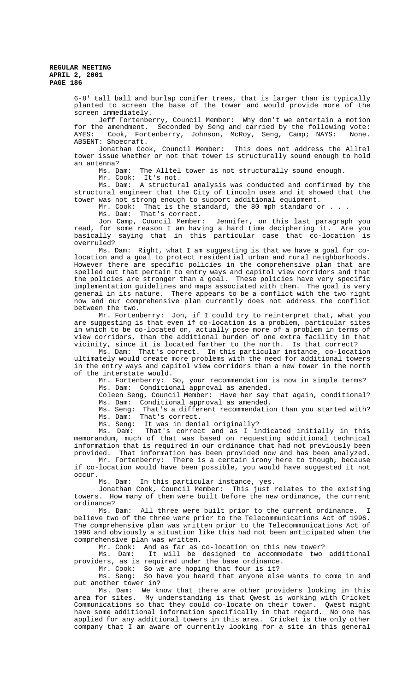6-8' tall ball and burlap conifer trees, that is larger than is typically planted to screen the base of the tower and would provide more of the screen immediately.

Jeff Fortenberry, Council Member: Why don't we entertain a motion for the amendment. Seconded by Seng and carried by the following vote: AYES: Cook, Fortenberry, Johnson, McRoy, Seng, Camp; NAYS: None. ABSENT: Shoecraft.

Jonathan Cook, Council Member: This does not address the Alltel tower issue whether or not that tower is structurally sound enough to hold an antenna?<br>Ms. Dam:

The Alltel tower is not structurally sound enough.

Mr. Cook: It's not.

Ms. Dam: A structural analysis was conducted and confirmed by the structural engineer that the City of Lincoln uses and it showed that the tower was not strong enough to support additional equipment.

Mr. Cook: That is the standard, the 80 mph standard or.

Ms. Dam: That's correct.

Jon Camp, Council Member: Jennifer, on this last paragraph you read, for some reason I am having a hard time deciphering it. Are you basically saying that in this particular case that co-location is overruled?

Ms. Dam: Right, what I am suggesting is that we have a goal for colocation and a goal to protect residential urban and rural neighborhoods. However there are specific policies in the comprehensive plan that are spelled out that pertain to entry ways and capitol view corridors and that the policies are stronger than a goal. These policies have very specific implementation guidelines and maps associated with them. The goal is very general in its nature. There appears to be a conflict with the two right now and our comprehensive plan currently does not address the conflict between the two.

Mr. Fortenberry: Jon, if I could try to reinterpret that, what you are suggesting is that even if co-location is a problem, particular sites in which to be co-located on, actually pose more of a problem in terms of view corridors, than the additional burden of one extra facility in that vicinity, since it is located farther to the north. Is that correct?

Ms. Dam: That's correct. In this particular instance, co-location ultimately would create more problems with the need for additional towers in the entry ways and capitol view corridors than a new tower in the north of the interstate would.

Mr. Fortenberry: So, your recommendation is now in simple terms? Ms. Dam: Conditional approval as amended.

Coleen Seng, Council Member: Have her say that again, conditional? Ms. Dam: Conditional approval as amended.

Ms. Seng: That's a different recommendation than you started with? Ms. Dam: That's correct.

Ms. Seng: It was in denial originally?<br>Ms. Dam: That's correct and as I in That's correct and as I indicated initially in this memorandum, much of that was based on requesting additional technical information that is required in our ordinance that had not previously been provided. That information has been provided now and has been analyzed.

Mr. Fortenberry: There is a certain irony here to though, because if co-location would have been possible, you would have suggested it not occur.

Ms. Dam: In this particular instance, yes.

Jonathan Cook, Council Member: This just relates to the existing towers. How many of them were built before the new ordinance, the current ordinance?

Ms. Dam: All three were built prior to the current ordinance. believe two of the three were prior to the Telecommunications Act of 1996. The comprehensive plan was written prior to the Telecommunications Act of 1996 and obviously a situation like this had not been anticipated when the comprehensive plan was written.

Mr. Cook: And as far as co-location on this new tower?<br>Ms. Dam: It will be designed to accommodate two It will be designed to accommodate two additional providers, as is required under the base ordinance.

Mr. Cook: So we are hoping that four is it?

Ms. Seng: So have you heard that anyone else wants to come in and put another tower in?

Ms. Dam: We know that there are other providers looking in this area for sites. My understanding is that Qwest is working with Cricket Communications so that they could co-locate on their tower. Qwest might have some additional information specifically in that regard. No one has applied for any additional towers in this area. Cricket is the only other company that I am aware of currently looking for a site in this general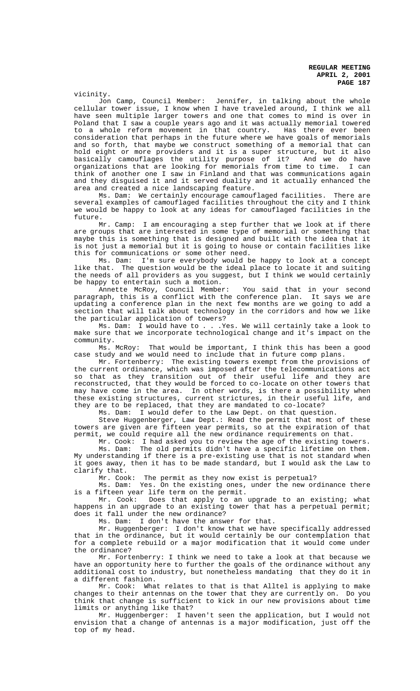vicinity.<br>Jon Camp, Council Member: Jennifer, in talking about the whole cellular tower issue, I know when I have traveled around, I think we all have seen multiple larger towers and one that comes to mind is over in Poland that I saw a couple years ago and it was actually memorial towered to a whole reform movement in that country. Has there ever been consideration that perhaps in the future where we have goals of memorials and so forth, that maybe we construct something of a memorial that can hold eight or more providers and it is a super structure, but it also basically camouflages the utility purpose of it? And we do have organizations that are looking for memorials from time to time. I can think of another one I saw in Finland and that was communications again and they disguised it and it served duality and it actually enhanced the area and created a nice landscaping feature.

Ms. Dam: We certainly encourage camouflaged facilities. There are several examples of camouflaged facilities throughout the city and I think we would be happy to look at any ideas for camouflaged facilities in the future.

Mr. Camp: I am encouraging a step further that we look at if there are groups that are interested in some type of memorial or something that maybe this is something that is designed and built with the idea that it is not just a memorial but it is going to house or contain facilities like this for communications or some other need.

Ms. Dam: I'm sure everybody would be happy to look at a concept like that. The question would be the ideal place to locate it and suiting the needs of all providers as you suggest, but I think we would certainly be happy to entertain such a motion.

Annette McRoy, Council Member: You said that in your second paragraph, this is a conflict with the conference plan. It says we are updating a conference plan in the next few months are we going to add a section that will talk about technology in the corridors and how we like the particular application of towers?

Ms. Dam: I would have to . . .Yes. We will certainly take a look to make sure that we incorporate technological change and it's impact on the community.

Ms. McRoy: That would be important, I think this has been a good case study and we would need to include that in future comp plans.

Mr. Fortenberry: The existing towers exempt from the provisions of the current ordinance, which was imposed after the telecommunications act so that as they transition out of their useful life and they are reconstructed, that they would be forced to co-locate on other towers that may have come in the area. In other words, is there a possibility when these existing structures, current strictures, in their useful life, and they are to be replaced, that they are mandated to co-locate?

Ms. Dam: I would defer to the Law Dept. on that question.

Steve Huggenberger, Law Dept.: Read the permit that most of these towers are given are fifteen year permits, so at the expiration of that permit, we could require all the new ordinance requirements on that.

Mr. Cook: I had asked you to review the age of the existing towers. Ms. Dam: The old permits didn't have a specific lifetime on them. My understanding if there is a pre-existing use that is not standard when it goes away, then it has to be made standard, but I would ask the Law to clarify that.

Mr. Cook: The permit as they now exist is perpetual?

Ms. Dam: Yes. On the existing ones, under the new ordinance there is a fifteen year life term on the permit.

Mr. Cook: Does that apply to an upgrade to an existing; what happens in an upgrade to an existing tower that has a perpetual permit; does it fall under the new ordinance?

Ms. Dam: I don't have the answer for that.

Mr. Huggenberger: I don't know that we have specifically addressed that in the ordinance, but it would certainly be our contemplation that for a complete rebuild or a major modification that it would come under the ordinance?

Mr. Fortenberry: I think we need to take a look at that because we have an opportunity here to further the goals of the ordinance without any additional cost to industry, but nonetheless mandating that they do it in a different fashion.

Mr. Cook: What relates to that is that Alltel is applying to make changes to their antennas on the tower that they are currently on. Do you think that change is sufficient to kick in our new provisions about time limits or anything like that?

Mr. Huggenberger: I haven't seen the application, but I would not envision that a change of antennas is a major modification, just off the top of my head.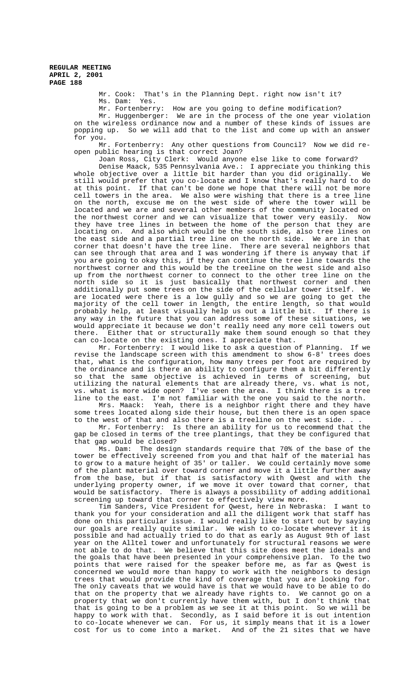> Mr. Cook: That's in the Planning Dept. right now isn't it? Ms. Dam: Yes.

Mr. Fortenberry: How are you going to define modification?

Mr. Huggenberger: We are in the process of the one year violation on the wireless ordinance now and a number of these kinds of issues are popping up. So we will add that to the list and come up with an answer for you.

Mr. Fortenberry: Any other questions from Council? Now we did reopen public hearing is that correct Joan?

Joan Ross, City Clerk: Would anyone else like to come forward?

Denise Maack, 535 Pennsylvania Ave.: I appreciate you thinking this whole objective over a little bit harder than you did originally. We still would prefer that you co-locate and I know that's really hard to do at this point. If that can't be done we hope that there will not be more cell towers in the area. We also were wishing that there is a tree line on the north, excuse me on the west side of where the tower will be located and we are and several other members of the community located on the northwest corner and we can visualize that tower very easily. Now they have tree lines in between the home of the person that they are locating on. And also which would be the south side, also tree lines on the east side and a partial tree line on the north side. We are in that corner that doesn't have the tree line. There are several neighbors that can see through that area and I was wondering if there is anyway that if you are going to okay this, if they can continue the tree line towards the northwest corner and this would be the treeline on the west side and also up from the northwest corner to connect to the other tree line on the north side so it is just basically that northwest corner and then additionally put some trees on the side of the cellular tower itself. We are located were there is a low gully and so we are going to get the majority of the cell tower in length, the entire length, so that would probably help, at least visually help us out a little bit. If there is any way in the future that you can address some of these situations, we would appreciate it because we don't really need any more cell towers out there. Either that or structurally make them sound enough so that they can co-locate on the existing ones. I appreciate that.

Mr. Fortenberry: I would like to ask a question of Planning. If we revise the landscape screen with this amendment to show 6-8' trees does that, what is the configuration, how many trees per foot are required by the ordinance and is there an ability to configure them a bit differently so that the same objective is achieved in terms of screening, but utilizing the natural elements that are already there, vs. what is not, vs. what is more wide open? I've seen the area. I think there is a tree

line to the east. I'm not familiar with the one you said to the north.<br>Mrs. Maack: Yeah, there is a neighbor right there and they have Yeah, there is a neighbor right there and they have some trees located along side their house, but then there is an open space to the west of that and also there is a treeline on the west side. . .

Mr. Fortenberry: Is there an ability for us to recommend that the gap be closed in terms of the tree plantings, that they be configured that that gap would be closed?

Ms. Dam: The design standards require that 70% of the base of the tower be effectively screened from you and that half of the material has to grow to a mature height of 35' or taller. We could certainly move some of the plant material over toward corner and move it a little further away from the base, but if that is satisfactory with Qwest and with the underlying property owner, if we move it over toward that corner, that would be satisfactory. There is always a possibility of adding additional screening up toward that corner to effectively view more.

Tim Sanders, Vice President for Qwest, here in Nebraska: I want to thank you for your consideration and all the diligent work that staff has done on this particular issue. I would really like to start out by saying our goals are really quite similar. We wish to co-locate whenever it is possible and had actually tried to do that as early as August 9th of last .<br>year on the Alltel tower and unfortunately for structural reasons we were not able to do that. We believe that this site does meet the ideals and the goals that have been presented in your comprehensive plan. To the two points that were raised for the speaker before me, as far as Qwest is concerned we would more than happy to work with the neighbors to design trees that would provide the kind of coverage that you are looking for. The only caveats that we would have is that we would have to be able to do that on the property that we already have rights to. We cannot go on a property that we don't currently have them with, but I don't think that that is going to be a problem as we see it at this point. So we will be happy to work with that. Secondly, as I said before it is out intention to co-locate whenever we can. For us, it simply means that it is a lower cost for us to come into a market. And of the 21 sites that we have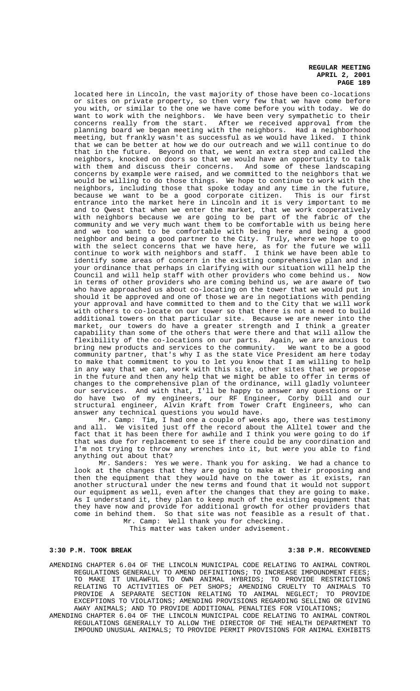located here in Lincoln, the vast majority of those have been co-locations or sites on private property, so then very few that we have come before you with, or similar to the one we have come before you with today. We do want to work with the neighbors. We have been very sympathetic to their concerns really from the start. After we received approval from the planning board we began meeting with the neighbors. Had a neighborhood meeting, but frankly wasn't as successful as we would have liked. I think that we can be better at how we do our outreach and we will continue to do that in the future. Beyond on that, we went an extra step and called the neighbors, knocked on doors so that we would have an opportunity to talk with them and discuss their concerns. And some of these landscaping concerns by example were raised, and we committed to the neighbors that we would be willing to do those things. We hope to continue to work with the neighbors, including those that spoke today and any time in the future, because we want to be a good corporate citizen. This is our first entrance into the market here in Lincoln and it is very important to me entrance med one market and to Qwest that when we enter the market, that we work cooperatively with neighbors because we are going to be part of the fabric of the community and we very much want them to be comfortable with us being here and we too want to be comfortable with being here and being a good neighbor and being a good partner to the City. Truly, where we hope to go with the select concerns that we have here, as for the future we will continue to work with neighbors and staff. I think we have been able to identify some areas of concern in the existing comprehensive plan and in your ordinance that perhaps in clarifying with our situation will help the Council and will help staff with other providers who come behind us. Now in terms of other providers who are coming behind us, we are aware of two who have approached us about co-locating on the tower that we would put in should it be approved and one of those we are in negotiations with pending your approval and have committed to them and to the City that we will work with others to co-locate on our tower so that there is not a need to build additional towers on that particular site. Because we are newer into the market, our towers do have a greater strength and I think a greater capability than some of the others that were there and that will allow the flexibility of the co-locations on our parts. Again, we are anxious to<br>bring new products and services to the community. We want to be a good bring new products and services to the community. community partner, that's why I as the state Vice President am here today to make that commitment to you to let you know that I am willing to help in any way that we can, work with this site, other sites that we propose in the future and then any help that we might be able to offer in terms of changes to the comprehensive plan of the ordinance, will gladly volunteer our services. And with that, I'll be happy to answer any questions or I do have two of my engineers, our RF Engineer, Corby Dill and our structural engineer, Alvin Kraft from Tower Craft Engineers, who can answer any technical questions you would have.

Mr. Camp: Tim, I had one a couple of weeks ago, there was testimony and all. We visited just off the record about the Alltel tower and the fact that it has been there for awhile and I think you were going to do if that was due for replacement to see if there could be any coordination and I'm not trying to throw any wrenches into it, but were you able to find anything out about that?

Mr. Sanders: Yes we were. Thank you for asking. We had a chance to look at the changes that they are going to make at their proposing and then the equipment that they would have on the tower as it exists, ran another structural under the new terms and found that it would not support our equipment as well, even after the changes that they are going to make. As I understand it, they plan to keep much of the existing equipment that they have now and provide for additional growth for other providers that come in behind them. So that site was not feasible as a result of that. Mr. Camp: Well thank you for checking.

This matter was taken under advisement.

### **3:30 P.M. TOOK BREAK 3:38 P.M. RECONVENED**

- AMENDING CHAPTER 6.04 OF THE LINCOLN MUNICIPAL CODE RELATING TO ANIMAL CONTROL REGULATIONS GENERALLY TO AMEND DEFINITIONS; TO INCREASE IMPOUNDMENT FEES; TO MAKE IT UNLAWFUL TO OWN ANIMAL HYBRIDS; TO PROVIDE RESTRICTIONS RELATING TO ACTIVITIES OF PET SHOPS; AMENDING CRUELTY TO ANIMALS TO PROVIDE A SEPARATE SECTION RELATING TO ANIMAL NEGLECT; TO PROVIDE EXCEPTIONS TO VIOLATIONS; AMENDING PROVISIONS REGARDING SELLING OR GIVING AWAY ANIMALS; AND TO PROVIDE ADDITIONAL PENALTIES FOR VIOLATIONS;
- AMENDING CHAPTER 6.04 OF THE LINCOLN MUNICIPAL CODE RELATING TO ANIMAL CONTROL REGULATIONS GENERALLY TO ALLOW THE DIRECTOR OF THE HEALTH DEPARTMENT TO IMPOUND UNUSUAL ANIMALS; TO PROVIDE PERMIT PROVISIONS FOR ANIMAL EXHIBITS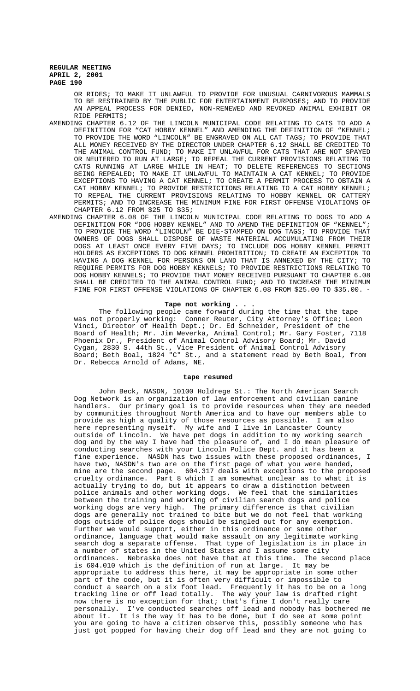OR RIDES; TO MAKE IT UNLAWFUL TO PROVIDE FOR UNUSUAL CARNIVOROUS MAMMALS TO BE RESTRAINED BY THE PUBLIC FOR ENTERTAINMENT PURPOSES; AND TO PROVIDE AN APPEAL PROCESS FOR DENIED, NON-RENEWED AND REVOKED ANIMAL EXHIBIT OR RIDE PERMITS;

- AMENDING CHAPTER 6.12 OF THE LINCOLN MUNICIPAL CODE RELATING TO CATS TO ADD A DEFINITION FOR "CAT HOBBY KENNEL" AND AMENDING THE DEFINITION OF "KENNEL; TO PROVIDE THE WORD "LINCOLN" BE ENGRAVED ON ALL CAT TAGS; TO PROVIDE THAT ALL MONEY RECEIVED BY THE DIRECTOR UNDER CHAPTER 6.12 SHALL BE CREDITED TO THE ANIMAL CONTROL FUND; TO MAKE IT UNLAWFUL FOR CATS THAT ARE NOT SPAYED OR NEUTERED TO RUN AT LARGE; TO REPEAL THE CURRENT PROVISIONS RELATING TO CATS RUNNING AT LARGE WHILE IN HEAT; TO DELETE REFERENCES TO SECTIONS BEING REPEALED; TO MAKE IT UNLAWFUL TO MAINTAIN A CAT KENNEL; TO PROVIDE EXCEPTIONS TO HAVING A CAT KENNEL; TO CREATE A PERMIT PROCESS TO OBTAIN A CAT HOBBY KENNEL; TO PROVIDE RESTRICTIONS RELATING TO A CAT HOBBY KENNEL; TO REPEAL THE CURRENT PROVISIONS RELATING TO HOBBY KENNEL OR CATTERY PERMITS; AND TO INCREASE THE MINIMUM FINE FOR FIRST OFFENSE VIOLATIONS OF CHAPTER 6.12 FROM \$25 TO \$35;
- AMENDING CHAPTER 6.08 OF THE LINCOLN MUNICIPAL CODE RELATING TO DOGS TO ADD A DEFINITION FOR "DOG HOBBY KENNEL" AND TO AMEND THE DEFINITION OF "KENNEL"; TO PROVIDE THE WORD "LINCOLN" BE DIE-STAMPED ON DOG TAGS; TO PROVIDE THAT OWNERS OF DOGS SHALL DISPOSE OF WASTE MATERIAL ACCUMULATING FROM THEIR DOGS AT LEAST ONCE EVERY FIVE DAYS; TO INCLUDE DOG HOBBY KENNEL PERMIT HOLDERS AS EXCEPTIONS TO DOG KENNEL PROHIBITION; TO CREATE AN EXCEPTION TO HAVING A DOG KENNEL FOR PERSONS ON LAND THAT IS ANNEXED BY THE CITY; TO REQUIRE PERMITS FOR DOG HOBBY KENNELS; TO PROVIDE RESTRICTIONS RELATING TO DOG HOBBY KENNELS; TO PROVIDE THAT MONEY RECEIVED PURSUANT TO CHAPTER 6.08 SHALL BE CREDITED TO THE ANIMAL CONTROL FUND; AND TO INCREASE THE MINIMUM FINE FOR FIRST OFFENSE VIOLATIONS OF CHAPTER 6.08 FROM \$25.00 TO \$35.00. -

# **Tape not working . . .**

The following people came forward during the time that the tape was not properly working: Conner Reuter, City Attorney's Office; Leon Vinci, Director of Health Dept.; Dr. Ed Schneider, President of the Board of Health; Mr. Jim Weverka, Animal Control; Mr. Gary Foster, 7118 Phoenix Dr., President of Animal Control Advisory Board; Mr. David Cygan, 2830 S. 44th St., Vice President of Animal Control Advisory Board; Beth Boal, 1824 "C" St., and a statement read by Beth Boal, from Dr. Rebecca Arnold of Adams, NE.

#### **tape resumed**

John Beck, NASDN, 10100 Holdrege St.: The North American Search Dog Network is an organization of law enforcement and civilian canine handlers. Our primary goal is to provide resources when they are needed by communities throughout North America and to have our members able to provide as high a quality of those resources as possible. I am also here representing myself. My wife and I live in Lancaster County outside of Lincoln. We have pet dogs in addition to my working search dog and by the way I have had the pleasure of, and I do mean pleasure of conducting searches with your Lincoln Police Dept. and it has been a fine experience. NASDN has two issues with these proposed ordinances, I have two, NASDN's two are on the first page of what you were handed, mine are the second page. 604.317 deals with exceptions to the proposed cruelty ordinance. Part 8 which I am somewhat unclear as to what it is actually trying to do, but it appears to draw a distinction between police animals and other working dogs. We feel that the similarities between the training and working of civilian search dogs and police working dogs are very high. The primary difference is that civilian dogs are generally not trained to bite but we do not feel that working dogs outside of police dogs should be singled out for any exemption. Further we would support, either in this ordinance or some other ordinance, language that would make assault on any legitimate working search dog a separate offense. That type of legislation is in place in a number of states in the United States and I assume some city ordinances. Nebraska does not have that at this time. The second place is 604.010 which is the definition of run at large. It may be appropriate to address this here, it may be appropriate in some other part of the code, but it is often very difficult or impossible to conduct a search on a six foot lead. Frequently it has to be on a long tracking line or off lead totally. The way your law is drafted right now there is no exception for that; that's fine I don't really care personally. I've conducted searches off lead and nobody has bothered me about it. It is the way it has to be done, but I do see at some point you are going to have a citizen observe this, possibly someone who has just got popped for having their dog off lead and they are not going to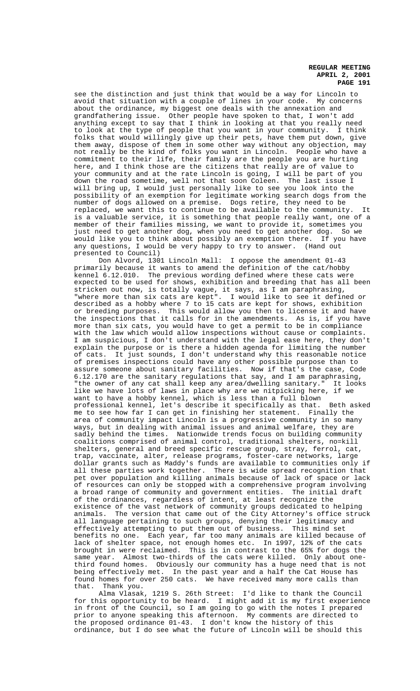see the distinction and just think that would be a way for Lincoln to avoid that situation with a couple of lines in your code. My concerns about the ordinance, my biggest one deals with the annexation and grandfathering issue. Other people have spoken to that, I won't add anything except to say that I think in looking at that you really need to look at the type of people that you want in your community. I think folks that would willingly give up their pets, have them put down, give them away, dispose of them in some other way without any objection, may not really be the kind of folks you want in Lincoln. People who have a commitment to their life, their family are the people you are hurting here, and I think those are the citizens that really are of value to your community and at the rate Lincoln is going, I will be part of you down the road sometime, well not that soon Coleen. The last issue I will bring up, I would just personally like to see you look into the possibility of an exemption for legitimate working search dogs from the number of dogs allowed on a premise. Dogs retire, they need to be replaced, we want this to continue to be available to the community. It is a valuable service, it is something that people really want, one of a member of their families missing, we want to provide it, sometimes you just need to get another dog, when you need to get another dog. So we would like you to think about possibly an exemption there. If you have any questions, I would be very happy to try to answer. (Hand out presented to Council)

Don Alvord, 1301 Lincoln Mall: I oppose the amendment 01-43 primarily because it wants to amend the definition of the cat/hobby kennel 6.12.010. The previous wording defined where these cats were expected to be used for shows, exhibition and breeding that has all been stricken out now, is totally vague, it says, as I am paraphrasing, "where more than six cats are kept". I would like to see it defined or described as a hobby where 7 to 15 cats are kept for shows, exhibition or breeding purposes. This would allow you then to license it and have the inspections that it calls for in the amendments. As is, if you have more than six cats, you would have to get a permit to be in compliance with the law which would allow inspections without cause or complaints. I am suspicious, I don't understand with the legal ease here, they don't explain the purpose or is there a hidden agenda for limiting the number of cats. It just sounds, I don't understand why this reasonable notice of premises inspections could have any other possible purpose than to assure someone about sanitary facilities. Now if that's the case, Code 6.12.170 are the sanitary regulations that say, and I am paraphrasing, "the owner of any cat shall keep any area/dwelling sanitary." It looks like we have lots of laws in place why are we nitpicking here, if we want to have a hobby kennel, which is less than a full blown professional kennel, let's describe it specifically as that. Beth asked me to see how far I can get in finishing her statement. Finally the area of community impact Lincoln is a progressive community in so many ways, but in dealing with animal issues and animal welfare, they are sadly behind the times. Nationwide trends focus on building community coalitions comprised of animal control, traditional shelters, no=kill shelters, general and breed specific rescue group, stray, ferrol, cat, trap, vaccinate, alter, release programs, foster-care networks, large dollar grants such as Maddy's funds are available to communities only if all these parties work together. There is wide spread recognition that pet over population and killing animals because of lack of space or lack of resources can only be stopped with a comprehensive program involving a broad range of community and government entities. The initial draft of the ordinances, regardless of intent, at least recognize the existence of the vast network of community groups dedicated to helping animals. The version that came out of the City Attorney's office struck all language pertaining to such groups, denying their legitimacy and effectively attempting to put them out of business. This mind set benefits no one. Each year, far too many animals are killed because of lack of shelter space, not enough homes etc. In 1997, 12% of the cats brought in were reclaimed. This is in contrast to the 65% for dogs the same year. Almost two-thirds of the cats were killed. Only about onethird found homes. Obviously our community has a huge need that is not being effectively met. In the past year and a half the Cat House has<br>found homes for over 250 cats. We have received many more calls than We have received many more calls than that. Thank you.

Alma Vlasak, 1219 S. 26th Street: I'd like to thank the Council for this opportunity to be heard. I might add it is my first experience in front of the Council, so I am going to go with the notes I prepared prior to anyone speaking this afternoon. My comments are directed to the proposed ordinance 01-43. I don't know the history of this ordinance, but I do see what the future of Lincoln will be should this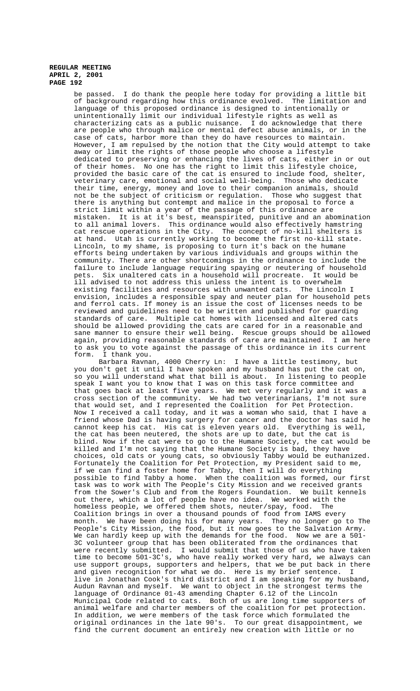be passed. I do thank the people here today for providing a little bit of background regarding how this ordinance evolved. The limitation and language of this proposed ordinance is designed to intentionally or unintentionally limit our individual lifestyle rights as well as characterizing cats as a public nuisance. I do acknowledge that there are people who through malice or mental defect abuse animals, or in the case of cats, harbor more than they do have resources to maintain. However, I am repulsed by the notion that the City would attempt to take away or limit the rights of those people who choose a lifestyle dedicated to preserving or enhancing the lives of cats, either in or out of their homes. No one has the right to limit this lifestyle choice, provided the basic care of the cat is ensured to include food, shelter, veterinary care, emotional and social well-being. Those who dedicate their time, energy, money and love to their companion animals, should not be the subject of criticism or regulation. Those who suggest that there is anything but contempt and malice in the proposal to force a strict limit within a year of the passage of this ordinance are mistaken. It is at it's best, meanspirited, punitive and an abomination to all animal lovers. This ordinance would also effectively hamstring cat rescue operations in the City. The concept of no-kill shelters is at hand. Utah is currently working to become the first no-kill state. Lincoln, to my shame, is proposing to turn it's back on the humane efforts being undertaken by various individuals and groups within the community. There are other shortcomings in the ordinance to include the failure to include language requiring spaying or neutering of household pets. Six unaltered cats in a household will procreate. It would be ill advised to not address this unless the intent is to overwhelm existing facilities and resources with unwanted cats. The Lincoln I envision, includes a responsible spay and neuter plan for household pets and ferrol cats. If money is an issue the cost of licenses needs to be reviewed and guidelines need to be written and published for guarding standards of care. Multiple cat homes with licensed and altered cats should be allowed providing the cats are cared for in a reasonable and sane manner to ensure their well being. Rescue groups should be allowed again, providing reasonable standards of care are maintained. I am here to ask you to vote against the passage of this ordinance in its current form. I thank you.

Barbara Ravnan, 4000 Cherry Ln: I have a little testimony, but you don't get it until I have spoken and my husband has put the cat on, so you will understand what that bill is about. In listening to people speak I want you to know that I was on this task force committee and that goes back at least five years. We met very regularly and it was a cross section of the community. We had two veterinarians, I'm not sure that would set, and I represented the Coalition for Pet Protection. Now I received a call today, and it was a woman who said, that I have a friend whose Dad is having surgery for cancer and the doctor has said he cannot keep his cat. His cat is eleven years old. Everything is well, the cat has been neutered, the shots are up to date, but the cat is blind. Now if the cat were to go to the Humane Society, the cat would be killed and I'm not saying that the Humane Society is bad, they have choices, old cats or young cats, so obviously Tabby would be euthanized. Fortunately the Coalition for Pet Protection, my President said to me, if we can find a foster home for Tabby, then I will do everything possible to find Tabby a home. When the coalition was formed, our first task was to work with The People's City Mission and we received grants from the Sower's Club and from the Rogers Foundation. We built kennels out there, which a lot of people have no idea. We worked with the homeless people, we offered them shots, neuter/spay, food. The homeless people, we offered them shots, neuter/spay, food. Coalition brings in over a thousand pounds of food from IAMS every month. We have been doing his for many years. They no longer go to The People's City Mission, the food, but it now goes to the Salvation Army. We can hardly keep up with the demands for the food. Now we are a 501- 3C volunteer group that has been obliterated from the ordinances that were recently submitted. I would submit that those of us who have taken time to become 501-3C's, who have really worked very hard, we always can use support groups, supporters and helpers, that we be put back in there and given recognition for what we do. Here is my brief sentence. I live in Jonathan Cook's third district and I am speaking for my husband, Audun Ravnan and myself. We want to object in the strongest terms the language of Ordinance 01-43 amending Chapter 6.12 of the Lincoln Municipal Code related to cats. Both of us are long time supporters of animal welfare and charter members of the coalition for pet protection. In addition, we were members of the task force which formulated the original ordinances in the late 90's. To our great disappointment, we find the current document an entirely new creation with little or no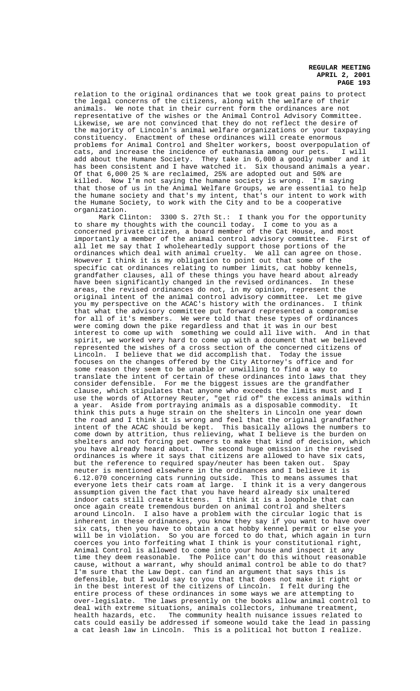relation to the original ordinances that we took great pains to protect the legal concerns of the citizens, along with the welfare of their animals. We note that in their current form the ordinances are not representative of the wishes or the Animal Control Advisory Committee. Likewise, we are not convinced that they do not reflect the desire of the majority of Lincoln's animal welfare organizations or your taxpaying constituency. Enactment of these ordinances will create enormous problems for Animal Control and Shelter workers, boost overpopulation of cats, and increase the incidence of euthanasia among our pets. I will add about the Humane Society. They take in  $6,000$  a goodly number and it has been consistent and I have watched it. Six thousand animals a year. Of that 6,000 25 % are reclaimed, 25% are adopted out and 50% are killed. Now I'm not saying the humane society is wrong. I'm saying that those of us in the Animal Welfare Groups, we are essential to help the humane society and that's my intent, that's our intent to work with the Humane Society, to work with the City and to be a cooperative organization.

Mark Clinton: 3300 S. 27th St.: I thank you for the opportunity to share my thoughts with the council today. I come to you as a concerned private citizen, a board member of the Cat House, and most importantly a member of the animal control advisory committee. First of all let me say that I wholeheartedly support those portions of the ordinances which deal with animal cruelty. We all can agree on those. However I think it is my obligation to point out that some of the specific cat ordinances relating to number limits, cat hobby kennels, grandfather clauses, all of these things you have heard about already have been significantly changed in the revised ordinances. In these areas, the revised ordinances do not, in my opinion, represent the original intent of the animal control advisory committee. Let me give you my perspective on the ACAC's history with the ordinances. I think that what the advisory committee put forward represented a compromise for all of it's members. We were told that these types of ordinances were coming down the pike regardless and that it was in our best interest to come up with something we could all live with. And in that spirit, we worked very hard to come up with a document that we believed represented the wishes of a cross section of the concerned citizens of Lincoln. I believe that we did accomplish that. Today the issue focuses on the changes offered by the City Attorney's office and for some reason they seem to be unable or unwilling to find a way to translate the intent of certain of these ordinances into laws that they consider defensible. For me the biggest issues are the grandfather clause, which stipulates that anyone who exceeds the limits must and I use the words of Attorney Reuter, "get rid of" the excess animals within a year. Aside from portraying animals as a disposable commodity. It think this puts a huge strain on the shelters in Lincoln one year down the road and I think it is wrong and feel that the original grandfather intent of the ACAC should be kept. This basically allows the numbers to come down by attrition, thus relieving, what I believe is the burden on shelters and not forcing pet owners to make that kind of decision, which you have already heard about. The second huge omission in the revised ordinances is where it says that citizens are allowed to have six cats, but the reference to required spay/neuter has been taken out. Spay neuter is mentioned elsewhere in the ordinances and I believe it is 6.12.070 concerning cats running outside. This to means assumes that everyone lets their cats roam at large. I think it is a very dangerous assumption given the fact that you have heard already six unaltered indoor cats still create kittens. I think it is a loophole that can once again create tremendous burden on animal control and shelters around Lincoln. I also have a problem with the circular logic that is inherent in these ordinances, you know they say if you want to have over six cats, then you have to obtain a cat hobby kennel permit or else you will be in violation. So you are forced to do that, which again in turn coerces you into forfeiting what I think is your constitutional right, Animal Control is allowed to come into your house and inspect it any time they deem reasonable. The Police can't do this without reasonable cause, without a warrant, why should animal control be able to do that? I'm sure that the Law Dept. can find an argument that says this is defensible, but I would say to you that that does not make it right or in the best interest of the citizens of Lincoln. I felt during the entire process of these ordinances in some ways we are attempting to over-legislate. The laws presently on the books allow animal control to deal with extreme situations, animals collectors, inhumane treatment, health hazards, etc. The community health nuisance issues related to cats could easily be addressed if someone would take the lead in passing a cat leash law in Lincoln. This is a political hot button I realize.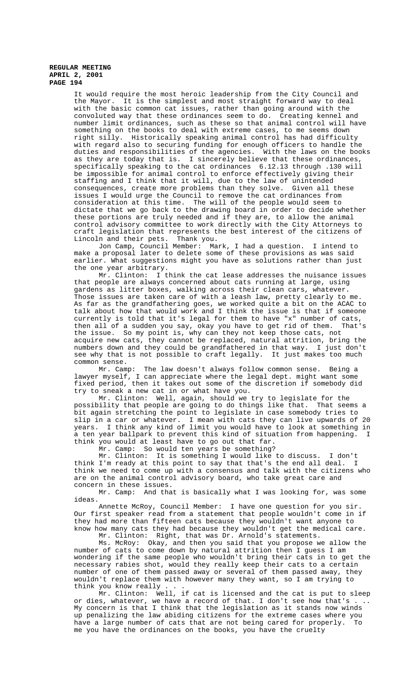It would require the most heroic leadership from the City Council and the Mayor. It is the simplest and most straight forward way to deal with the basic common cat issues, rather than going around with the convoluted way that these ordinances seem to do. Creating kennel and number limit ordinances, such as these so that animal control will have something on the books to deal with extreme cases, to me seems down right silly. Historically speaking animal control has had difficulty with regard also to securing funding for enough officers to handle the duties and responsibilities of the agencies. With the laws on the books as they are today that is. I sincerely believe that these ordinances, specifically speaking to the cat ordinances 6.12.13 through .130 will be impossible for animal control to enforce effectively giving their staffing and I think that it will, due to the law of unintended consequences, create more problems than they solve. Given all these issues I would urge the Council to remove the cat ordinances from consideration at this time. The will of the people would seem to dictate that we go back to the drawing board in order to decide whether these portions are truly needed and if they are, to allow the animal control advisory committee to work directly with the City Attorneys to craft legislation that represents the best interest of the citizens of Lincoln and their pets. Thank you.

Jon Camp, Council Member: Mark, I had a question. I intend to make a proposal later to delete some of these provisions as was said earlier. What suggestions might you have as solutions rather than just the one year arbitrary.

Mr. Clinton: I think the cat lease addresses the nuisance issues that people are always concerned about cats running at large, using gardens as litter boxes, walking across their clean cars, whatever. Those issues are taken care of with a leash law, pretty clearly to me. As far as the grandfathering goes, we worked quite a bit on the ACAC to talk about how that would work and I think the issue is that if someone currently is told that it's legal for them to have "x" number of cats, then all of a sudden you say, okay you have to get rid of them. That's the issue. So my point is, why can they not keep those cats, not acquire new cats, they cannot be replaced, natural attrition, bring the numbers down and they could be grandfathered in that way. I just don't see why that is not possible to craft legally. It just makes too much common sense.

Mr. Camp: The law doesn't always follow common sense. Being a lawyer myself, I can appreciate where the legal dept. might want some fixed period, then it takes out some of the discretion if somebody did try to sneak a new cat in or what have you.

Mr. Clinton: Well, again, should we try to legislate for the possibility that people are going to do things like that. That seems a bit again stretching the point to legislate in case somebody tries to slip in a car or whatever. I mean with cats they can live upwards of 20 years. I think any kind of limit you would have to look at something in a ten year ballpark to prevent this kind of situation from happening. I think you would at least have to go out that far.

Mr. Camp: So would ten years be something?

Mr. Clinton: It is something I would like to discuss. I don't think I'm ready at this point to say that that's the end all deal. I think we need to come up with a consensus and talk with the citizens who are on the animal control advisory board, who take great care and concern in these issues.

Mr. Camp: And that is basically what I was looking for, was some ideas.

Annette McRoy, Council Member: I have one question for you sir. Our first speaker read from a statement that people wouldn't come in if they had more than fifteen cats because they wouldn't want anyone to know how many cats they had because they wouldn't get the medical care. Mr. Clinton: Right, that was Dr. Arnold's statements.

Ms. McRoy: Okay, and then you said that you propose we allow the number of cats to come down by natural attrition then I guess I am wondering if the same people who wouldn't bring their cats in to get the necessary rabies shot, would they really keep their cats to a certain number of one of them passed away or several of them passed away, they wouldn't replace them with however many they want, so I am trying to think you know really

Mr. Clinton: Well, if cat is licensed and the cat is put to sleep or dies, whatever, we have a record of that. I don't see how that's . .. My concern is that I think that the legislation as it stands now winds up penalizing the law abiding citizens for the extreme cases where you have a large number of cats that are not being cared for properly. To me you have the ordinances on the books, you have the cruelty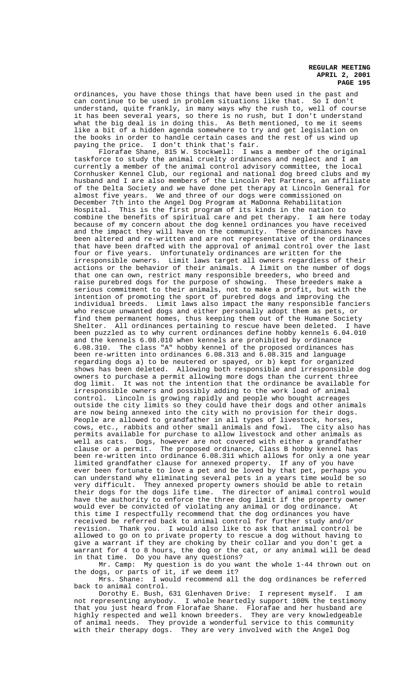ordinances, you have those things that have been used in the past and can continue to be used in problem situations like that. So I don't understand, quite frankly, in many ways why the rush to, well of course it has been several years, so there is no rush, but I don't understand what the big deal is in doing this. As Beth mentioned, to me it seems like a bit of a hidden agenda somewhere to try and get legislation on the books in order to handle certain cases and the rest of us wind up paying the price. I don't think that's fair.

Florafae Shane, 815 W. Stockwell: I was a member of the original taskforce to study the animal cruelty ordinances and neglect and I am currently a member of the animal control advisory committee, the local Cornhusker Kennel Club, our regional and national dog breed clubs and my husband and I are also members of the Lincoln Pet Partners, an affiliate of the Delta Society and we have done pet therapy at Lincoln General for almost five years. We and three of our dogs were commissioned on December 7th into the Angel Dog Program at MaDonna Rehabilitation Hospital. This is the first program of its kinds in the nation to combine the benefits of spiritual care and pet therapy. I am here today because of my concern about the dog kennel ordinances you have received and the impact they will have on the community. These ordinances have been altered and re-written and are not representative of the ordinances that have been drafted with the approval of animal control over the last four or five years. Unfortunately ordinances are written for the irresponsible owners. Limit laws target all owners regardless of their actions or the behavior of their animals. A limit on the number of dogs that one can own, restrict many responsible breeders, who breed and raise purebred dogs for the purpose of showing. These breeders make a serious commitment to their animals, not to make a profit, but with the intention of promoting the sport of purebred dogs and improving the individual breeds. Limit laws also impact the many responsible fanciers who rescue unwanted dogs and either personally adopt them as pets, or find them permanent homes, thus keeping them out of the Humane Society Shelter. All ordinances pertaining to rescue have been deleted. I have been puzzled as to why current ordinances define hobby kennels 6.04.010 and the kennels 6.08.010 when kennels are prohibited by ordinance 6.08.310. The class "A" hobby kennel of the proposed ordinances has been re-written into ordinances 6.08.313 and 6.08.315 and language regarding dogs a) to be neutered or spayed, or b) kept for organized shows has been deleted. Allowing both responsible and irresponsible dog owners to purchase a permit allowing more dogs than the current three dog limit. It was not the intention that the ordinance be available for irresponsible owners and possibly adding to the work load of animal control. Lincoln is growing rapidly and people who bought acreages outside the city limits so they could have their dogs and other animals are now being annexed into the city with no provision for their dogs. People are allowed to grandfather in all types of livestock, horses, cows, etc., rabbits and other small animals and fowl. The city also has permits available for purchase to allow livestock and other animals as well as cats. Dogs, however are not covered with either a grandfather clause or a permit. The proposed ordinance, Class B hobby kennel has been re-written into ordinance 6.08.311 which allows for only a one year limited grandfather clause for annexed property. If any of you have ever been fortunate to love a pet and be loved by that pet, perhaps you can understand why eliminating several pets in a years time would be so very difficult. They annexed property owners should be able to retain their dogs for the dogs life time. The director of animal control would have the authority to enforce the three dog limit if the property owner would ever be convicted of violating any animal or dog ordinance. At this time I respectfully recommend that the dog ordinances you have received be referred back to animal control for further study and/or revision. Thank you. I would also like to ask that animal control be allowed to go on to private property to rescue a dog without having to give a warrant if they are choking by their collar and you don't get a warrant for 4 to 8 hours, the dog or the cat, or any animal will be dead in that time. Do you have any questions?

Mr. Camp: My question is do you want the whole 1-44 thrown out on the dogs, or parts of it, if we deem it?

Mrs. Shane: I would recommend all the dog ordinances be referred back to animal control.

Dorothy E. Bush, 631 Glenhaven Drive: I represent myself. I am not representing anybody. I whole heartedly support 100% the testimony that you just heard from Florafae Shane. Florafae and her husband are highly respected and well known breeders. They are very knowledgeable highly respected and well known breeders. They are very knowledgeab<br>of animal needs. They provide a wonderful service to this community with their therapy dogs. They are very involved with the Angel Dog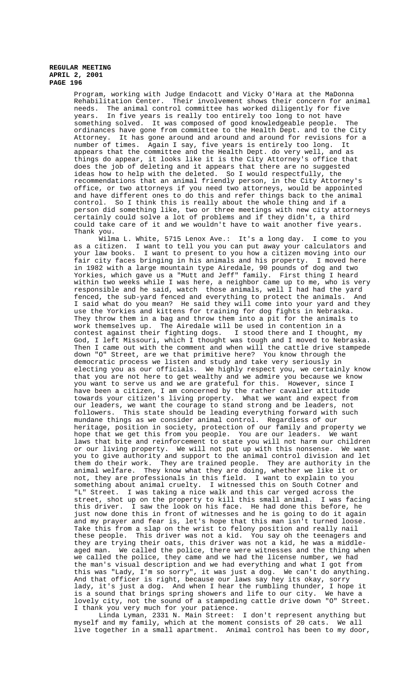Program, working with Judge Endacott and Vicky O'Hara at the MaDonna Rehabilitation Center. Their involvement shows their concern for animal needs. The animal control committee has worked diligently for five years. In five years is really too entirely too long to not have something solved. It was composed of good knowledgeable people. The ordinances have gone from committee to the Health Dept. and to the City Attorney. It has gone around and around and around for revisions for a number of times. Again I say, five years is entirely too long. It appears that the committee and the Health Dept. do very well, and as things do appear, it looks like it is the City Attorney's office that does the job of deleting and it appears that there are no suggested ideas how to help with the deleted. So I would respectfully, the recommendations that an animal friendly person, in the City Attorney's office, or two attorneys if you need two attorneys, would be appointed and have different ones to do this and refer things back to the animal control. So I think this is really about the whole thing and if a person did something like, two or three meetings with new city attorneys certainly could solve a lot of problems and if they didn't, a third could take care of it and we wouldn't have to wait another five years. Thank you.

Wilma L. White, 5715 Lenox Ave.: It's a long day. I come to you as a citizen. I want to tell you you can put away your calculators and<br>your law books. I want to present to you how a citizen moving into our I want to present to you how a citizen moving into our fair city faces bringing in his animals and his property. I moved here in 1982 with a large mountain type Airedale, 90 pounds of dog and two Yorkies, which gave us a "Mutt and Jeff" family. First thing I heard within two weeks while I was here, a neighbor came up to me, who is very responsible and he said, watch those animals, well I had had the yard fenced, the sub-yard fenced and everything to protect the animals. And I said what do you mean? He said they will come into your yard and they use the Yorkies and kittens for training for dog fights in Nebraska. They throw them in a bag and throw them into a pit for the animals to work themselves up. The Airedale will be used in contention in a contest against their fighting dogs. I stood there and I thought, my God, I left Missouri, which I thought was tough and I moved to Nebraska. Then I came out with the comment and when will the cattle drive stampede down "O" Street, are we that primitive here? You know through the democratic process we listen and study and take very seriously in electing you as our officials. We highly respect you, we certainly know that you are not here to get wealthy and we admire you because we know you want to serve us and we are grateful for this. However, since I have been a citizen, I am concerned by the rather cavalier attitude towards your citizen's living property. What we want and expect from our leaders, we want the courage to stand strong and be leaders, not followers. This state should be leading everything forward with such mundane things as we consider animal control. Regardless of our heritage, position in society, protection of our family and property we hope that we get this from you people. You are our leaders. We want laws that bite and reinforcement to state you will not harm our children or our living property. We will not put up with this nonsense. We want you to give authority and support to the animal control division and let them do their work. They are trained people. They are authority in the animal welfare. They know what they are doing, whether we like it or not, they are professionals in this field. I want to explain to you something about animal cruelty. I witnessed this on South Cotner and "L" Street. I was taking a nice walk and this car verged across the street, shot up on the property to kill this small animal. I was facing this driver. I saw the look on his face. He had done this before, he just now done this in front of witnesses and he is going to do it again and my prayer and fear is, let's hope that this man isn't turned loose. Take this from a slap on the wrist to felony position and really nail these people. This driver was not a kid. You say oh the teenagers and they are trying their oats, this driver was not a kid, he was a middleaged man. We called the police, there were witnesses and the thing when we called the police, they came and we had the license number, we had the man's visual description and we had everything and what I got from this was "Lady, I'm so sorry", it was just a dog. We can't do anything. And that officer is right, because our laws say hey its okay, sorry lady, it's just a dog. And when I hear the rumbling thunder, I hope it is a sound that brings spring showers and life to our city. We have a lovely city, not the sound of a stampeding cattle drive down "O" Street. I thank you very much for your patience.

Linda Lyman, 2331 N. Main Street: I don't represent anything but myself and my family, which at the moment consists of 20 cats. We all live together in a small apartment. Animal control has been to my door,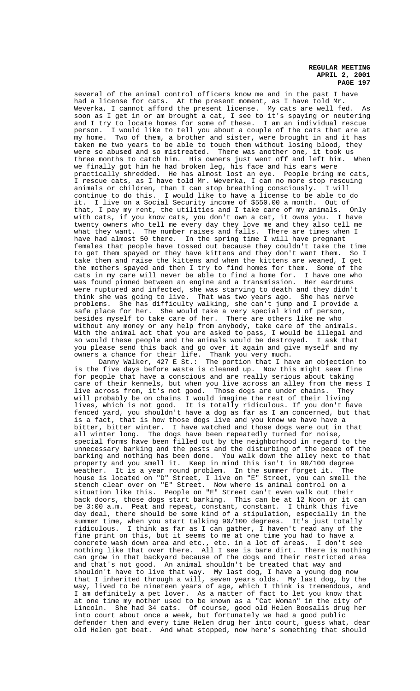several of the animal control officers know me and in the past I have had a license for cats. At the present moment, as I have told Mr. Weverka, I cannot afford the present license. My cats are well fed. As soon as I get in or am brought a cat, I see to it's spaying or neutering and I try to locate homes for some of these. I am an individual rescue person. I would like to tell you about a couple of the cats that are at my home. Two of them, a brother and sister, were brought in and it has taken me two years to be able to touch them without losing blood, they were so abused and so mistreated. There was another one, it took us three months to catch him. His owners just went off and left him. When we finally got him he had broken leg, his face and his ears were practically shredded. He has almost lost an eye. People bring me cats, I rescue cats, as I have told Mr. Weverka, I can no more stop rescuing animals or children, than I can stop breathing consciously. I will continue to do this. I would like to have a license to be able to do it. I live on a Social Security income of \$550.00 a month. Out of that, I pay my rent, the utilities and I take care of my animals. Only with cats, if you know cats, you don't own a cat, it owns you. I have twenty owners who tell me every day they love me and they also tell me what they want. The number raises and falls. There are times when I have had almost 50 there. In the spring time I will have pregnant females that people have tossed out because they couldn't take the time to get them spayed or they have kittens and they don't want them. So I take them and raise the kittens and when the kittens are weaned, I get the mothers spayed and then I try to find homes for them. Some of the cats in my care will never be able to find a home for. I have one who was found pinned between an engine and a transmission. Her eardrums were ruptured and infected, she was starving to death and they didn't think she was going to live. That was two years ago. She has nerve problems. She has difficulty walking, she can't jump and I provide a safe place for her. She would take a very special kind of person, besides myself to take care of her. There are others like me who without any money or any help from anybody, take care of the animals. With the animal act that you are asked to pass, I would be illegal and so would these people and the animals would be destroyed. I ask that you please send this back and go over it again and give myself and my owners a chance for their life. Thank you very much.

Danny Walker, 427 E St.: The portion that I have an objection to is the five days before waste is cleaned up. Now this might seem fine for people that have a conscious and are really serious about taking care of their kennels, but when you live across an alley from the mess I live across from, it's not good. Those dogs are under chains. They will probably be on chains I would imagine the rest of their living lives, which is not good. It is totally ridiculous. If you don't have fenced yard, you shouldn't have a dog as far as I am concerned, but that is a fact, that is how those dogs live and you know we have have a bitter, bitter winter. I have watched and those dogs were out in that all winter long. The dogs have been repeatedly turned for noise, special forms have been filled out by the neighborhood in regard to the unnecessary barking and the pests and the disturbing of the peace of the barking and nothing has been done. You walk down the alley next to that property and you smell it. Keep in mind this isn't in 90/100 degree weather. It is a year round problem. In the summer forget it. The house is located on "D" Street, I live on "E" Street, you can smell the stench clear over on "E" Street. Now where is animal control on a situation like this. People on "E" Street can't even walk out their back doors, those dogs start barking. This can be at 12 Noon or it can be 3:00 a.m. Peat and repeat, constant, constant. I think this five day deal, there should be some kind of a stipulation, especially in the summer time, when you start talking 90/100 degrees. It's just totally ridiculous. I think as far as I can gather, I haven't read any of the fine print on this, but it seems to me at one time you had to have a concrete wash down area and etc., etc. in a lot of areas. I don't see nothing like that over there. All I see is bare dirt. There is nothing can grow in that backyard because of the dogs and their restricted area and that's not good. An animal shouldn't be treated that way and shouldn't have to live that way. My last dog, I have a young dog now that I inherited through a will, seven years olds. My last dog, by the way, lived to be nineteen years of age, which I think is tremendous, and I am definitely a pet lover. As a matter of fact to let you know that at one time my mother used to be known as a "Cat Woman" in the city of Lincoln. She had 34 cats. Of course, good old Helen Boosalis drug her into court about once a week, but fortunately we had a good public defender then and every time Helen drug her into court, guess what, dear old Helen got beat. And what stopped, now here's something that should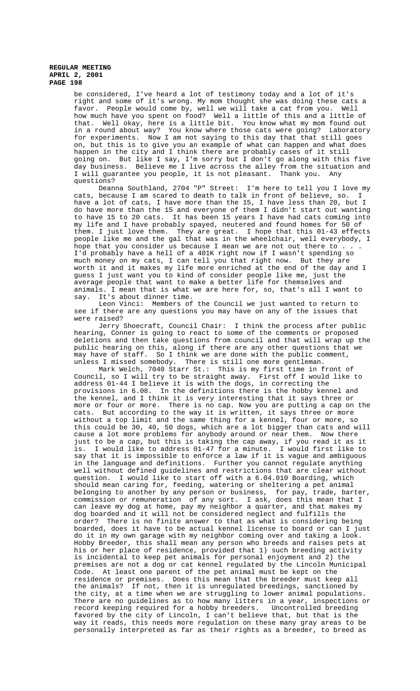be considered, I've heard a lot of testimony today and a lot of it's right and some of it's wrong. My mom thought she was doing these cats a favor. People would come by, well we will take a cat from you. Well how much have you spent on food? Well a little of this and a little of that. Well okay, here is a little bit. You know what my mom found out in a round about way? You know where those cats were going? Laboratory for experiments. Now I am not saying to this day that that still goes on, but this is to give you an example of what can happen and what does happen in the city and I think there are probably cases of it still going on. But like I say, I'm sorry but I don't go along with this five day business. Believe me I live across the alley from the situation and I will guarantee you people, it is not pleasant. Thank you. Any questions?

Deanna Southland, 2704 "P" Street: I'm here to tell you I love my cats, because I am scared to death to talk in front of believe, so. I have a lot of cats, I have more than the 15, I have less than 20, but I do have more than the 15 and everyone of them I didn't start out wanting to have 15 to 20 cats. It has been 15 years I have had cats coming into my life and I have probably spayed, neutered and found homes for 50 of them. I just love them. They are great. I hope that this 01-43 effects people like me and the gal that was in the wheelchair, well everybody, I hope that you consider us because I mean we are not out there to  $. . .$ I'd probably have a hell of a 401K right now if I wasn't spending so much money on my cats, I can tell you that right now. But they are worth it and it makes my life more enriched at the end of the day and I guess I just want you to kind of consider people like me, just the average people that want to make a better life for themselves and animals. I mean that is what we are here for, so, that's all I want to say. It's about dinner time.

Leon Vinci: Members of the Council we just wanted to return to see if there are any questions you may have on any of the issues that were raised?

Jerry Shoecraft, Council Chair: I think the process after public hearing, Conner is going to react to some of the comments or proposed deletions and then take questions from council and that will wrap up the public hearing on this, along if there are any other questions that we may have of staff. So I think we are done with the public comment, unless I missed somebody. There is still one more gentleman.

Mark Welch, 7040 Starr St.: This is my first time in front of Council, so I will try to be straight away. First off I would like to address 01-44 I believe it is with the dogs, in correcting the provisions in 6.08. In the definitions there is the hobby kennel and the kennel, and I think it is very interesting that it says three or more or four or more. There is no cap. Now you are putting a cap on the cats. But according to the way it is written, it says three or more without a top limit and the same thing for a kennel, four or more, so this could be 30, 40, 50 dogs, which are a lot bigger than cats and will cause a lot more problems for anybody around or near them. Now there just to be a cap, but this is taking the cap away, if you read it as it is. I would like to address 01-47 for a minute. I would first like to is. I would like to address 01-47 for a minute. I would first like to say that it is impossible to enforce a law if it is vague and ambiguous in the language and definitions. Further you cannot regulate anything well without defined guidelines and restrictions that are clear without question. I would like to start off with a 6.04.010 Boarding, which should mean caring for, feeding, watering or sheltering a pet animal belonging to another by any person or business, for pay, trade, barter, commission or remuneration of any sort. I ask, does this mean that I can leave my dog at home, pay my neighbor a quarter, and that makes my dog boarded and it will not be considered neglect and fulfills the order? There is no finite answer to that as what is considering being boarded, does it have to be actual kennel license to board or can I just do it in my own garage with my neighbor coming over and taking a look. Hobby Breeder, this shall mean any person who breeds and raises pets at his or her place of residence, provided that 1) such breeding activity is incidental to keep pet animals for personal enjoyment and 2) the premises are not a dog or cat kennel regulated by the Lincoln Municipal Code. At least one parent of the pet animal must be kept on the residence or premises. Does this mean that the breeder must keep all the animals? If not, then it is unregulated breedings, sanctioned by the city, at a time when we are struggling to lower animal populations. There are no guidelines as to how many litters in a year, inspections or record keeping required for a hobby breeders. Uncontrolled breeding favored by the city of Lincoln, I can't believe that, but that is the way it reads, this needs more regulation on these many gray areas to be personally interpreted as far as their rights as a breeder, to breed as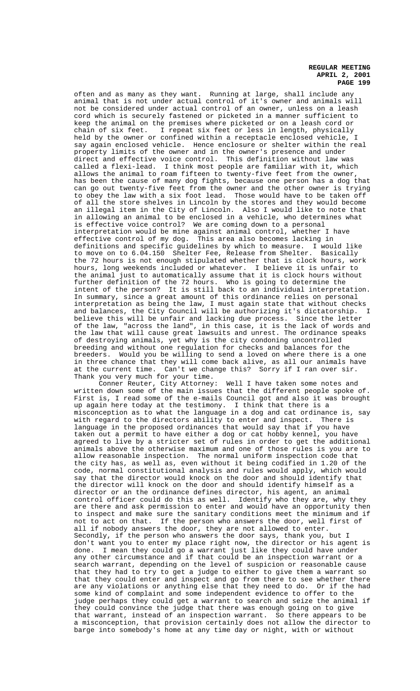often and as many as they want. Running at large, shall include any animal that is not under actual control of it's owner and animals will not be considered under actual control of an owner, unless on a leash cord which is securely fastened or picketed in a manner sufficient to keep the animal on the premises where picketed or on a leash cord or<br>chain of six feet. I repeat six feet or less in length, physically I repeat six feet or less in length, physically held by the owner or confined within a receptacle enclosed vehicle, I say again enclosed vehicle. Hence enclosure or shelter within the real property limits of the owner and in the owner's presence and under direct and effective voice control. This definition without law was called a flexi-lead. I think most people are familiar with it, which allows the animal to roam fifteen to twenty-five feet from the owner, has been the cause of many dog fights, because one person has a dog that can go out twenty-five feet from the owner and the other owner is trying to obey the law with a six foot lead. Those would have to be taken off of all the store shelves in Lincoln by the stores and they would become an illegal item in the City of Lincoln. Also I would like to note that in allowing an animal to be enclosed in a vehicle, who determines what is effective voice control? We are coming down to a personal interpretation would be mine against animal control, whether I have effective control of my dog. This area also becomes lacking in definitions and specific guidelines by which to measure. I would like to move on to 6.04.150 Shelter Fee, Release from Shelter. Basically the 72 hours is not enough stipulated whether that is clock hours, work hours, long weekends included or whatever. I believe it is unfair to the animal just to automatically assume that it is clock hours without further definition of the 72 hours. Who is going to determine the intent of the person? It is still back to an individual interpretation. In summary, since a great amount of this ordinance relies on personal interpretation as being the law, I must again state that without checks and balances, the City Council will be authorizing it's dictatorship. I believe this will be unfair and lacking due process. Since the letter of the law, "across the land", in this case, it is the lack of words and the law that will cause great lawsuits and unrest. The ordinance speaks of destroying animals, yet why is the city condoning uncontrolled breeding and without one regulation for checks and balances for the breeders. Would you be willing to send a loved on where there is a one in three chance that they will come back alive, as all our animals have at the current time. Can't we change this? Sorry if I ran over sir. Thank you very much for your time.

Conner Reuter, City Attorney: Well I have taken some notes and written down some of the main issues that the different people spoke of. First is, I read some of the e-mails Council got and also it was brought up again here today at the testimony. I think that there is a misconception as to what the language in a dog and cat ordinance is, say with regard to the directors ability to enter and inspect. There is language in the proposed ordinances that would say that if you have taken out a permit to have either a dog or cat hobby kennel, you have agreed to live by a stricter set of rules in order to get the additional animals above the otherwise maximum and one of those rules is you are to allow reasonable inspection. The normal uniform inspection code that the city has, as well as, even without it being codified in 1.20 of the code, normal constitutional analysis and rules would apply, which would say that the director would knock on the door and should identify that the director will knock on the door and should identify himself as a director or an the ordinance defines director, his agent, an animal control officer could do this as well. Identify who they are, why they are there and ask permission to enter and would have an opportunity then to inspect and make sure the sanitary conditions meet the minimum and if not to act on that. If the person who answers the door, well first of all if nobody answers the door, they are not allowed to enter. Secondly, if the person who answers the door says, thank you, but I don't want you to enter my place right now, the director or his agent is done. I mean they could go a warrant just like they could have under any other circumstance and if that could be an inspection warrant or a search warrant, depending on the level of suspicion or reasonable cause that they had to try to get a judge to either to give them a warrant so that they could enter and inspect and go from there to see whether there are any violations or anything else that they need to do. Or if the had some kind of complaint and some independent evidence to offer to the judge perhaps they could get a warrant to search and seize the animal if they could convince the judge that there was enough going on to give that warrant, instead of an inspection warrant. So there appears to be a misconception, that provision certainly does not allow the director to barge into somebody's home at any time day or night, with or without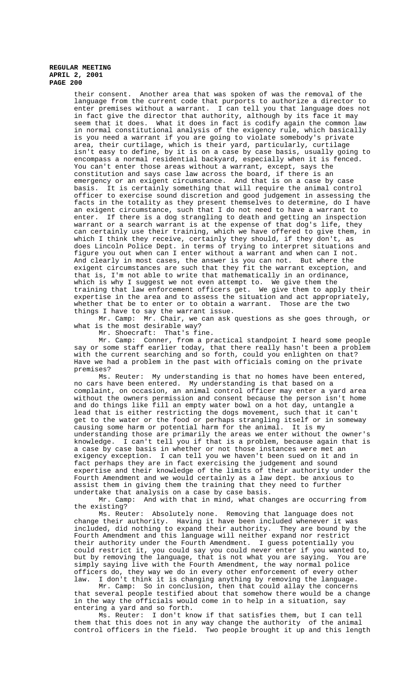their consent. Another area that was spoken of was the removal of the language from the current code that purports to authorize a director to enter premises without a warrant. I can tell you that language does not in fact give the director that authority, although by its face it may seem that it does. What it does in fact is codify again the common law in normal constitutional analysis of the exigency rule, which basically is you need a warrant if you are going to violate somebody's private area, their curtilage, which is their yard, particularly, curtilage isn't easy to define, by it is on a case by case basis, usually going to encompass a normal residential backyard, especially when it is fenced. You can't enter those areas without a warrant, except, says the constitution and says case law across the board, if there is an emergency or an exigent circumstance. And that is on a case by case basis. It is certainly something that will require the animal control officer to exercise sound discretion and good judgement in assessing the facts in the totality as they present themselves to determine, do I have an exigent circumstance, such that I do not need to have a warrant to enter. If there is a dog strangling to death and getting an inspection warrant or a search warrant is at the expense of that dog's life, they can certainly use their training, which we have offered to give them, in which I think they receive, certainly they should, if they don't, as does Lincoln Police Dept. in terms of trying to interpret situations and figure you out when can I enter without a warrant and when can I not. And clearly in most cases, the answer is you can not. But where the exigent circumstances are such that they fit the warrant exception, and that is, I'm not able to write that mathematically in an ordinance, which is why I suggest we not even attempt to. We give them the training that law enforcement officers get. We give them to apply their expertise in the area and to assess the situation and act appropriately, whether that be to enter or to obtain a warrant. Those are the two things I have to say the warrant issue.

Mr. Camp: Mr. Chair, we can ask questions as she goes through, or what is the most desirable way?

Mr. Shoecraft: That's fine.

Mr. Camp: Conner, from a practical standpoint I heard some people say or some staff earlier today, that there really hasn't been a problem with the current searching and so forth, could you enlighten on that? Have we had a problem in the past with officials coming on the private premises?

Ms. Reuter: My understanding is that no homes have been entered, no cars have been entered. My understanding is that based on a complaint, on occasion, an animal control officer may enter a yard area without the owners permission and consent because the person isn't home and do things like fill an empty water bowl on a hot day, untangle a lead that is either restricting the dogs movement, such that it can't get to the water or the food or perhaps strangling itself or in someway causing some harm or potential harm for the animal. It is my understanding those are primarily the areas we enter without the owner's knowledge. I can't tell you if that is a problem, because again that is a case by case basis in whether or not those instances were met an exigency exception. I can tell you we haven't been sued on it and in fact perhaps they are in fact exercising the judgement and sound expertise and their knowledge of the limits of their authority under the Fourth Amendment and we would certainly as a law dept. be anxious to assist them in giving them the training that they need to further undertake that analysis on a case by case basis.

Mr. Camp: And with that in mind, what changes are occurring from the existing?

Ms. Reuter: Absolutely none. Removing that language does not change their authority. Having it have been included whenever it was included, did nothing to expand their authority. They are bound by the Fourth Amendment and this language will neither expand nor restrict their authority under the Fourth Amendment. I guess potentially you could restrict it, you could say you could never enter if you wanted to, but by removing the language, that is not what you are saying. You are simply saying live with the Fourth Amendment, the way normal police officers do, they way we do in every other enforcement of every other law. I don't think it is changing anything by removing the language.

Mr. Camp: So in conclusion, then that could allay the concerns that several people testified about that somehow there would be a change in the way the officials would come in to help in a situation, say entering a yard and so forth.

Ms. Reuter: I don't know if that satisfies them, but I can tell them that this does not in any way change the authority of the animal control officers in the field. Two people brought it up and this length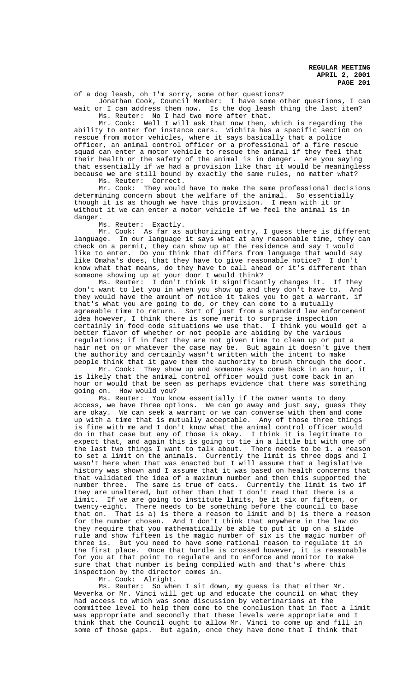of a dog leash, oh I'm sorry, some other questions?

Jonathan Cook, Council Member: I have some other questions, I can wait or I can address them now. Is the dog leash thing the last item? Ms. Reuter: No I had two more after that.

Mr. Cook: Well I will ask that now then, which is regarding the ability to enter for instance cars. Wichita has a specific section on rescue from motor vehicles, where it says basically that a police officer, an animal control officer or a professional of a fire rescue squad can enter a motor vehicle to rescue the animal if they feel that their health or the safety of the animal is in danger. Are you saying that essentially if we had a provision like that it would be meaningless because we are still bound by exactly the same rules, no matter what? Ms. Reuter: Correct.

Mr. Cook: They would have to make the same professional decisions determining concern about the welfare of the animal. So essentially though it is as though we have this provision. I mean with it or without it we can enter a motor vehicle if we feel the animal is in danger.

Ms. Reuter: Exactly.

Mr. Cook: As far as authorizing entry, I guess there is different language. In our language it says what at any reasonable time, they can check on a permit, they can show up at the residence and say I would like to enter. Do you think that differs from language that would say like Omaha's does, that they have to give reasonable notice? I don't know what that means, do they have to call ahead or it's different than someone showing up at your door I would think?

Ms. Reuter: I don't think it significantly changes it. If they don't want to let you in when you show up and they don't have to. And they would have the amount of notice it takes you to get a warrant, if that's what you are going to do, or they can come to a mutually agreeable time to return. Sort of just from a standard law enforcement idea however, I think there is some merit to surprise inspection certainly in food code situations we use that. I think you would get a better flavor of whether or not people are abiding by the various regulations; if in fact they are not given time to clean up or put a hair net on or whatever the case may be. But again it doesn't give them the authority and certainly wasn't written with the intent to make people think that it gave them the authority to brush through the door.

Mr. Cook: They show up and someone says come back in an hour, it is likely that the animal control officer would just come back in an hour or would that be seen as perhaps evidence that there was something going on. How would you?

Ms. Reuter: You know essentially if the owner wants to deny access, we have three options. We can go away and just say, guess they are okay. We can seek a warrant or we can converse with them and come up with a time that is mutually acceptable. Any of those three things is fine with me and I don't know what the animal control officer would do in that case but any of those is okay. I think it is legitimate to expect that, and again this is going to tie in a little bit with one of the last two things I want to talk about. There needs to be 1. a reason to set a limit on the animals. Currently the limit is three dogs and I wasn't here when that was enacted but I will assume that a legislative history was shown and I assume that it was based on health concerns that that validated the idea of a maximum number and then this supported the number three. The same is true of cats. Currently the limit is two if they are unaltered, but other than that I don't read that there is a limit. If we are going to institute limits, be it six or fifteen, or twenty-eight. There needs to be something before the council to base that on. That is a) is there a reason to limit and b) is there a reason for the number chosen. And I don't think that anywhere in the law do they require that you mathematically be able to put it up on a slide rule and show fifteen is the magic number of six is the magic number of three is. But you need to have some rational reason to regulate it in the first place. Once that hurdle is crossed however, it is reasonable for you at that point to regulate and to enforce and monitor to make sure that that number is being complied with and that's where this inspection by the director comes in.

Mr. Cook: Alright.

Ms. Reuter: So when I sit down, my guess is that either Mr. Weverka or Mr. Vinci will get up and educate the council on what they had access to which was some discussion by veterinarians at the committee level to help them come to the conclusion that in fact a limit was appropriate and secondly that these levels were appropriate and I think that the Council ought to allow Mr. Vinci to come up and fill in some of those gaps. But again, once they have done that I think that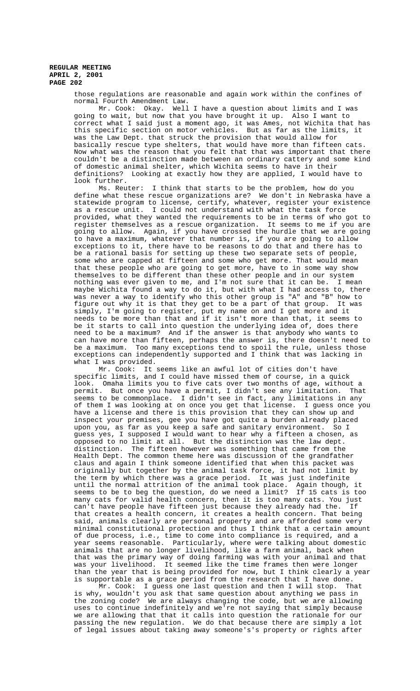those regulations are reasonable and again work within the confines of normal Fourth Amendment Law.

Mr. Cook: Okay. Well I have a question about limits and I was going to wait, but now that you have brought it up. Also I want to correct what I said just a moment ago, it was Ames, not Wichita that has this specific section on motor vehicles. But as far as the limits, it was the Law Dept. that struck the provision that would allow for basically rescue type shelters, that would have more than fifteen cats. Now what was the reason that you felt that that was important that there couldn't be a distinction made between an ordinary cattery and some kind of domestic animal shelter, which Wichita seems to have in their definitions? Looking at exactly how they are applied, I would have to look further.

Ms. Reuter: I think that starts to be the problem, how do you define what these rescue organizations are? We don't in Nebraska have a statewide program to license, certify, whatever, register your existence as a rescue unit. I could not understand with what the task force provided, what they wanted the requirements to be in terms of who got to register themselves as a rescue organization. It seems to me if you are going to allow. Again, if you have crossed the hurdle that we are going to have a maximum, whatever that number is, if you are going to allow exceptions to it, there have to be reasons to do that and there has to be a rational basis for setting up these two separate sets of people, some who are capped at fifteen and some who get more. That would mean that these people who are going to get more, have to in some way show themselves to be different than these other people and in our system nothing was ever given to me, and I'm not sure that it can be. I mean maybe Wichita found a way to do it, but with what I had access to, there was never a way to identify who this other group is "A" and "B" how to figure out why it is that they get to be a part of that group. It was simply, I'm going to register, put my name on and I get more and it needs to be more than that and if it isn't more than that, it seems to be it starts to call into question the underlying idea of, does there need to be a maximum? And if the answer is that anybody who wants to can have more than fifteen, perhaps the answer is, there doesn't need to be a maximum. Too many exceptions tend to spoil the rule, unless those exceptions can independently supported and I think that was lacking in what I was provided.

Mr. Cook: It seems like an awful lot of cities don't have specific limits, and I could have missed them of course, in a quick look. Omaha limits you to five cats over two months of age, without a permit. But once you have a permit, I didn't see any limitation. That seems to be commonplace. I didn't see in fact, any limitations in any of them I was looking at on once you get that license. I guess once you have a license and there is this provision that they can show up and inspect your premises, gee you have got quite a burden already placed upon you, as far as you keep a safe and sanitary environment. So I guess yes, I supposed I would want to hear why a fifteen a chosen, as opposed to no limit at all. But the distinction was the law dept. distinction. The fifteen however was something that came from the Health Dept. The common theme here was discussion of the grandfather claus and again I think someone identified that when this packet was originally but together by the animal task force, it had not limit by the term by which there was a grace period. It was just indefinite until the normal attrition of the animal took place. Again though, it seems to be to beg the question, do we need a limit? If 15 cats is too many cats for valid health concern, then it is too many cats. You just can't have people have fifteen just because they already had the. If that creates a health concern, it creates a health concern. That being said, animals clearly are personal property and are afforded some very minimal constitutional protection and thus I think that a certain amount of due process, i.e., time to come into compliance is required, and a year seems reasonable. Particularly, where were talking about domestic animals that are no longer livelihood, like a farm animal, back when that was the primary way of doing farming was with your animal and that was your livelihood. It seemed like the time frames then were longer than the year that is being provided for now, but I think clearly a year is supportable as a grace period from the research that I have done.

Mr. Cook: I guess one last question and then I will stop. That is why, wouldn't you ask that same question about anything we pass in the zoning code? We are always changing the code, but we are allowing uses to continue indefinitely and we're not saying that simply because we are allowing that that it calls into question the rationale for our passing the new regulation. We do that because there are simply a lot of legal issues about taking away someone's's property or rights after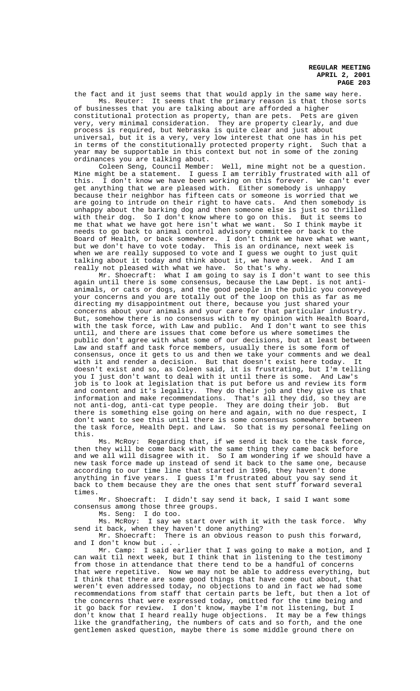the fact and it just seems that that would apply in the same way here. Ms. Reuter: It seems that the primary reason is that those sorts of businesses that you are talking about are afforded a higher constitutional protection as property, than are pets. Pets are given very, very minimal consideration. They are property clearly, and due process is required, but Nebraska is quite clear and just about universal, but it is a very, very low interest that one has in his pet in terms of the constitutionally protected property right. Such that a year may be supportable in this context but not in some of the zoning ordinances you are talking about.

Coleen Seng, Council Member: Well, mine might not be a question. Mine might be a statement. I guess I am terribly frustrated with all of this. I don't know we have been working on this forever. We can't ever get anything that we are pleased with. Either somebody is unhappy because their neighbor has fifteen cats or someone is worried that we are going to intrude on their right to have cats. And then somebody is unhappy about the barking dog and then someone else is just so thrilled with their dog. So I don't know where to go on this. But it seems to me that what we have got here isn't what we want. So I think maybe it needs to go back to animal control advisory committee or back to the Board of Health, or back somewhere. I don't think we have what we want, but we don't have to vote today. This is an ordinance, next week is when we are really supposed to vote and I guess we ought to just quit talking about it today and think about it, we have a week. And I am really not pleased with what we have. So that's why.

Mr. Shoecraft: What I am going to say is I don't want to see this again until there is some consensus, because the Law Dept. is not antianimals, or cats or dogs, and the good people in the public you conveyed your concerns and you are totally out of the loop on this as far as me directing my disappointment out there, because you just shared your concerns about your animals and your care for that particular industry. But, somehow there is no consensus with to my opinion with Health Board, with the task force, with Law and public. And I don't want to see this until, and there are issues that come before us where sometimes the public don't agree with what some of our decisions, but at least between Law and staff and task force members, usually there is some form of consensus, once it gets to us and then we take your comments and we deal with it and render a decision. But that doesn't exist here today. It doesn't exist and so, as Coleen said, it is frustrating, but I'm telling you I just don't want to deal with it until there is some. And Law's job is to look at legislation that is put before us and review its form and content and it's legality. They do their job and they give us that information and make recommendations. That's all they did, so they are not anti-dog, anti-cat type people. They are doing their job. But there is something else going on here and again, with no due respect, I don't want to see this until there is some consensus somewhere between the task force, Health Dept. and Law. So that is my personal feeling on this.

Ms. McRoy: Regarding that, if we send it back to the task force, then they will be come back with the same thing they came back before and we all will disagree with it. So I am wondering if we should have a new task force made up instead of send it back to the same one, because according to our time line that started in 1996, they haven't done anything in five years. I guess I'm frustrated about you say send it back to them because they are the ones that sent stuff forward several times.

Mr. Shoecraft: I didn't say send it back, I said I want some consensus among those three groups.

Ms. Seng: I do too.

Ms. McRoy: I say we start over with it with the task force. Why send it back, when they haven't done anything?

Mr. Shoecraft: There is an obvious reason to push this forward, and I don't know but

Mr. Camp: I said earlier that I was going to make a motion, and I can wait til next week, but I think that in listening to the testimony from those in attendance that there tend to be a handful of concerns that were repetitive. Now we may not be able to address everything, but I think that there are some good things that have come out about, that weren't even addressed today, no objections to and in fact we had some recommendations from staff that certain parts be left, but then a lot of the concerns that were expressed today, omitted for the time being and<br>it go back for review. I don't know, maybe I'm not listening, but I I don't know, maybe I'm not listening, but I don't know that I heard really huge objections. It may be a few things like the grandfathering, the numbers of cats and so forth, and the one gentlemen asked question, maybe there is some middle ground there on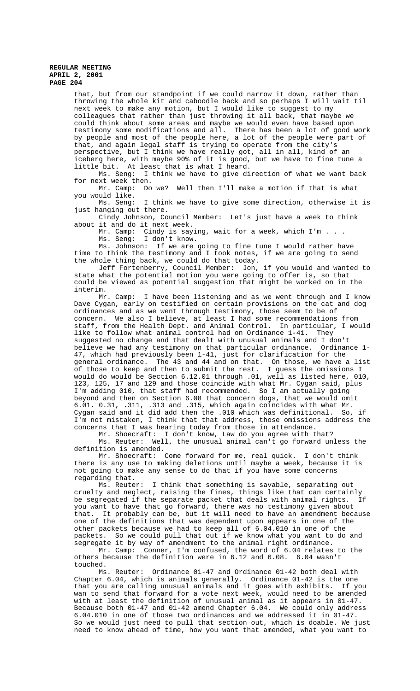that, but from our standpoint if we could narrow it down, rather than throwing the whole kit and caboodle back and so perhaps I will wait til next week to make any motion, but I would like to suggest to my colleagues that rather than just throwing it all back, that maybe we could think about some areas and maybe we would even have based upon testimony some modifications and all. There has been a lot of good work by people and most of the people here, a lot of the people were part of that, and again legal staff is trying to operate from the city's perspective, but I think we have really got, all in all, kind of an iceberg here, with maybe 90% of it is good, but we have to fine tune a little bit. At least that is what I heard.

Ms. Seng: I think we have to give direction of what we want back for next week then.

Mr. Camp: Do we? Well then I'll make a motion if that is what you would like.

Ms. Seng: I think we have to give some direction, otherwise it is just hanging out there.

Cindy Johnson, Council Member: Let's just have a week to think about it and do it next week.

Mr. Camp: Cindy is saying, wait for a week, which I'm . . . Ms. Seng: I don't know.

Ms. Johnson: If we are going to fine tune I would rather have time to think the testimony and I took notes, if we are going to send the whole thing back, we could do that today.

Jeff Fortenberry, Council Member: Jon, if you would and wanted to state what the potential motion you were going to offer is, so that could be viewed as potential suggestion that might be worked on in the interim.

Mr. Camp: I have been listening and as we went through and I know Dave Cygan, early on testified on certain provisions on the cat and dog ordinances and as we went through testimony, those seem to be of concern. We also I believe, at least I had some recommendations from staff, from the Health Dept. and Animal Control. In particular, I would like to follow what animal control had on Ordinance 1-41. They suggested no change and that dealt with unusual animals and I don't believe we had any testimony on that particular ordinance. Ordinance 1- 47, which had previously been 1-41, just for clarification for the general ordinance. The 43 and 44 and on that. On those, we have a list of those to keep and then to submit the rest. I guess the omissions I would do would be Section 6.12.01 through .01, well as listed here, 010, 123, 125, 17 and 129 and those coincide with what Mr. Cygan said, plus I'm adding 010, that staff had recommended. So I am actually going beyond and then on Section 6.08 that concern dogs, that we would omit 6.01. 0.31, .311, .313 and .315, which again coincides with what Mr. Cygan said and it did add then the .010 which was definitional. So, if I'm not mistaken, I think that that address, those omissions address the concerns that I was hearing today from those in attendance.

Mr. Shoecraft: I don't know, Law do you agree with that?

Ms. Reuter: Well, the unusual animal can't go forward unless the definition is amended.

Mr. Shoecraft: Come forward for me, real quick. I don't think there is any use to making deletions until maybe a week, because it is not going to make any sense to do that if you have some concerns regarding that.

Ms. Reuter: I think that something is savable, separating out cruelty and neglect, raising the fines, things like that can certainly be segregated if the separate packet that deals with animal rights. If you want to have that go forward, there was no testimony given about that. It probably can be, but it will need to have an amendment because one of the definitions that was dependent upon appears in one of the other packets because we had to keep all of 6.04.010 in one of the packets. So we could pull that out if we know what you want to do and segregate it by way of amendment to the animal right ordinance.

Mr. Camp: Conner, I'm confused, the word of 6.04 relates to the others because the definition were in 6.12 and 6.08. 6.04 wasn't touched.

Ms. Reuter: Ordinance 01-47 and Ordinance 01-42 both deal with Chapter 6.04, which is animals generally. Ordinance 01-42 is the one that you are calling unusual animals and it goes with exhibits. If you wan to send that forward for a vote next week, would need to be amended with at least the definition of unusual animal as it appears in 01-47. Because both 01-47 and 01-42 amend Chapter 6.04. We could only address 6.04.010 in one of those two ordinances and we addressed it in 01-47. So we would just need to pull that section out, which is doable. We just need to know ahead of time, how you want that amended, what you want to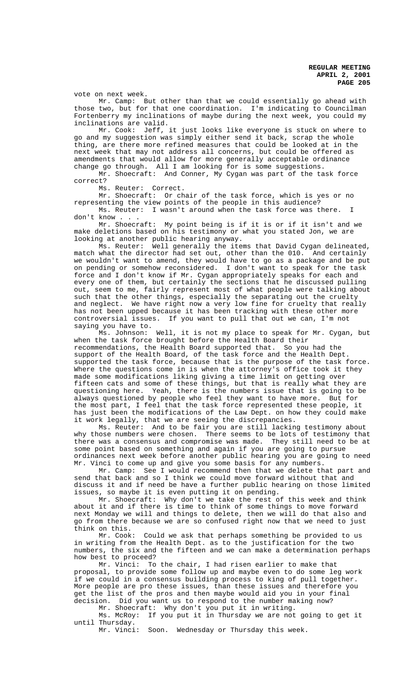vote on next week.

Mr. Camp: But other than that we could essentially go ahead with those two, but for that one coordination. I'm indicating to Councilman Fortenberry my inclinations of maybe during the next week, you could my inclinations are valid.

Mr. Cook: Jeff, it just looks like everyone is stuck on where to go and my suggestion was simply either send it back, scrap the whole thing, are there more refined measures that could be looked at in the next week that may not address all concerns, but could be offered as amendments that would allow for more generally acceptable ordinance change go through. All I am looking for is some suggestions.

Mr. Shoecraft: And Conner, My Cygan was part of the task force correct?

Ms. Reuter: Correct.

Mr. Shoecraft: Or chair of the task force, which is yes or no representing the view points of the people in this audience?

Ms. Reuter: I wasn't around when the task force was there. don't know . .

Mr. Shoecraft: My point being is if it is or if it isn't and we make deletions based on his testimony or what you stated Jon, we are looking at another public hearing anyway.

Ms. Reuter: Well generally the items that David Cygan delineated, match what the director had set out, other than the 010. And certainly we wouldn't want to amend, they would have to go as a package and be put on pending or somehow reconsidered. I don't want to speak for the task force and I don't know if Mr. Cygan appropriately speaks for each and every one of them, but certainly the sections that he discussed pulling out, seem to me, fairly represent most of what people were talking about such that the other things, especially the separating out the cruelty and neglect. We have right now a very low fine for cruelty that really has not been upped because it has been tracking with these other more controversial issues. If you want to pull that out we can, I'm not saying you have to.

Ms. Johnson: Well, it is not my place to speak for Mr. Cygan, but when the task force brought before the Health Board their recommendations, the Health Board supported that. So you had the support of the Health Board, of the task force and the Health Dept. supported the task force, because that is the purpose of the task force. Where the questions come in is when the attorney's office took it they made some modifications liking giving a time limit on getting over fifteen cats and some of these things, but that is really what they are questioning here. Yeah, there is the numbers issue that is going to be always questioned by people who feel they want to have more. But for the most part, I feel that the task force represented these people, it has just been the modifications of the Law Dept. on how they could make it work legally, that we are seeing the discrepancies.

Ms. Reuter: And to be fair you are still lacking testimony about why those numbers were chosen. There seems to be lots of testimony that there was a consensus and compromise was made. They still need to be at some point based on something and again if you are going to pursue ordinances next week before another public hearing you are going to need Mr. Vinci to come up and give you some basis for any numbers.

Mr. Camp: See I would recommend then that we delete that part and send that back and so I think we could move forward without that and discuss it and if need be have a further public hearing on those limited issues, so maybe it is even putting it on pending.

Mr. Shoecraft: Why don't we take the rest of this week and think about it and if there is time to think of some things to move forward next Monday we will and things to delete, then we will do that also and go from there because we are so confused right now that we need to just think on this.

Mr. Cook: Could we ask that perhaps something be provided to us in writing from the Health Dept. as to the justification for the two numbers, the six and the fifteen and we can make a determination perhaps how best to proceed?

Mr. Vinci: To the chair, I had risen earlier to make that proposal, to provide some follow up and maybe even to do some leg work if we could in a consensus building process to king of pull together. More people are pro these issues, than these issues and therefore you get the list of the pros and then maybe would aid you in your final decision. Did you want us to respond to the number making now?

Mr. Shoecraft: Why don't you put it in writing.

Ms. McRoy: If you put it in Thursday we are not going to get it until Thursday.

Mr. Vinci: Soon. Wednesday or Thursday this week.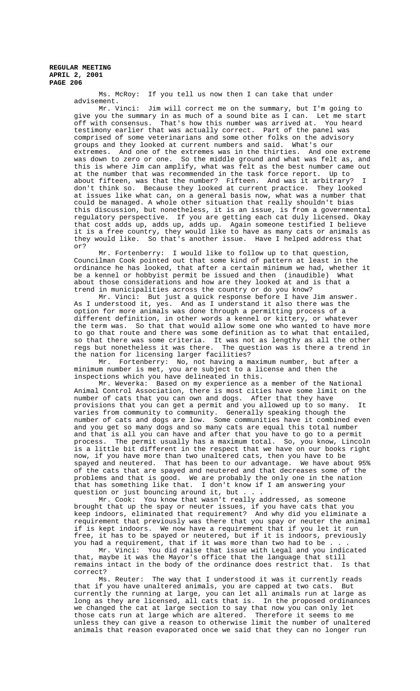Ms. McRoy: If you tell us now then I can take that under advisement.

Mr. Vinci: Jim will correct me on the summary, but I'm going to give you the summary in as much of a sound bite as I can. Let me start off with consensus. That's how this number was arrived at. You heard testimony earlier that was actually correct. Part of the panel was comprised of some veterinarians and some other folks on the advisory groups and they looked at current numbers and said. What's our extremes. And one of the extremes was in the thirties. And one extreme was down to zero or one. So the middle ground and what was felt as, and this is where Jim can amplify, what was felt as the best number came out at the number that was recommended in the task force report. Up to about fifteen, was that the number? Fifteen. And was it arbitrary? I don't think so. Because they looked at current practice. They looked at issues like what can, on a general basis now, what was a number that could be managed. A whole other situation that really shouldn't bias this discussion, but nonetheless, it is an issue, is from a governmental regulatory perspective. If you are getting each cat duly licensed. Okay that cost adds up, adds up, adds up. Again someone testified I believe it is a free country, they would like to have as many cats or animals as they would like. So that's another issue. Have I helped address that or?

Mr. Fortenberry: I would like to follow up to that question, Councilman Cook pointed out that some kind of pattern at least in the ordinance he has looked, that after a certain minimum we had, whether it be a kennel or hobbyist permit be issued and then (inaudible) What about those considerations and how are they looked at and is that a trend in municipalities across the country or do you know?

Mr. Vinci: But just a quick response before I have Jim answer. As I understood it, yes. And as I understand it also there was the option for more animals was done through a permitting process of a different definition, in other words a kennel or kittery, or whatever the term was. So that that would allow some one who wanted to have more to go that route and there was some definition as to what that entailed, so that there was some criteria. It was not as lengthy as all the other regs but nonetheless it was there. The question was is there a trend in the nation for licensing larger facilities?

Mr. Fortenberry: No, not having a maximum number, but after a minimum number is met, you are subject to a license and then the inspections which you have delineated in this.

Mr. Weverka: Based on my experience as a member of the National Animal Control Association, there is most cities have some limit on the number of cats that you can own and dogs. After that they have provisions that you can get a permit and you allowed up to so many. It varies from community to community. Generally speaking though the number of cats and dogs are low. Some communities have it combined even and you get so many dogs and so many cats are equal this total number and that is all you can have and after that you have to go to a permit<br>process. The permit usually has a maximum total. So, you know, Lincoln process. The permit usually has a maximum total. So, you know, is a little bit different in the respect that we have on our books right now, if you have more than two unaltered cats, then you have to be spayed and neutered. That has been to our advantage. We have about 95% of the cats that are spayed and neutered and that decreases some of the problems and that is good. We are probably the only one in the nation that has something like that. I don't know if I am answering your question or just bouncing around it, but . . .

Mr. Cook: You know that wasn't really addressed, as someone brought that up the spay or neuter issues, if you have cats that you keep indoors, eliminated that requirement? And why did you eliminate a requirement that previously was there that you spay or neuter the animal if is kept indoors. We now have a requirement that if you let it run free, it has to be spayed or neutered, but if it is indoors, previously you had a requirement, that if it was more than two had to be

Mr. Vinci: You did raise that issue with Legal and you indicated that, maybe it was the Mayor's office that the language that still remains intact in the body of the ordinance does restrict that. Is that correct?

Ms. Reuter: The way that I understood it was it currently reads that if you have unaltered animals, you are capped at two cats. But currently the running at large, you can let all animals run at large as long as they are licensed, all cats that is. In the proposed ordinances we changed the cat at large section to say that now you can only let those cats run at large which are altered. Therefore it seems to me unless they can give a reason to otherwise limit the number of unaltered animals that reason evaporated once we said that they can no longer run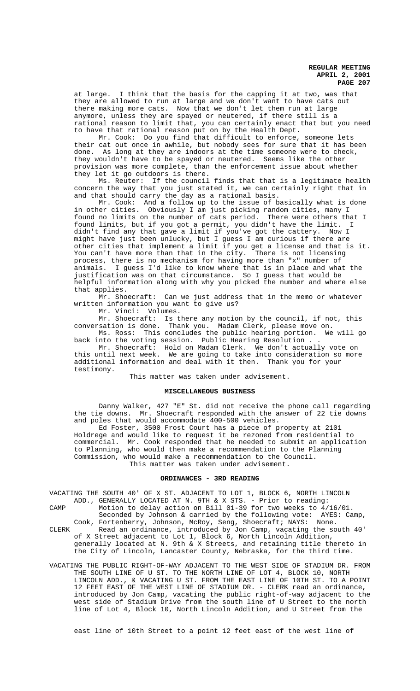at large. I think that the basis for the capping it at two, was that they are allowed to run at large and we don't want to have cats out there making more cats. Now that we don't let them run at large anymore, unless they are spayed or neutered, if there still is a rational reason to limit that, you can certainly enact that but you need to have that rational reason put on by the Health Dept.

Mr. Cook: Do you find that difficult to enforce, someone lets their cat out once in awhile, but nobody sees for sure that it has been done. As long at they are indoors at the time someone were to check, they wouldn't have to be spayed or neutered. Seems like the other provision was more complete, than the enforcement issue about whether they let it go outdoors is there.

Ms. Reuter: If the council finds that that is a legitimate health concern the way that you just stated it, we can certainly right that in and that should carry the day as a rational basis.

Mr. Cook: And a follow up to the issue of basically what is done in other cities. Obviously I am just picking random cities, many I found no limits on the number of cats period. There were others that I found limits, but if you got a permit, you didn't have the limit. I didn't find any that gave a limit if you've got the cattery. Now I might have just been unlucky, but I guess I am curious if there are other cities that implement a limit if you get a license and that is it. You can't have more than that in the city. There is not licensing process, there is no mechanism for having more than "x" number of animals. I guess I'd like to know where that is in place and what the justification was on that circumstance. So I guess that would be helpful information along with why you picked the number and where else that applies.

Mr. Shoecraft: Can we just address that in the memo or whatever written information you want to give us?

Mr. Vinci: Volumes.

Mr. Shoecraft: Is there any motion by the council, if not, this conversation is done. Thank you. Madam Clerk, please move on. Ms. Ross: This concludes the public hearing portion. We will go

back into the voting session. Public Hearing Resolution . . Mr. Shoecraft: Hold on Madam Clerk. We don't actually vote on this until next week. We are going to take into consideration so more additional information and deal with it then. Thank you for your testimony.

This matter was taken under advisement.

# **MISCELLANEOUS BUSINESS**

Danny Walker, 427 "E" St. did not receive the phone call regarding the tie downs. Mr. Shoecraft responded with the answer of 22 tie downs and poles that would accommodate 400-500 vehicles.

Ed Foster, 3500 Frost Court has a piece of property at 2101 Holdrege and would like to request it be rezoned from residential to commercial. Mr. Cook responded that he needed to submit an application to Planning, who would then make a recommendation to the Planning Commission, who would make a recommendation to the Council. This matter was taken under advisement.

#### **ORDINANCES - 3RD READING**

VACATING THE SOUTH 40' OF X ST. ADJACENT TO LOT 1, BLOCK 6, NORTH LINCOLN ADD., GENERALLY LOCATED AT N. 9TH & X STS. - Prior to reading: CAMP Motion to delay action on Bill 01-39 for two weeks to 4/16/01.

Seconded by Johnson & carried by the following vote: AYES: Camp, Cook, Fortenberry, Johnson, McRoy, Seng, Shoecraft; NAYS: None. CLERK Read an ordinance, introduced by Jon Camp, vacating the south 40' of X Street adjacent to Lot 1, Block 6, North Lincoln Addition, generally located at N. 9th & X Streets, and retaining title thereto in the City of Lincoln, Lancaster County, Nebraska, for the third time.

VACATING THE PUBLIC RIGHT-OF-WAY ADJACENT TO THE WEST SIDE OF STADIUM DR. FROM THE SOUTH LINE OF U ST. TO THE NORTH LINE OF LOT 4, BLOCK 10, NORTH LINCOLN ADD., & VACATING U ST. FROM THE EAST LINE OF 10TH ST. TO A POINT 12 FEET EAST OF THE WEST LINE OF STADIUM DR. - CLERK read an ordinance, introduced by Jon Camp, vacating the public right-of-way adjacent to the west side of Stadium Drive from the south line of U Street to the north line of Lot 4, Block 10, North Lincoln Addition, and U Street from the

east line of 10th Street to a point 12 feet east of the west line of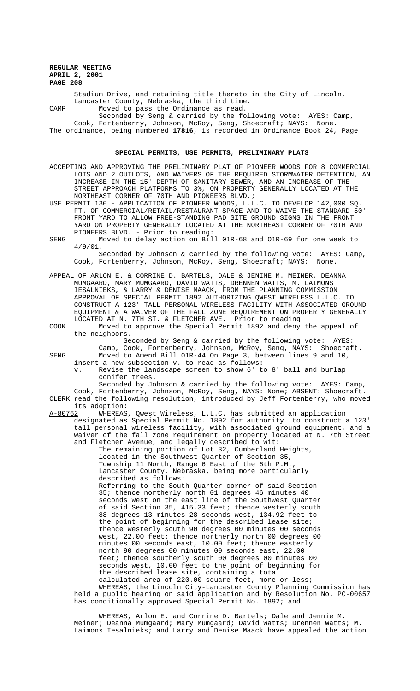Stadium Drive, and retaining title thereto in the City of Lincoln, Lancaster County, Nebraska, the third time. CAMP Moved to pass the Ordinance as read.

Seconded by Seng & carried by the following vote: AYES: Camp, Cook, Fortenberry, Johnson, McRoy, Seng, Shoecraft; NAYS: None. The ordinance, being numbered **17816**, is recorded in Ordinance Book 24, Page

#### **SPECIAL PERMITS**, **USE PERMITS**, **PRELIMINARY PLATS**

- ACCEPTING AND APPROVING THE PRELIMINARY PLAT OF PIONEER WOODS FOR 8 COMMERCIAL LOTS AND 2 OUTLOTS, AND WAIVERS OF THE REQUIRED STORMWATER DETENTION, AN INCREASE IN THE 15' DEPTH OF SANITARY SEWER, AND AN INCREASE OF THE STREET APPROACH PLATFORMS TO 3%, ON PROPERTY GENERALLY LOCATED AT THE NORTHEAST CORNER OF 70TH AND PIONEERS BLVD.;
- USE PERMIT 130 APPLICATION OF PIONEER WOODS, L.L.C. TO DEVELOP 142,000 SQ. FT. OF COMMERCIAL/RETAIL/RESTAURANT SPACE AND TO WAIVE THE STANDARD 50' FRONT YARD TO ALLOW FREE-STANDING PAD SITE GROUND SIGNS IN THE FRONT YARD ON PROPERTY GENERALLY LOCATED AT THE NORTHEAST CORNER OF 70TH AND PIONEERS BLVD. - Prior to reading:
- SENG Moved to delay action on Bill 01R-68 and O1R-69 for one week to 4/9/01. Seconded by Johnson & carried by the following vote: AYES: Camp,

Cook, Fortenberry, Johnson, McRoy, Seng, Shoecraft; NAYS: None.

- APPEAL OF ARLON E. & CORRINE D. BARTELS, DALE & JENINE M. MEINER, DEANNA MUMGAARD, MARY MUMGAARD, DAVID WATTS, DRENNEN WATTS, M. LAIMONS IESALNIEKS, & LARRY & DENISE MAACK, FROM THE PLANNING COMMISSION APPROVAL OF SPECIAL PERMIT 1892 AUTHORIZING QWEST WIRELESS L.L.C. TO CONSTRUCT A 123' TALL PERSONAL WIRELESS FACILITY WITH ASSOCIATED GROUND EQUIPMENT & A WAIVER OF THE FALL ZONE REQUIREMENT ON PROPERTY GENERALLY LOCATED AT N. 7TH ST. & FLETCHER AVE. Prior to reading
- COOK Moved to approve the Special Permit 1892 and deny the appeal of the neighbors.

 Seconded by Seng & carried by the following vote: AYES: Camp, Cook, Fortenberry, Johnson, McRoy, Seng, NAYS: Shoecraft. SENG Moved to Amend Bill 01R-44 On Page 3, between lines 9 and 10,

insert a new subsection v. to read as follows:

v. Revise the landscape screen to show 6' to 8' ball and burlap conifer trees.

Seconded by Johnson & carried by the following vote: AYES: Camp, Cook, Fortenberry, Johnson, McRoy, Seng, NAYS: None; ABSENT: Shoecraft. CLERK read the following resolution, introduced by Jeff Fortenberry, who moved

its adoption: WHEREAS, Qwest Wireless, L.L.C. has submitted an application designated as Special Permit No. 1892 for authority to construct a 123' tall personal wireless facility, with associated ground equipment, and a waiver of the fall zone requirement on property located at N. 7th Street and Fletcher Avenue, and legally described to wit:

The remaining portion of Lot 32, Cumberland Heights, located in the Southwest Quarter of Section 35, Township 11 North, Range 6 East of the 6th P.M., Lancaster County, Nebraska, being more particularly described as follows: Referring to the South Quarter corner of said Section 35; thence northerly north 01 degrees 46 minutes 40 seconds west on the east line of the Southwest Quarter of said Section 35, 415.33 feet; thence westerly south 88 degrees 13 minutes 28 seconds west, 134.92 feet to the point of beginning for the described lease site; thence westerly south 90 degrees 00 minutes 00 seconds west, 22.00 feet; thence northerly north 00 degrees 00 minutes 00 seconds east, 10.00 feet; thence easterly north 90 degrees 00 minutes 00 seconds east, 22.00 feet; thence southerly south 00 degrees 00 minutes 00 seconds west, 10.00 feet to the point of beginning for the described lease site, containing a total calculated area of 220.00 square feet, more or less; WHEREAS, the Lincoln City-Lancaster County Planning Commission has

held a public hearing on said application and by Resolution No. PC-00657 has conditionally approved Special Permit No. 1892; and

WHEREAS, Arlon E. and Corrine D. Bartels; Dale and Jennie M. Meiner; Deanna Mumgaard; Mary Mumgaard; David Watts; Drennen Watts; M. Laimons Iesalnieks; and Larry and Denise Maack have appealed the action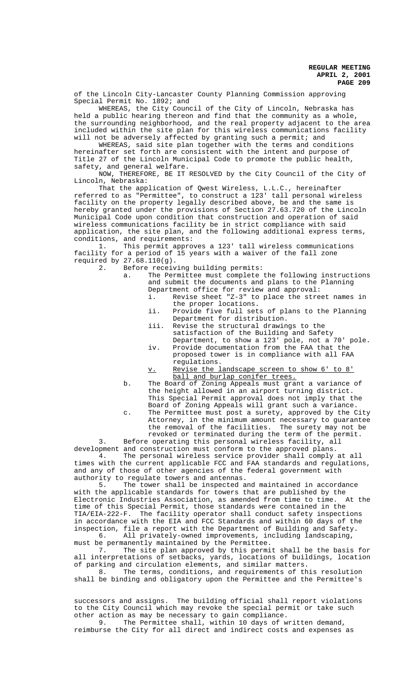of the Lincoln City-Lancaster County Planning Commission approving Special Permit No. 1892; and

WHEREAS, the City Council of the City of Lincoln, Nebraska has held a public hearing thereon and find that the community as a whole, the surrounding neighborhood, and the real property adjacent to the area included within the site plan for this wireless communications facility will not be adversely affected by granting such a permit; and

WHEREAS, said site plan together with the terms and conditions hereinafter set forth are consistent with the intent and purpose of Title 27 of the Lincoln Municipal Code to promote the public health, safety, and general welfare.

NOW, THEREFORE, BE IT RESOLVED by the City Council of the City of Lincoln, Nebraska:

That the application of Qwest Wireless, L.L.C., hereinafter referred to as "Permittee", to construct a 123' tall personal wireless facility on the property legally described above, be and the same is hereby granted under the provisions of Section 27.63.720 of the Lincoln Municipal Code upon condition that construction and operation of said wireless communications facility be in strict compliance with said application, the site plan, and the following additional express terms, conditions, and requirements:<br>1. This permit appro

This permit approves a 123' tall wireless communications facility for a period of 15 years with a waiver of the fall zone required by 27.68.110(g).

2. Before receiving building permits:

- a. The Permittee must complete the following instructions and submit the documents and plans to the Planning Department office for review and approval:
	- i. Revise sheet "Z-3" to place the street names in the proper locations.
	- ii. Provide five full sets of plans to the Planning Department for distribution.
	- iii. Revise the structural drawings to the satisfaction of the Building and Safety
	- Department, to show a 123' pole, not a 70' pole. iv. Provide documentation from the FAA that the proposed tower is in compliance with all FAA regulations.
	- v. Revise the landscape screen to show 6' to 8' ball and burlap conifer trees.
- b. The Board of Zoning Appeals must grant a variance of the height allowed in an airport turning district. This Special Permit approval does not imply that the Board of Zoning Appeals will grant such a variance.
- c. The Permittee must post a surety, approved by the City Attorney, in the minimum amount necessary to guarantee the removal of the facilities. The surety may not be revoked or terminated during the term of the permit.

3. Before operating this personal wireless facility, all development and construction must conform to the approved plans.

4. The personal wireless service provider shall comply at all times with the current applicable FCC and FAA standards and regulations, and any of those of other agencies of the federal government with

authority to regulate towers and antennas.<br>5. The tower shall be inspected a The tower shall be inspected and maintained in accordance with the applicable standards for towers that are published by the Electronic Industries Association, as amended from time to time. At the time of this Special Permit, those standards were contained in the TIA/EIA-222-F. The facility operator shall conduct safety inspections in accordance with the EIA and FCC Standards and within 60 days of the inspection, file a report with the Department of Building and Safety. 6. All privately-owned improvements, including landscaping, must be permanently maintained by the Permittee.

7. The site plan approved by this permit shall be the basis for all interpretations of setbacks, yards, locations of buildings, location of parking and circulation elements, and similar matters.

8. The terms, conditions, and requirements of this resolution shall be binding and obligatory upon the Permittee and the Permittee's

successors and assigns. The building official shall report violations to the City Council which may revoke the special permit or take such other action as may be necessary to gain compliance.<br>9 The Permittee shall, within 10 days of wi

The Permittee shall, within 10 days of written demand, reimburse the City for all direct and indirect costs and expenses as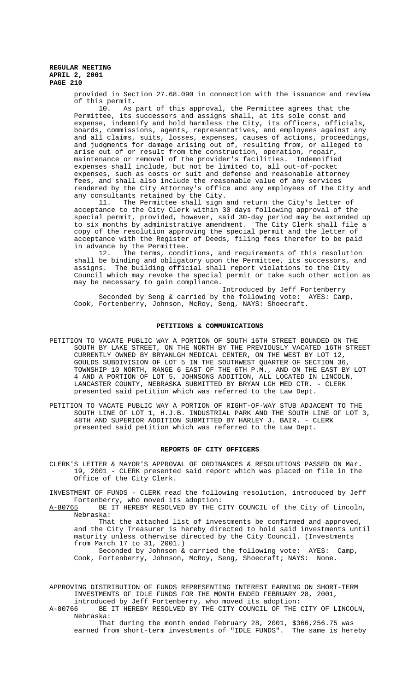provided in Section 27.68.090 in connection with the issuance and review of this permit.

10. As part of this approval, the Permittee agrees that the Permittee, its successors and assigns shall, at its sole const and expense, indemnify and hold harmless the City, its officers, officials, boards, commissions, agents, representatives, and employees against any and all claims, suits, losses, expenses, causes of actions, proceedings, and judgments for damage arising out of, resulting from, or alleged to arise out of or result from the construction, operation, repair, maintenance or removal of the provider's facilities. Indemnified expenses shall include, but not be limited to, all out-of-pocket expenses, such as costs or suit and defense and reasonable attorney fees, and shall also include the reasonable value of any services rendered by the City Attorney's office and any employees of the City and any consultants retained by the City.

11. The Permittee shall sign and return the City's letter of acceptance to the City Clerk within 30 days following approval of the special permit, provided, however, said 30-day period may be extended up to six months by administrative amendment. The City Clerk shall file a copy of the resolution approving the special permit and the letter of acceptance with the Register of Deeds, filing fees therefor to be paid in advance by the Permittee.<br>12. The terms, condi

The terms, conditions, and requirements of this resolution shall be binding and obligatory upon the Permittee, its successors, and assigns. The building official shall report violations to the City Council which may revoke the special permit or take such other action as may be necessary to gain compliance.

Introduced by Jeff Fortenberry Seconded by Seng & carried by the following vote: AYES: Camp, Cook, Fortenberry, Johnson, McRoy, Seng, NAYS: Shoecraft.

#### **PETITIONS & COMMUNICATIONS**

- PETITION TO VACATE PUBLIC WAY A PORTION OF SOUTH 16TH STREET BOUNDED ON THE SOUTH BY LAKE STREET, ON THE NORTH BY THE PREVIOUSLY VACATED 16TH STREET CURRENTLY OWNED BY BRYANLGH MEDICAL CENTER, ON THE WEST BY LOT 12, GOULDS SUBDIVISION OF LOT 5 IN THE SOUTHWEST QUARTER OF SECTION 36, TOWNSHIP 10 NORTH, RANGE 6 EAST OF THE 6TH P.M., AND ON THE EAST BY LOT 4 AND A PORTION OF LOT 5, JOHNSONS ADDITION, ALL LOCATED IN LINCOLN, LANCASTER COUNTY, NEBRASKA SUBMITTED BY BRYAN LGH MED CTR. - CLERK presented said petition which was referred to the Law Dept.
- PETITION TO VACATE PUBLIC WAY A PORTION OF RIGHT-OF-WAY STUB ADJACENT TO THE SOUTH LINE OF LOT 1, H.J.B. INDUSTRIAL PARK AND THE SOUTH LINE OF LOT 3, 48TH AND SUPERIOR ADDITION SUBMITTED BY HARLEY J. BAIR. - CLERK presented said petition which was referred to the Law Dept.

#### **REPORTS OF CITY OFFICERS**

CLERK'S LETTER & MAYOR'S APPROVAL OF ORDINANCES & RESOLUTIONS PASSED ON Mar. 19, 2001 - CLERK presented said report which was placed on file in the Office of the City Clerk.

INVESTMENT OF FUNDS - CLERK read the following resolution, introduced by Jeff Fortenberry, who moved its adoption:<br>A-80765 BE IT HEREBY RESOLVED BY THE C

BE IT HEREBY RESOLVED BY THE CITY COUNCIL of the City of Lincoln, Nebraska:

That the attached list of investments be confirmed and approved, and the City Treasurer is hereby directed to hold said investments until maturity unless otherwise directed by the City Council. (Investments from March 17 to 31, 2001.)

Seconded by Johnson & carried the following vote: AYES: Camp, Cook, Fortenberry, Johnson, McRoy, Seng, Shoecraft; NAYS: None.

APPROVING DISTRIBUTION OF FUNDS REPRESENTING INTEREST EARNING ON SHORT-TERM INVESTMENTS OF IDLE FUNDS FOR THE MONTH ENDED FEBRUARY 28, 2001, introduced by Jeff Fortenberry, who moved its adoption:

A-80766 BE IT HEREBY RESOLVED BY THE CITY COUNCIL OF THE CITY OF LINCOLN, Nebraska:

That during the month ended February 28, 2001, \$366,256.75 was earned from short-term investments of "IDLE FUNDS". The same is hereby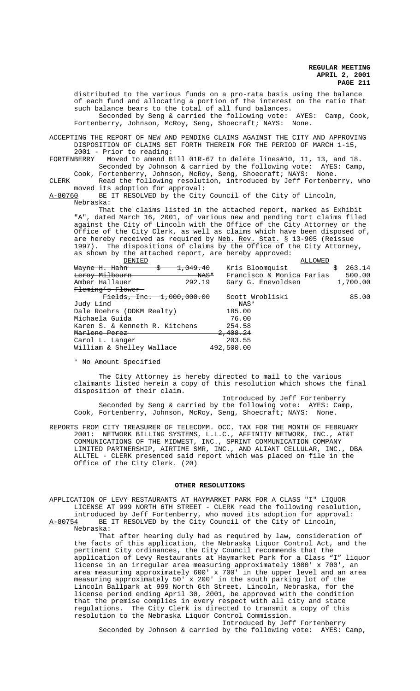distributed to the various funds on a pro-rata basis using the balance of each fund and allocating a portion of the interest on the ratio that such balance bears to the total of all fund balances. Seconded by Seng & carried the following vote: AYES: Camp, Cook, Fortenberry, Johnson, McRoy, Seng, Shoecraft; NAYS: None.

ACCEPTING THE REPORT OF NEW AND PENDING CLAIMS AGAINST THE CITY AND APPROVING DISPOSITION OF CLAIMS SET FORTH THEREIN FOR THE PERIOD OF MARCH 1-15, 2001 - Prior to reading:

FORTENBERRY Moved to amend Bill 01R-67 to delete lines#10, 11, 13, and 18. Seconded by Johnson & carried by the following vote: AYES: Camp,

Cook, Fortenberry, Johnson, McRoy, Seng, Shoecraft; NAYS: None. CLERK Read the following resolution, introduced by Jeff Fortenberry, who

moved its adoption for approval:

A-80760 BE IT RESOLVED by the City Council of the City of Lincoln, Nebraska:

That the claims listed in the attached report, marked as Exhibit "A", dated March 16, 2001, of various new and pending tort claims filed against the City of Lincoln with the Office of the City Attorney or the Office of the City Clerk, as well as claims which have been disposed of, are hereby received as required by Neb. Rev. Stat. § 13-905 (Reissue 1997). The dispositions of claims by the Office of the City Attorney, as shown by the attached report, are hereby approved:

| DENIED                               | ALLOWED                   |             |
|--------------------------------------|---------------------------|-------------|
| <del>1,049.40</del><br>Wayne H. Hahn | Kris Bloomquist           | 263.14<br>S |
| Leroy Milbourn<br><del>NAS*</del>    | Francisco & Monica Farias | 500.00      |
| Amber Hallauer<br>292.19             | Gary G. Enevoldsen        | 1,700.00    |
| Fleming's Flower                     |                           |             |
| Fields, Inc. 1,000,000.00            | Scott Wrobliski           | 85.00       |
| Judy Lind                            | NAS*                      |             |
| Dale Roehrs (DDKM Realty)            | 185.00                    |             |
| Michaela Guida                       | 76.00                     |             |
| Karen S. & Kenneth R. Kitchens       | 254.58                    |             |
| Marlene Perez                        | <del>2,408.24</del>       |             |
| Carol L. Langer                      | 203.55                    |             |
| William & Shelley Wallace            | 492,500.00                |             |

\* No Amount Specified

The City Attorney is hereby directed to mail to the various claimants listed herein a copy of this resolution which shows the final disposition of their claim.

 Introduced by Jeff Fortenberry Seconded by Seng & carried by the following vote: AYES: Camp, Cook, Fortenberry, Johnson, McRoy, Seng, Shoecraft; NAYS: None.

REPORTS FROM CITY TREASURER OF TELECOMM. OCC. TAX FOR THE MONTH OF FEBRUARY 2001: NETWORK BILLING SYSTEMS, L.L.C., AFFINITY NETWORK, INC., AT&T COMMUNICATIONS OF THE MIDWEST, INC., SPRINT COMMUNICATION COMPANY LIMITED PARTNERSHIP, AIRTIME SMR, INC., AND ALIANT CELLULAR, INC., DBA ALLTEL - CLERK presented said report which was placed on file in the Office of the City Clerk. (20)

#### **OTHER RESOLUTIONS**

APPLICATION OF LEVY RESTAURANTS AT HAYMARKET PARK FOR A CLASS "I" LIQUOR LICENSE AT 999 NORTH 6TH STREET - CLERK read the following resolution, introduced by Jeff Fortenberry, who moved its adoption for approval: A-80754 BE IT RESOLVED by the City Council of the City of Lincoln,

Nebraska:

That after hearing duly had as required by law, consideration of the facts of this application, the Nebraska Liquor Control Act, and the pertinent City ordinances, the City Council recommends that the application of Levy Restaurants at Haymarket Park for a Class "I" liquor license in an irregular area measuring approximately 1000' x 700', an area measuring approximately 600' x 700' in the upper level and an area measuring approximately 50' x 200' in the south parking lot of the Lincoln Ballpark at 999 North 6th Street, Lincoln, Nebraska, for the license period ending April 30, 2001, be approved with the condition that the premise complies in every respect with all city and state regulations. The City Clerk is directed to transmit a copy of this resolution to the Nebraska Liquor Control Commission. Introduced by Jeff Fortenberry

Seconded by Johnson & carried by the following vote: AYES: Camp,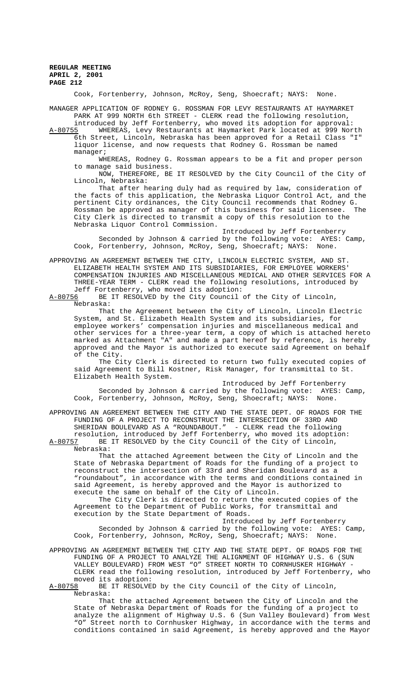Cook, Fortenberry, Johnson, McRoy, Seng, Shoecraft; NAYS: None.

MANAGER APPLICATION OF RODNEY G. ROSSMAN FOR LEVY RESTAURANTS AT HAYMARKET PARK AT 999 NORTH 6th STREET - CLERK read the following resolution, introduced by Jeff Fortenberry, who moved its adoption for approval:

A-80755 WHEREAS, Levy Restaurants at Haymarket Park located at 999 North 6th Street, Lincoln, Nebraska has been approved for a Retail Class "I" liquor license, and now requests that Rodney G. Rossman be named manager;

WHEREAS, Rodney G. Rossman appears to be a fit and proper person to manage said business.

NOW, THEREFORE, BE IT RESOLVED by the City Council of the City of Lincoln, Nebraska:

That after hearing duly had as required by law, consideration of the facts of this application, the Nebraska Liquor Control Act, and the pertinent City ordinances, the City Council recommends that Rodney G. Rossman be approved as manager of this business for said licensee. The City Clerk is directed to transmit a copy of this resolution to the Nebraska Liquor Control Commission.

Introduced by Jeff Fortenberry Seconded by Johnson & carried by the following vote: AYES: Camp, Cook, Fortenberry, Johnson, McRoy, Seng, Shoecraft; NAYS: None.

APPROVING AN AGREEMENT BETWEEN THE CITY, LINCOLN ELECTRIC SYSTEM, AND ST. ELIZABETH HEALTH SYSTEM AND ITS SUBSIDIARIES, FOR EMPLOYEE WORKERS' COMPENSATION INJURIES AND MISCELLANEOUS MEDICAL AND OTHER SERVICES FOR A THREE-YEAR TERM - CLERK read the following resolutions, introduced by Jeff Fortenberry, who moved its adoption:<br>A-80756 BE IT RESOLVED by the City Council

BE IT RESOLVED by the City Council of the City of Lincoln, Nebraska:

That the Agreement between the City of Lincoln, Lincoln Electric System, and St. Elizabeth Health System and its subsidiaries, for employee workers' compensation injuries and miscellaneous medical and other services for a three-year term, a copy of which is attached hereto marked as Attachment "A" and made a part hereof by reference, is hereby approved and the Mayor is authorized to execute said Agreement on behalf of the City.

The City Clerk is directed to return two fully executed copies of said Agreement to Bill Kostner, Risk Manager, for transmittal to St. Elizabeth Health System.

Introduced by Jeff Fortenberry Seconded by Johnson & carried by the following vote: AYES: Camp, Cook, Fortenberry, Johnson, McRoy, Seng, Shoecraft; NAYS: None.

APPROVING AN AGREEMENT BETWEEN THE CITY AND THE STATE DEPT. OF ROADS FOR THE FUNDING OF A PROJECT TO RECONSTRUCT THE INTERSECTION OF 33RD AND SHERIDAN BOULEVARD AS A "ROUNDABOUT." - CLERK read the following resolution, introduced by Jeff Fortenberry, who moved its adoption: A-80757 BE IT RESOLVED by the City Council of the City of Lincoln,

Nebraska:

That the attached Agreement between the City of Lincoln and the State of Nebraska Department of Roads for the funding of a project to reconstruct the intersection of 33rd and Sheridan Boulevard as a "roundabout", in accordance with the terms and conditions contained in said Agreement, is hereby approved and the Mayor is authorized to execute the same on behalf of the City of Lincoln.

The City Clerk is directed to return the executed copies of the Agreement to the Department of Public Works, for transmittal and execution by the State Department of Roads.

Introduced by Jeff Fortenberry Seconded by Johnson & carried by the following vote: AYES: Camp, Cook, Fortenberry, Johnson, McRoy, Seng, Shoecraft; NAYS: None.

APPROVING AN AGREEMENT BETWEEN THE CITY AND THE STATE DEPT. OF ROADS FOR THE FUNDING OF A PROJECT TO ANALYZE THE ALIGNMENT OF HIGHWAY U.S. 6 (SUN VALLEY BOULEVARD) FROM WEST "O" STREET NORTH TO CORNHUSKER HIGHWAY - CLERK read the following resolution, introduced by Jeff Fortenberry, who moved its adoption:<br><u>A-80758</u> BE IT RESOLVE

BE IT RESOLVED by the City Council of the City of Lincoln, Nebraska:

That the attached Agreement between the City of Lincoln and the State of Nebraska Department of Roads for the funding of a project to analyze the alignment of Highway U.S. 6 (Sun Valley Boulevard) from West "O" Street north to Cornhusker Highway, in accordance with the terms and conditions contained in said Agreement, is hereby approved and the Mayor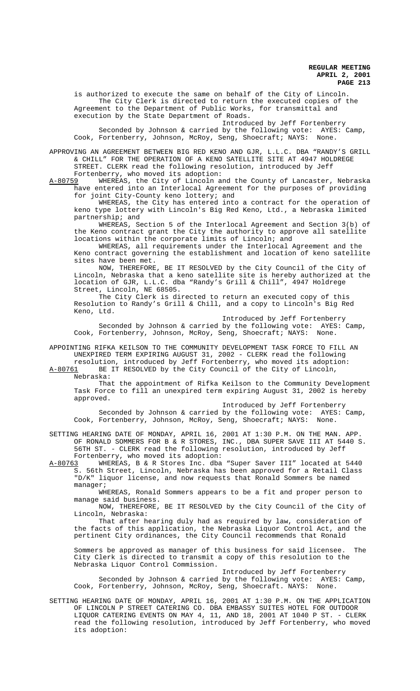is authorized to execute the same on behalf of the City of Lincoln. The City Clerk is directed to return the executed copies of the Agreement to the Department of Public Works, for transmittal and execution by the State Department of Roads.

Introduced by Jeff Fortenberry Seconded by Johnson & carried by the following vote: AYES: Camp, Cook, Fortenberry, Johnson, McRoy, Seng, Shoecraft; NAYS: None.

APPROVING AN AGREEMENT BETWEEN BIG RED KENO AND GJR, L.L.C. DBA "RANDY'S GRILL & CHILL" FOR THE OPERATION OF A KENO SATELLITE SITE AT 4947 HOLDREGE STREET. CLERK read the following resolution, introduced by Jeff

Fortenberry, who moved its adoption:<br>A-80759 WHEREAS, the City of Lincoln a WHEREAS, the City of Lincoln and the County of Lancaster, Nebraska have entered into an Interlocal Agreement for the purposes of providing for joint City-County keno lottery; and

WHEREAS, the City has entered into a contract for the operation of keno type lottery with Lincoln's Big Red Keno, Ltd., a Nebraska limited partnership; and

WHEREAS, Section 5 of the Interlocal Agreement and Section 3(b) of the Keno contract grant the City the authority to approve all satellite locations within the corporate limits of Lincoln; and

WHEREAS, all requirements under the Interlocal Agreement and the Keno contract governing the establishment and location of keno satellite sites have been met.

NOW, THEREFORE, BE IT RESOLVED by the City Council of the City of Lincoln, Nebraska that a keno satellite site is hereby authorized at the location of GJR, L.L.C. dba "Randy's Grill & Chill", 4947 Holdrege Street, Lincoln,

The City Clerk is directed to return an executed copy of this Resolution to Randy's Grill & Chill, and a copy to Lincoln's Big Red Keno, Ltd.

Introduced by Jeff Fortenberry Seconded by Johnson & carried by the following vote: AYES: Camp, Cook, Fortenberry, Johnson, McRoy, Seng, Shoecraft; NAYS: None.

APPOINTING RIFKA KEILSON TO THE COMMUNITY DEVELOPMENT TASK FORCE TO FILL AN UNEXPIRED TERM EXPIRING AUGUST 31, 2002 - CLERK read the following resolution, introduced by Jeff Fortenberry, who moved its adoption:

A-80761 BE IT RESOLVED by the City Council of the City of Lincoln, Nebraska:

That the appointment of Rifka Keilson to the Community Development Task Force to fill an unexpired term expiring August 31, 2002 is hereby approved.

Introduced by Jeff Fortenberry Seconded by Johnson & carried by the following vote: AYES: Camp, Cook, Fortenberry, Johnson, McRoy, Seng, Shoecraft; NAYS: None.

SETTING HEARING DATE OF MONDAY, APRIL 16, 2001 AT 1:30 P.M. ON THE MAN. APP. OF RONALD SOMMERS FOR B & R STORES, INC., DBA SUPER SAVE III AT 5440 S. 56TH ST. - CLERK read the following resolution, introduced by Jeff

Fortenberry, who moved its adoption:<br>A-80763 WHEREAS, B & R Stores Inc. dba WHEREAS, B & R Stores Inc. dba "Super Saver III" located at 5440 S. 56th Street, Lincoln, Nebraska has been approved for a Retail Class "D/K" liquor license, and now requests that Ronald Sommers be named manager;

WHEREAS, Ronald Sommers appears to be a fit and proper person to manage said business.

NOW, THEREFORE, BE IT RESOLVED by the City Council of the City of Lincoln, Nebraska:

That after hearing duly had as required by law, consideration of the facts of this application, the Nebraska Liquor Control Act, and the pertinent City ordinances, the City Council recommends that Ronald

Sommers be approved as manager of this business for said licensee. The City Clerk is directed to transmit a copy of this resolution to the Nebraska Liquor Control Commission.

Introduced by Jeff Fortenberry Seconded by Johnson & carried by the following vote: AYES: Camp, Cook, Fortenberry, Johnson, McRoy, Seng, Shoecraft. NAYS: None.

SETTING HEARING DATE OF MONDAY, APRIL 16, 2001 AT 1:30 P.M. ON THE APPLICATION OF LINCOLN P STREET CATERING CO. DBA EMBASSY SUITES HOTEL FOR OUTDOOR LIQUOR CATERING EVENTS ON MAY 4, 11, AND 18, 2001 AT 1040 P ST. - CLERK read the following resolution, introduced by Jeff Fortenberry, who moved its adoption: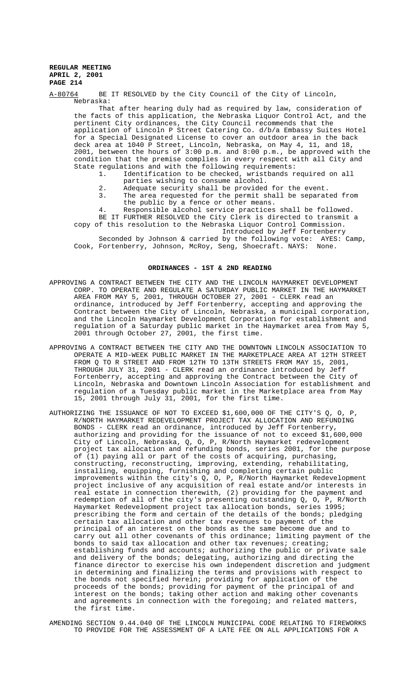A-80764 BE IT RESOLVED by the City Council of the City of Lincoln, Nebraska:

That after hearing duly had as required by law, consideration of the facts of this application, the Nebraska Liquor Control Act, and the pertinent City ordinances, the City Council recommends that the application of Lincoln P Street Catering Co. d/b/a Embassy Suites Hotel for a Special Designated License to cover an outdoor area in the back deck area at 1040 P Street, Lincoln, Nebraska, on May 4, 11, and 18, 2001, between the hours of 3:00 p.m. and 8:00 p.m., be approved with the condition that the premise complies in every respect with all City and State regulations and with the following requirements:

- 1. Identification to be checked, wristbands required on all parties wishing to consume alcohol.
- 2. Adequate security shall be provided for the event.
- 3. The area requested for the permit shall be separated from
	- the public by a fence or other means.
- 4. Responsible alcohol service practices shall be followed.

BE IT FURTHER RESOLVED the City Clerk is directed to transmit a copy of this resolution to the Nebraska Liquor Control Commission.

Introduced by Jeff Fortenberry

Seconded by Johnson & carried by the following vote: AYES: Camp, Cook, Fortenberry, Johnson, McRoy, Seng, Shoecraft. NAYS: None.

#### **ORDINANCES - 1ST & 2ND READING**

- APPROVING A CONTRACT BETWEEN THE CITY AND THE LINCOLN HAYMARKET DEVELOPMENT CORP. TO OPERATE AND REGULATE A SATURDAY PUBLIC MARKET IN THE HAYMARKET AREA FROM MAY 5, 2001, THROUGH OCTOBER 27, 2001 - CLERK read an ordinance, introduced by Jeff Fortenberry, accepting and approving the Contract between the City of Lincoln, Nebraska, a municipal corporation, and the Lincoln Haymarket Development Corporation for establishment and regulation of a Saturday public market in the Haymarket area from May 5, 2001 through October 27, 2001, the first time.
- APPROVING A CONTRACT BETWEEN THE CITY AND THE DOWNTOWN LINCOLN ASSOCIATION TO OPERATE A MID-WEEK PUBLIC MARKET IN THE MARKETPLACE AREA AT 12TH STREET FROM Q TO R STREET AND FROM 12TH TO 13TH STREETS FROM MAY 15, 2001, THROUGH JULY 31, 2001 - CLERK read an ordinance introduced by Jeff Fortenberry, accepting and approving the Contract between the City of Lincoln, Nebraska and Downtown Lincoln Association for establishment and regulation of a Tuesday public market in the Marketplace area from May 15, 2001 through July 31, 2001, for the first time.
- AUTHORIZING THE ISSUANCE OF NOT TO EXCEED \$1,600,000 OF THE CITY'S Q, O, P, R/NORTH HAYMARKET REDEVELOPMENT PROJECT TAX ALLOCATION AND REFUNDING BONDS - CLERK read an ordinance, introduced by Jeff Fortenberry, authorizing and providing for the issuance of not to exceed \$1,600,000 City of Lincoln, Nebraska, Q, O, P, R/North Haymarket redevelopment project tax allocation and refunding bonds, series 2001, for the purpose of (1) paying all or part of the costs of acquiring, purchasing, constructing, reconstructing, improving, extending, rehabilitating, installing, equipping, furnishing and completing certain public improvements within the city's Q, O, P, R/North Haymarket Redevelopment project inclusive of any acquisition of real estate and/or interests in real estate in connection therewith, (2) providing for the payment and redemption of all of the city's presenting outstanding Q, O, P, R/North Haymarket Redevelopment project tax allocation bonds, series 1995; prescribing the form and certain of the details of the bonds; pledging certain tax allocation and other tax revenues to payment of the principal of an interest on the bonds as the same become due and to carry out all other covenants of this ordinance; limiting payment of the bonds to said tax allocation and other tax revenues; creating; establishing funds and accounts; authorizing the public or private sale and delivery of the bonds; delegating, authorizing and directing the finance director to exercise his own independent discretion and judgment in determining and finalizing the terms and provisions with respect to the bonds not specified herein; providing for application of the proceeds of the bonds; providing for payment of the principal of and interest on the bonds; taking other action and making other covenants and agreements in connection with the foregoing; and related matters, the first time.
- AMENDING SECTION 9.44.040 OF THE LINCOLN MUNICIPAL CODE RELATING TO FIREWORKS TO PROVIDE FOR THE ASSESSMENT OF A LATE FEE ON ALL APPLICATIONS FOR A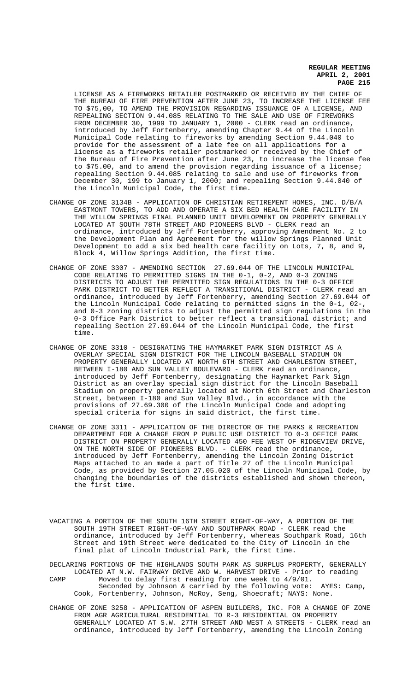LICENSE AS A FIREWORKS RETAILER POSTMARKED OR RECEIVED BY THE CHIEF OF THE BUREAU OF FIRE PREVENTION AFTER JUNE 23, TO INCREASE THE LICENSE FEE TO \$75,00, TO AMEND THE PROVISION REGARDING ISSUANCE OF A LICENSE, AND REPEALING SECTION 9.44.085 RELATING TO THE SALE AND USE OF FIREWORKS FROM DECEMBER 30, 1999 TO JANUARY 1, 2000 - CLERK read an ordinance, introduced by Jeff Fortenberry, amending Chapter 9.44 of the Lincoln Municipal Code relating to fireworks by amending Section 9.44.040 to provide for the assessment of a late fee on all applications for a license as a fireworks retailer postmarked or received by the Chief of the Bureau of Fire Prevention after June 23, to increase the license fee to \$75.00, and to amend the provision regarding issuance of a license; repealing Section 9.44.085 relating to sale and use of fireworks from December 30, 199 to January 1, 2000; and repealing Section 9.44.040 of the Lincoln Municipal Code, the first time.

- CHANGE OF ZONE 3134B APPLICATION OF CHRISTIAN RETIREMENT HOMES, INC. D/B/A EASTMONT TOWERS, TO ADD AND OPERATE A SIX BED HEALTH CARE FACILITY IN THE WILLOW SPRINGS FINAL PLANNED UNIT DEVELOPMENT ON PROPERTY GENERALLY LOCATED AT SOUTH 78TH STREET AND PIONEERS BLVD - CLERK read an ordinance, introduced by Jeff Fortenberry, approving Amendment No. 2 to the Development Plan and Agreement for the willow Springs Planned Unit Development to add a six bed health care facility on Lots, 7, 8, and 9, Block 4, Willow Springs Addition, the first time.
- CHANGE OF ZONE 3307 AMENDING SECTION 27.69.044 OF THE LINCOLN MUNICIPAL CODE RELATING TO PERMITTED SIGNS IN THE 0-1, 0-2, AND 0-3 ZONING DISTRICTS TO ADJUST THE PERMITTED SIGN REGULATIONS IN THE 0-3 OFFICE PARK DISTRICT TO BETTER REFLECT A TRANSITIONAL DISTRICT - CLERK read an ordinance, introduced by Jeff Fortenberry, amending Section 27.69.044 of the Lincoln Municipal Code relating to permitted signs in the 0-1, 02-, and 0-3 zoning districts to adjust the permitted sign regulations in the 0-3 Office Park District to better reflect a transitional district; and repealing Section 27.69.044 of the Lincoln Municipal Code, the first time.
- CHANGE OF ZONE 3310 DESIGNATING THE HAYMARKET PARK SIGN DISTRICT AS A OVERLAY SPECIAL SIGN DISTRICT FOR THE LINCOLN BASEBALL STADIUM ON PROPERTY GENERALLY LOCATED AT NORTH 6TH STREET AND CHARLESTON STREET, BETWEEN I-180 AND SUN VALLEY BOULEVARD - CLERK read an ordinance, introduced by Jeff Fortenberry, designating the Haymarket Park Sign District as an overlay special sign district for the Lincoln Baseball Stadium on property generally located at North 6th Street and Charleston Street, between I-180 and Sun Valley Blvd., in accordance with the provisions of 27.69.300 of the Lincoln Municipal Code and adopting special criteria for signs in said district, the first time.
- CHANGE OF ZONE 3311 APPLICATION OF THE DIRECTOR OF THE PARKS & RECREATION DEPARTMENT FOR A CHANGE FROM P PUBLIC USE DISTRICT TO 0-3 OFFICE PARK DISTRICT ON PROPERTY GENERALLY LOCATED 450 FEE WEST OF RIDGEVIEW DRIVE, ON THE NORTH SIDE OF PIONEERS BLVD. - CLERK read the ordinance, introduced by Jeff Fortenberry, amending the Lincoln Zoning District Maps attached to an made a part of Title 27 of the Lincoln Municipal Code, as provided by Section 27.05.020 of the Lincoln Municipal Code, by changing the boundaries of the districts established and shown thereon, the first time.
- VACATING A PORTION OF THE SOUTH 16TH STREET RIGHT-OF-WAY, A PORTION OF THE SOUTH 19TH STREET RIGHT-OF-WAY AND SOUTHPARK ROAD - CLERK read the ordinance, introduced by Jeff Fortenberry, whereas Southpark Road, 16th Street and 19th Street were dedicated to the City of Lincoln in the final plat of Lincoln Industrial Park, the first time.

DECLARING PORTIONS OF THE HIGHLANDS SOUTH PARK AS SURPLUS PROPERTY, GENERALLY LOCATED AT N.W. FAIRWAY DRIVE AND W. HARVEST DRIVE - Prior to reading CAMP Moved to delay first reading for one week to 4/9/01. Seconded by Johnson & carried by the following vote: AYES: Camp, Cook, Fortenberry, Johnson, McRoy, Seng, Shoecraft; NAYS: None.

CHANGE OF ZONE 3258 - APPLICATION OF ASPEN BUILDERS, INC. FOR A CHANGE OF ZONE FROM AGR AGRICULTURAL RESIDENTIAL TO R-3 RESIDENTIAL ON PROPERTY GENERALLY LOCATED AT S.W. 27TH STREET AND WEST A STREETS - CLERK read an ordinance, introduced by Jeff Fortenberry, amending the Lincoln Zoning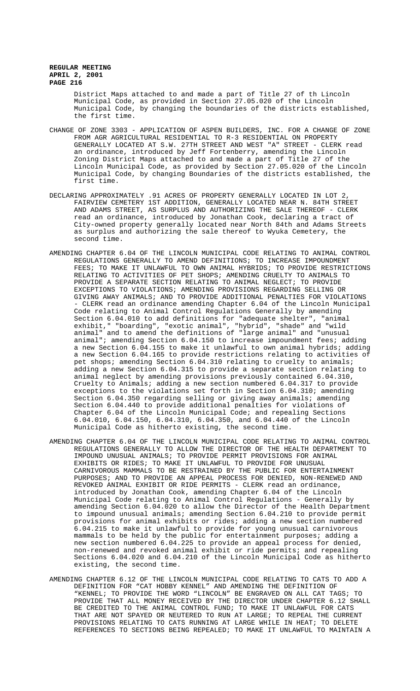District Maps attached to and made a part of Title 27 of th Lincoln Municipal Code, as provided in Section 27.05.020 of the Lincoln Municipal Code, by changing the boundaries of the districts established, the first time.

- CHANGE OF ZONE 3303 APPLICATION OF ASPEN BUILDERS, INC. FOR A CHANGE OF ZONE FROM AGR AGRICULTURAL RESIDENTIAL TO R-3 RESIDENTIAL ON PROPERTY GENERALLY LOCATED AT S.W. 27TH STREET AND WEST "A" STREET - CLERK read an ordinance, introduced by Jeff Fortenberry, amending the Lincoln Zoning District Maps attached to and made a part of Title 27 of the Lincoln Municipal Code, as provided by Section 27.05.020 of the Lincoln Municipal Code, by changing Boundaries of the districts established, the first time.
- DECLARING APPROXIMATELY .91 ACRES OF PROPERTY GENERALLY LOCATED IN LOT 2, FAIRVIEW CEMETERY 1ST ADDITION, GENERALLY LOCATED NEAR N. 84TH STREET AND ADAMS STREET, AS SURPLUS AND AUTHORIZING THE SALE THEREOF - CLERK read an ordinance, introduced by Jonathan Cook, declaring a tract of City-owned property generally located near North 84th and Adams Streets as surplus and authorizing the sale thereof to Wyuka Cemetery, the second time.
- AMENDING CHAPTER 6.04 OF THE LINCOLN MUNICIPAL CODE RELATING TO ANIMAL CONTROL REGULATIONS GENERALLY TO AMEND DEFINITIONS; TO INCREASE IMPOUNDMENT FEES; TO MAKE IT UNLAWFUL TO OWN ANIMAL HYBRIDS; TO PROVIDE RESTRICTIONS RELATING TO ACTIVITIES OF PET SHOPS; AMENDING CRUELTY TO ANIMALS TO PROVIDE A SEPARATE SECTION RELATING TO ANIMAL NEGLECT; TO PROVIDE EXCEPTIONS TO VIOLATIONS; AMENDING PROVISIONS REGARDING SELLING OR GIVING AWAY ANIMALS; AND TO PROVIDE ADDITIONAL PENALTIES FOR VIOLATIONS - CLERK read an ordinance amending Chapter 6.04 of the Lincoln Municipal Code relating to Animal Control Regulations Generally by amending Section 6.04.010 to add definitions for "adequate shelter", "animal exhibit," "boarding", "exotic animal", "hybrid", "shade" and "wild animal" and to amend the definitions of "large animal" and "unusual animal"; amending Section 6.04.150 to increase impoundment fees; adding a new Section 6.04.155 to make it unlawful to own animal hybrids; adding a new Section 6.04.165 to provide restrictions relating to activities of pet shops; amending Section 6.04.310 relating to cruelty to animals; adding a new Section 6.04.315 to provide a separate section relating to animal neglect by amending provisions previously contained 6.04.310, Cruelty to Animals; adding a new section numbered 6.04.317 to provide exceptions to the violations set forth in Section 6.04.310; amending Section 6.04.350 regarding selling or giving away animals; amending Section 6.04.440 to provide additional penalties for violations of Chapter 6.04 of the Lincoln Municipal Code; and repealing Sections 6.04.010, 6.04.150, 6.04.310, 6.04.350, and 6.04.440 of the Lincoln Municipal Code as hitherto existing, the second time.
- AMENDING CHAPTER 6.04 OF THE LINCOLN MUNICIPAL CODE RELATING TO ANIMAL CONTROL REGULATIONS GENERALLY TO ALLOW THE DIRECTOR OF THE HEALTH DEPARTMENT TO IMPOUND UNUSUAL ANIMALS; TO PROVIDE PERMIT PROVISIONS FOR ANIMAL EXHIBITS OR RIDES; TO MAKE IT UNLAWFUL TO PROVIDE FOR UNUSUAL CARNIVOROUS MAMMALS TO BE RESTRAINED BY THE PUBLIC FOR ENTERTAINMENT PURPOSES; AND TO PROVIDE AN APPEAL PROCESS FOR DENIED, NON-RENEWED AND REVOKED ANIMAL EXHIBIT OR RIDE PERMITS - CLERK read an ordinance, introduced by Jonathan Cook, amending Chapter 6.04 of the Lincoln Municipal Code relating to Animal Control Regulations - Generally by amending Section 6.04.020 to allow the Director of the Health Department to impound unusual animals; amending Section 6.04.210 to provide permit provisions for animal exhibits or rides; adding a new section numbered 6.04.215 to make it unlawful to provide for young unusual carnivorous mammals to be held by the public for entertainment purposes; adding a new section numbered 6.04.225 to provide an appeal process for denied, non-renewed and revoked animal exhibit or ride permits; and repealing Sections 6.04.020 and 6.04.210 of the Lincoln Municipal Code as hitherto existing, the second time.
- AMENDING CHAPTER 6.12 OF THE LINCOLN MUNICIPAL CODE RELATING TO CATS TO ADD A DEFINITION FOR "CAT HOBBY KENNEL" AND AMENDING THE DEFINITION OF "KENNEL; TO PROVIDE THE WORD "LINCOLN" BE ENGRAVED ON ALL CAT TAGS; TO PROVIDE THAT ALL MONEY RECEIVED BY THE DIRECTOR UNDER CHAPTER 6.12 SHALL BE CREDITED TO THE ANIMAL CONTROL FUND; TO MAKE IT UNLAWFUL FOR CATS THAT ARE NOT SPAYED OR NEUTERED TO RUN AT LARGE; TO REPEAL THE CURRENT PROVISIONS RELATING TO CATS RUNNING AT LARGE WHILE IN HEAT; TO DELETE REFERENCES TO SECTIONS BEING REPEALED; TO MAKE IT UNLAWFUL TO MAINTAIN A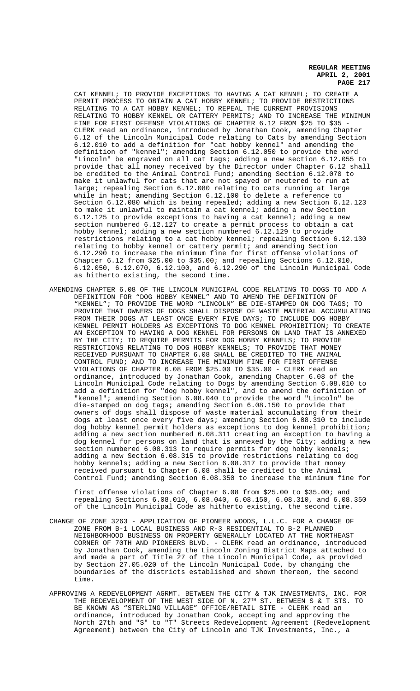CAT KENNEL; TO PROVIDE EXCEPTIONS TO HAVING A CAT KENNEL; TO CREATE A PERMIT PROCESS TO OBTAIN A CAT HOBBY KENNEL; TO PROVIDE RESTRICTIONS RELATING TO A CAT HOBBY KENNEL; TO REPEAL THE CURRENT PROVISIONS RELATING TO HOBBY KENNEL OR CATTERY PERMITS; AND TO INCREASE THE MINIMUM FINE FOR FIRST OFFENSE VIOLATIONS OF CHAPTER 6.12 FROM \$25 TO \$35 -CLERK read an ordinance, introduced by Jonathan Cook, amending Chapter 6.12 of the Lincoln Municipal Code relating to Cats by amending Section 6.12.010 to add a definition for "cat hobby kennel" and amending the definition of "kennel"; amending Section 6.12.050 to provide the word "Lincoln" be engraved on all cat tags; adding a new section 6.12.055 to provide that all money received by the Director under Chapter 6.12 shall be credited to the Animal Control Fund; amending Section 6.12.070 to make it unlawful for cats that are not spayed or neutered to run at large; repealing Section 6.12.080 relating to cats running at large while in heat; amending Section 6.12.100 to delete a reference to Section 6.12.080 which is being repealed; adding a new Section 6.12.123 to make it unlawful to maintain a cat kennel; adding a new Section 6.12.125 to provide exceptions to having a cat kennel; adding a new section numbered 6.12.127 to create a permit process to obtain a cat hobby kennel; adding a new section numbered 6.12.129 to provide restrictions relating to a cat hobby kennel; repealing Section 6.12.130 relating to hobby kennel or cattery permit; and amending Section 6.12.290 to increase the minimum fine for first offense violations of Chapter 6.12 from \$25.00 to \$35.00; and repealing Sections 6.12.010, 6.12.050, 6.12.070, 6.12.100, and 6.12.290 of the Lincoln Municipal Code as hitherto existing, the second time.

AMENDING CHAPTER 6.08 OF THE LINCOLN MUNICIPAL CODE RELATING TO DOGS TO ADD A DEFINITION FOR "DOG HOBBY KENNEL" AND TO AMEND THE DEFINITION OF "KENNEL"; TO PROVIDE THE WORD "LINCOLN" BE DIE-STAMPED ON DOG TAGS; TO PROVIDE THAT OWNERS OF DOGS SHALL DISPOSE OF WASTE MATERIAL ACCUMULATING FROM THEIR DOGS AT LEAST ONCE EVERY FIVE DAYS; TO INCLUDE DOG HOBBY KENNEL PERMIT HOLDERS AS EXCEPTIONS TO DOG KENNEL PROHIBITION; TO CREATE AN EXCEPTION TO HAVING A DOG KENNEL FOR PERSONS ON LAND THAT IS ANNEXED BY THE CITY; TO REQUIRE PERMITS FOR DOG HOBBY KENNELS; TO PROVIDE RESTRICTIONS RELATING TO DOG HOBBY KENNELS; TO PROVIDE THAT MONEY RECEIVED PURSUANT TO CHAPTER 6.08 SHALL BE CREDITED TO THE ANIMAL CONTROL FUND; AND TO INCREASE THE MINIMUM FINE FOR FIRST OFFENSE VIOLATIONS OF CHAPTER 6.08 FROM \$25.00 TO \$35.00 - CLERK read an ordinance, introduced by Jonathan Cook, amending Chapter 6.08 of the Lincoln Municipal Code relating to Dogs by amending Section 6.08.010 to add a definition for "dog hobby kennel", and to amend the definition of "kennel"; amending Section 6.08.040 to provide the word "Lincoln" be die-stamped on dog tags; amending Section 6.08.150 to provide that owners of dogs shall dispose of waste material accumulating from their dogs at least once every five days; amending Section 6.08.310 to include dog hobby kennel permit holders as exceptions to dog kennel prohibition; adding a new section numbered 6.08.311 creating an exception to having a dog kennel for persons on land that is annexed by the City; adding a new section numbered 6.08.313 to require permits for dog hobby kennels; adding a new Section 6.08.315 to provide restrictions relating to dog hobby kennels; adding a new Section 6.08.317 to provide that money received pursuant to Chapter 6.08 shall be credited to the Animal Control Fund; amending Section 6.08.350 to increase the minimum fine for

first offense violations of Chapter 6.08 from \$25.00 to \$35.00; and repealing Sections 6.08.010, 6.08.040, 6.08.150, 6.08.310, and 6.08.350 of the Lincoln Municipal Code as hitherto existing, the second time.

- CHANGE OF ZONE 3263 APPLICATION OF PIONEER WOODS, L.L.C. FOR A CHANGE OF ZONE FROM B-1 LOCAL BUSINESS AND R-3 RESIDENTIAL TO B-2 PLANNED NEIGHBORHOOD BUSINESS ON PROPERTY GENERALLY LOCATED AT THE NORTHEAST CORNER OF 70TH AND PIONEERS BLVD. - CLERK read an ordinance, introduced by Jonathan Cook, amending the Lincoln Zoning District Maps attached to and made a part of Title 27 of the Lincoln Municipal Code, as provided by Section 27.05.020 of the Lincoln Municipal Code, by changing the boundaries of the districts established and shown thereon, the second time.
- APPROVING A REDEVELOPMENT AGRMT. BETWEEN THE CITY & TJK INVESTMENTS, INC. FOR THE REDEVELOPMENT OF THE WEST SIDE OF N.  $27<sup>TH</sup>$  ST. BETWEEN S & T STS. TO BE KNOWN AS "STERLING VILLAGE" OFFICE/RETAIL SITE - CLERK read an ordinance, introduced by Jonathan Cook, accepting and approving the North 27th and "S" to "T" Streets Redevelopment Agreement (Redevelopment Agreement) between the City of Lincoln and TJK Investments, Inc., a